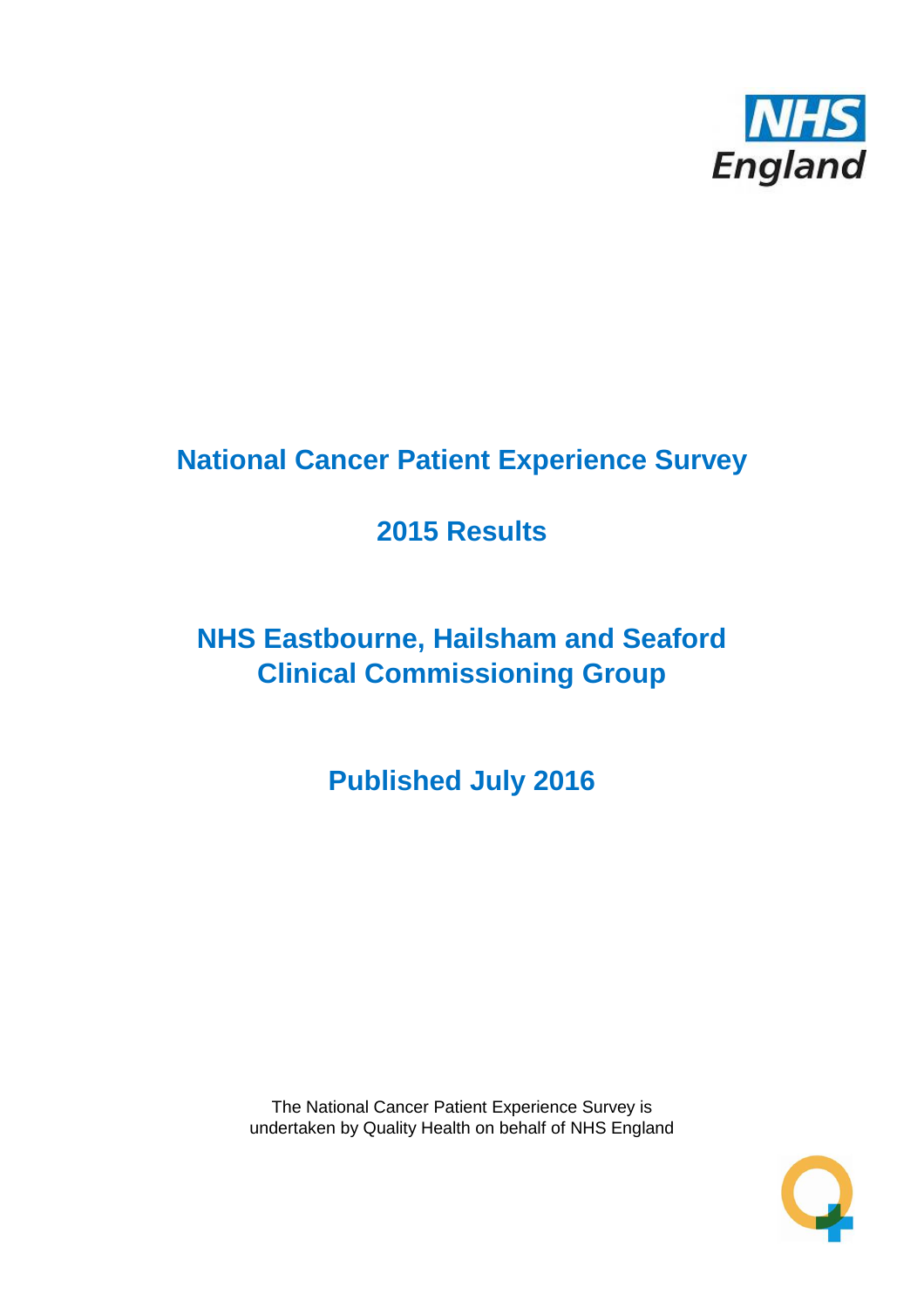

# **National Cancer Patient Experience Survey**

# **2015 Results**

# **NHS Eastbourne, Hailsham and Seaford Clinical Commissioning Group**

**Published July 2016**

The National Cancer Patient Experience Survey is undertaken by Quality Health on behalf of NHS England

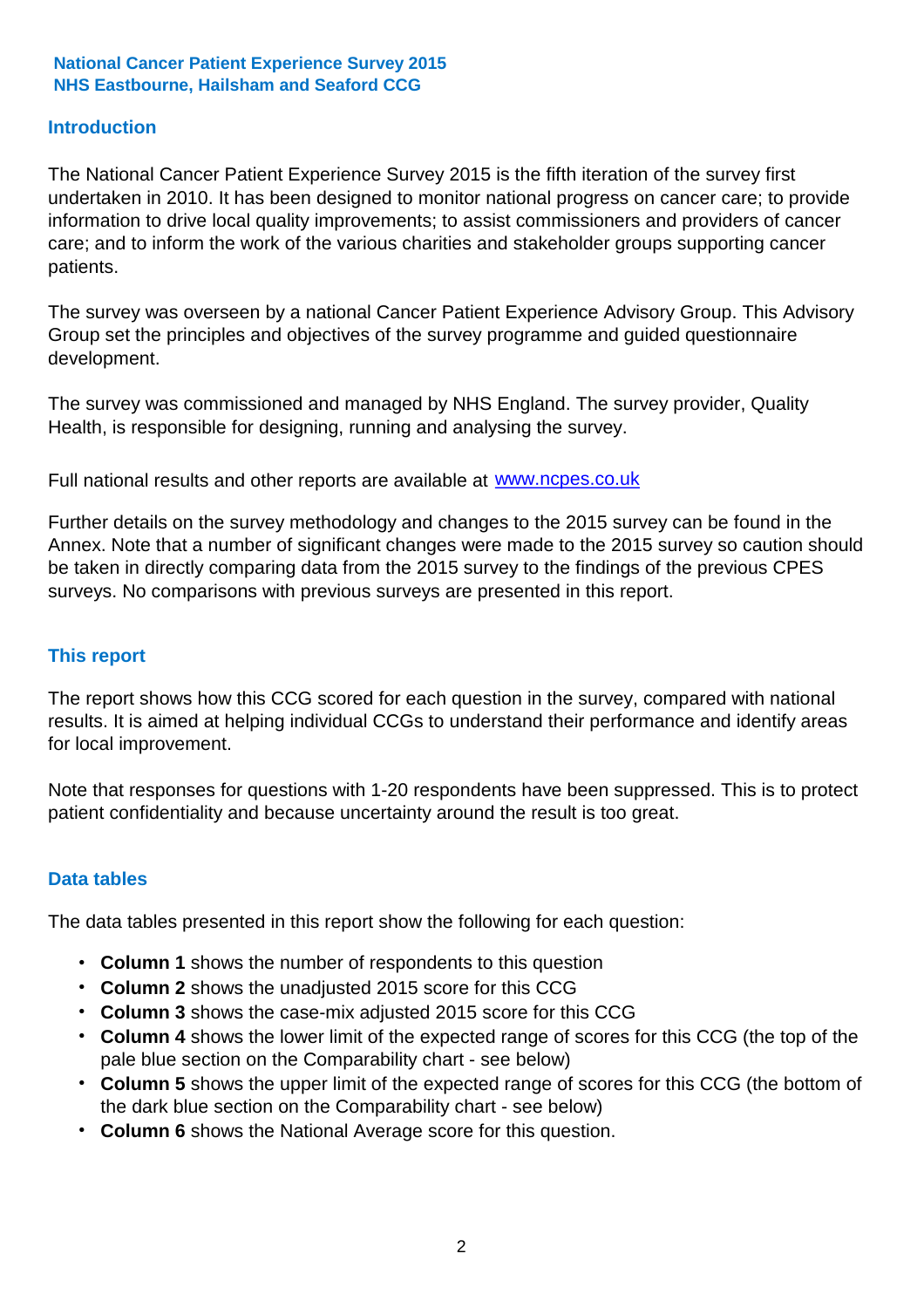### **Introduction**

The National Cancer Patient Experience Survey 2015 is the fifth iteration of the survey first undertaken in 2010. It has been designed to monitor national progress on cancer care; to provide information to drive local quality improvements; to assist commissioners and providers of cancer care; and to inform the work of the various charities and stakeholder groups supporting cancer patients.

The survey was overseen by a national Cancer Patient Experience Advisory Group. This Advisory Group set the principles and objectives of the survey programme and guided questionnaire development.

The survey was commissioned and managed by NHS England. The survey provider, Quality Health, is responsible for designing, running and analysing the survey.

Full national results and other reports are available at www.ncpes.co.uk

Further details on the survey methodology and changes to the 2015 survey can be found in the Annex. Note that a number of significant changes were made to the 2015 survey so caution should be taken in directly comparing data from the 2015 survey to the findings of the previous CPES surveys. No comparisons with previous surveys are presented in this report.

#### **This report**

The report shows how this CCG scored for each question in the survey, compared with national results. It is aimed at helping individual CCGs to understand their performance and identify areas for local improvement.

Note that responses for questions with 1-20 respondents have been suppressed. This is to protect patient confidentiality and because uncertainty around the result is too great.

#### **Data tables**

The data tables presented in this report show the following for each question:

- **Column 1** shows the number of respondents to this question
- **Column 2** shows the unadjusted 2015 score for this CCG
- **Column 3** shows the case-mix adjusted 2015 score for this CCG
- **Column 4** shows the lower limit of the expected range of scores for this CCG (the top of the pale blue section on the Comparability chart - see below)
- **Column 5** shows the upper limit of the expected range of scores for this CCG (the bottom of the dark blue section on the Comparability chart - see below)
- **Column 6** shows the National Average score for this question.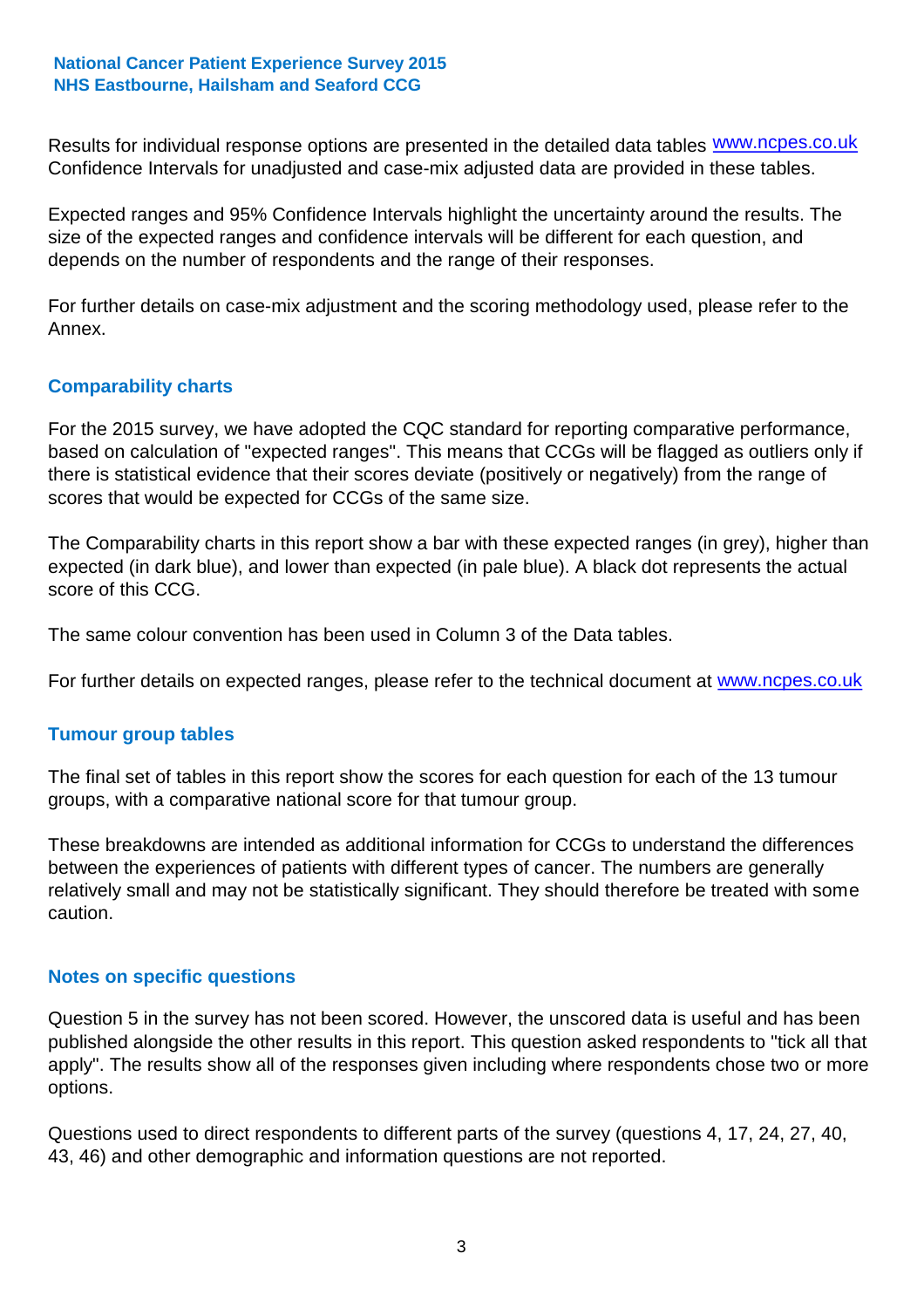Results for individual response options are presented in the detailed data tables **WWW.ncpes.co.uk** Confidence Intervals for unadjusted and case-mix adjusted data are provided in these tables.

Expected ranges and 95% Confidence Intervals highlight the uncertainty around the results. The size of the expected ranges and confidence intervals will be different for each question, and depends on the number of respondents and the range of their responses.

For further details on case-mix adjustment and the scoring methodology used, please refer to the Annex.

### **Comparability charts**

For the 2015 survey, we have adopted the CQC standard for reporting comparative performance, based on calculation of "expected ranges". This means that CCGs will be flagged as outliers only if there is statistical evidence that their scores deviate (positively or negatively) from the range of scores that would be expected for CCGs of the same size.

The Comparability charts in this report show a bar with these expected ranges (in grey), higher than expected (in dark blue), and lower than expected (in pale blue). A black dot represents the actual score of this CCG.

The same colour convention has been used in Column 3 of the Data tables.

For further details on expected ranges, please refer to the technical document at **www.ncpes.co.uk** 

#### **Tumour group tables**

The final set of tables in this report show the scores for each question for each of the 13 tumour groups, with a comparative national score for that tumour group.

These breakdowns are intended as additional information for CCGs to understand the differences between the experiences of patients with different types of cancer. The numbers are generally relatively small and may not be statistically significant. They should therefore be treated with some caution.

#### **Notes on specific questions**

Question 5 in the survey has not been scored. However, the unscored data is useful and has been published alongside the other results in this report. This question asked respondents to "tick all that apply". The results show all of the responses given including where respondents chose two or more options.

Questions used to direct respondents to different parts of the survey (questions 4, 17, 24, 27, 40, 43, 46) and other demographic and information questions are not reported.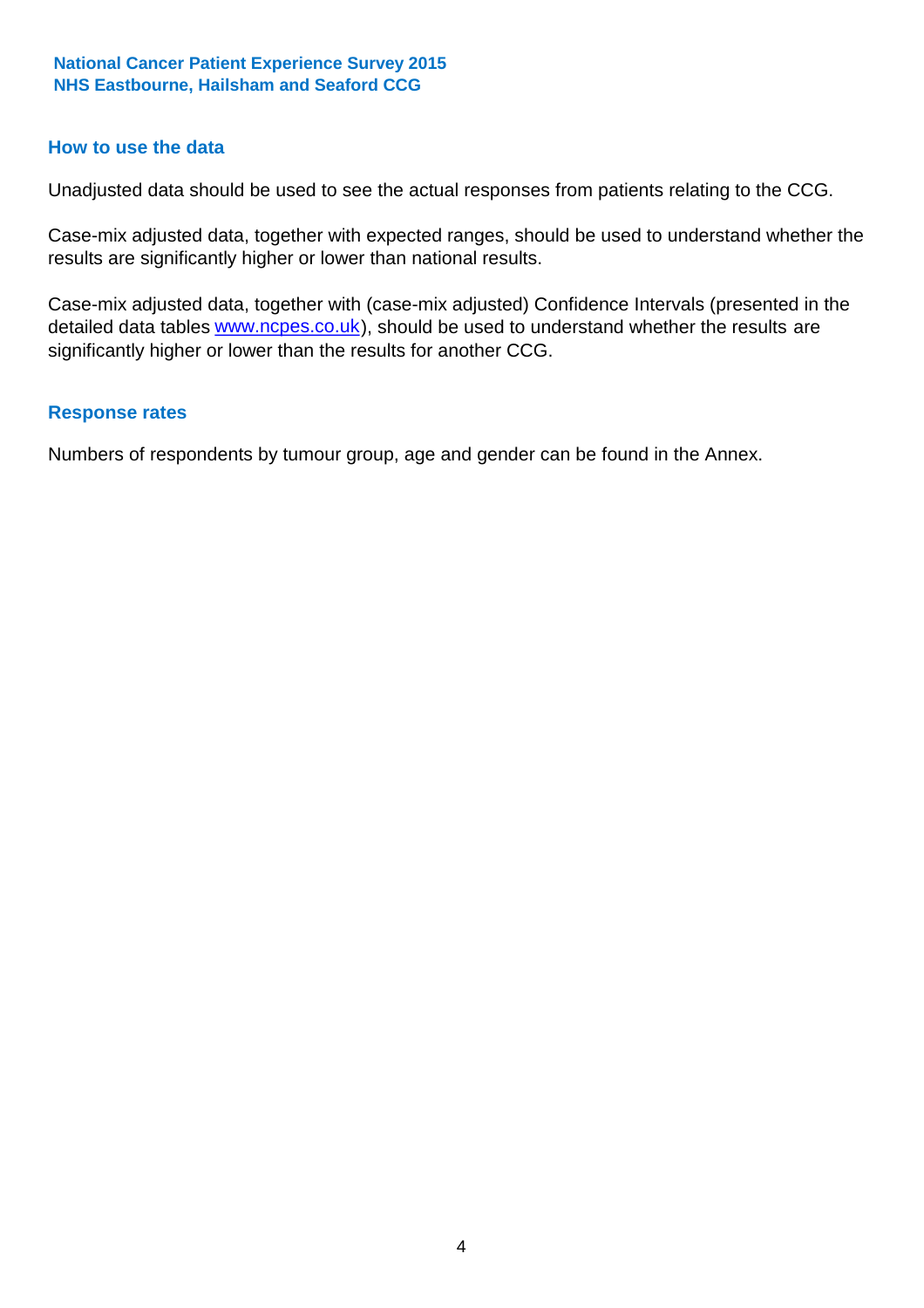#### **How to use the data**

Unadjusted data should be used to see the actual responses from patients relating to the CCG.

Case-mix adjusted data, together with expected ranges, should be used to understand whether the results are significantly higher or lower than national results.

Case-mix adjusted data, together with (case-mix adjusted) Confidence Intervals (presented in the detailed data tables **www.ncpes.co.uk**), should be used to understand whether the results are significantly higher or lower than the results for another CCG.

#### **Response rates**

Numbers of respondents by tumour group, age and gender can be found in the Annex.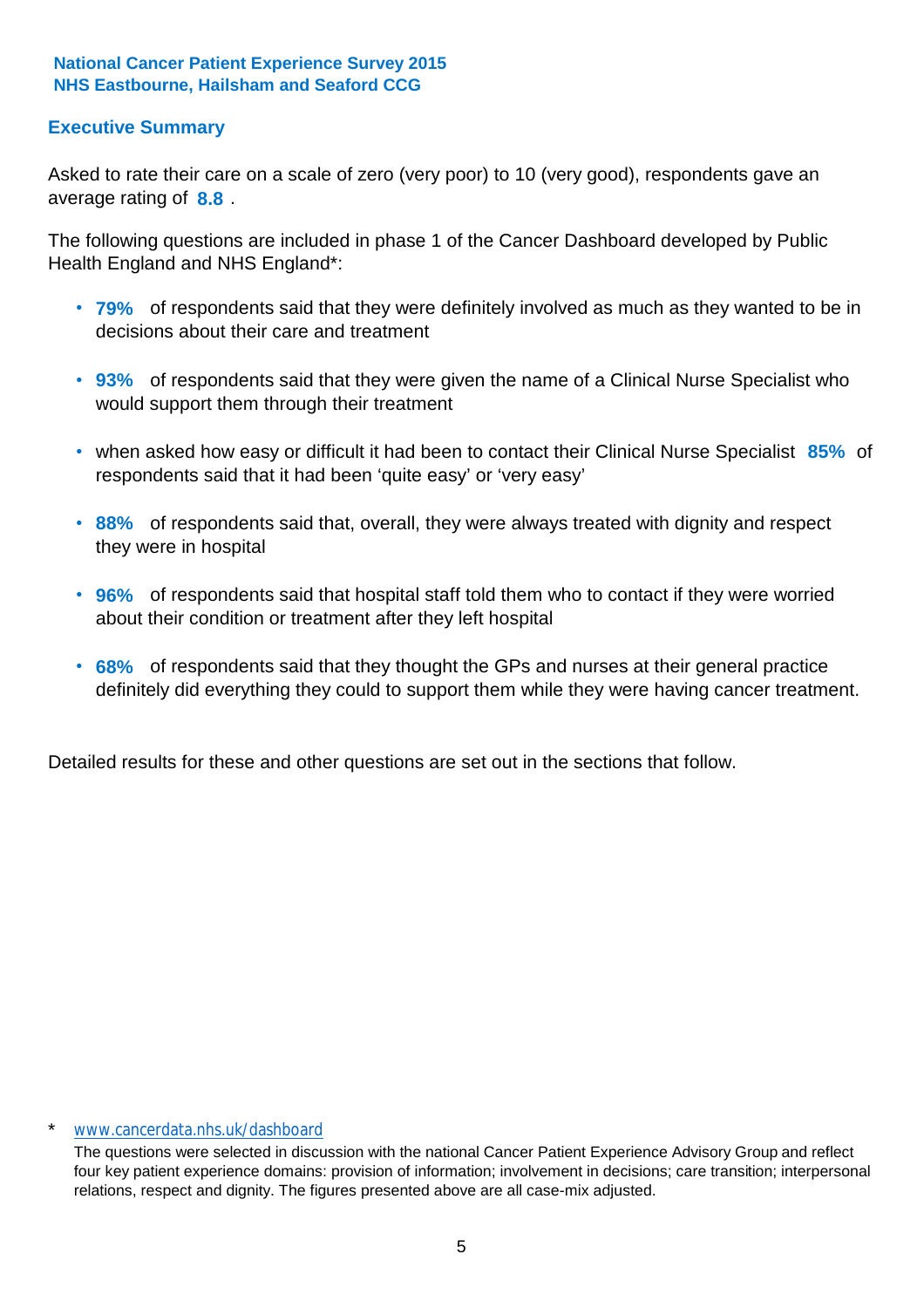### **Executive Summary**

average rating of **8.8**. Asked to rate their care on a scale of zero (very poor) to 10 (very good), respondents gave an

The following questions are included in phase 1 of the Cancer Dashboard developed by Public Health England and NHS England\*:

- **79%** of respondents said that they were definitely involved as much as they wanted to be in decisions about their care and treatment
- **93%** of respondents said that they were given the name of a Clinical Nurse Specialist who would support them through their treatment
- when asked how easy or difficult it had been to contact their Clinical Nurse Specialist 85% of respondents said that it had been 'quite easy' or 'very easy'
- **88%** of respondents said that, overall, they were always treated with dignity and respect they were in hospital
- **96%** of respondents said that hospital staff told them who to contact if they were worried about their condition or treatment after they left hospital
- **68%** of respondents said that they thought the GPs and nurses at their general practice definitely did everything they could to support them while they were having cancer treatment.

Detailed results for these and other questions are set out in the sections that follow.

#### \* www.cancerdata.nhs.uk/dashboard

The questions were selected in discussion with the national Cancer Patient Experience Advisory Group and reflect four key patient experience domains: provision of information; involvement in decisions; care transition; interpersonal relations, respect and dignity. The figures presented above are all case-mix adjusted.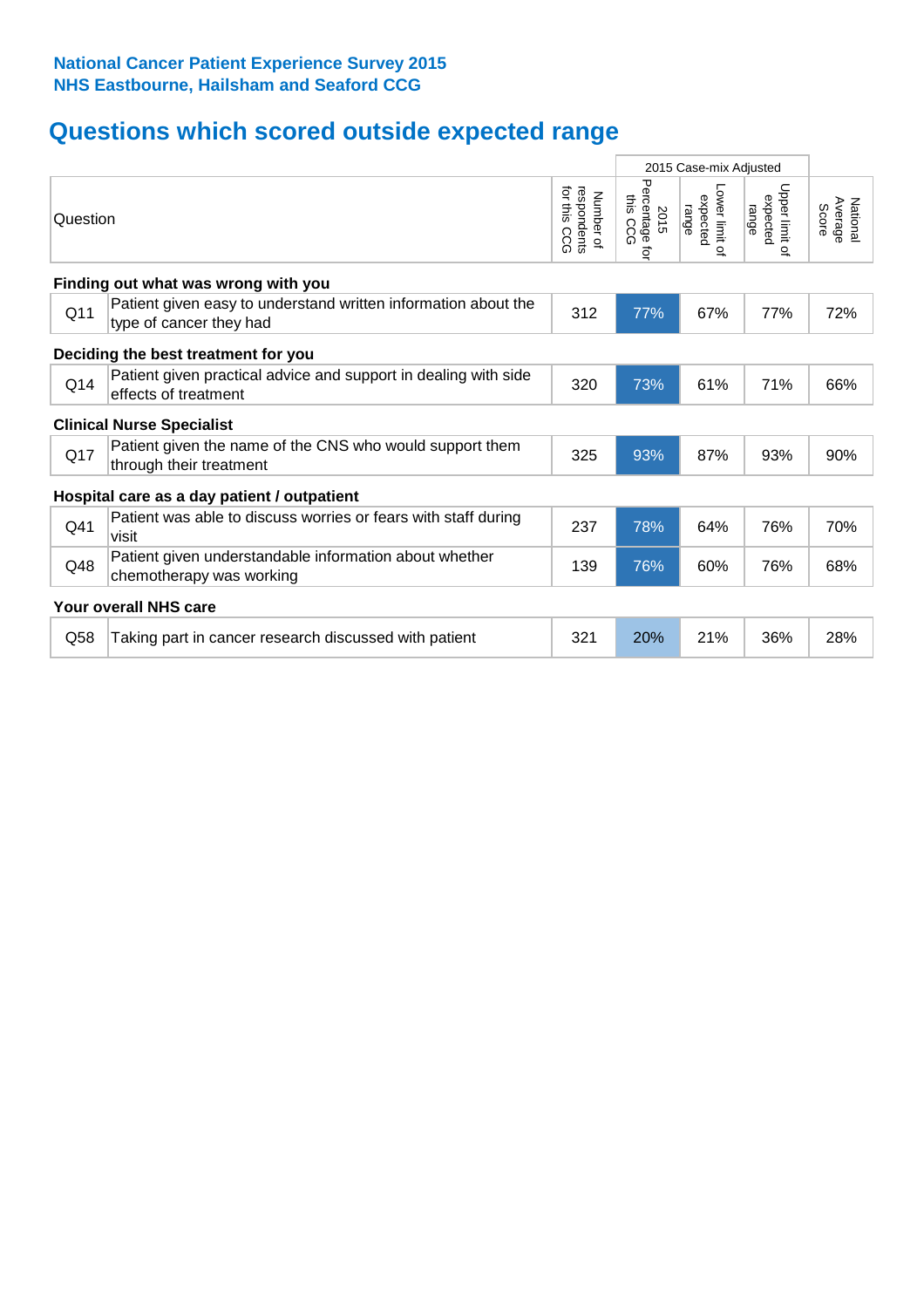# **Questions which scored outside expected range**

| 2015 Case-mix Adjusted |                                                                                           |                                              |                                               |                                     |                                     |                              |
|------------------------|-------------------------------------------------------------------------------------------|----------------------------------------------|-----------------------------------------------|-------------------------------------|-------------------------------------|------------------------------|
| Question               |                                                                                           | for this<br>respondents<br>Number of<br>င္ပင | Percentage<br>this<br>2015<br>CCG<br><b>i</b> | Lower limit of<br>expected<br>range | Upper limit of<br>expected<br>range | Average<br>National<br>Score |
|                        | Finding out what was wrong with you                                                       |                                              |                                               |                                     |                                     |                              |
| Q11                    | Patient given easy to understand written information about the<br>type of cancer they had | 312                                          | 77%                                           | 67%                                 | 77%                                 | 72%                          |
|                        | Deciding the best treatment for you                                                       |                                              |                                               |                                     |                                     |                              |
| Q <sub>14</sub>        | Patient given practical advice and support in dealing with side<br>effects of treatment   | 320                                          | 73%                                           | 61%                                 | 71%                                 | 66%                          |
|                        | <b>Clinical Nurse Specialist</b>                                                          |                                              |                                               |                                     |                                     |                              |
| Q17                    | Patient given the name of the CNS who would support them<br>through their treatment       | 325                                          | 93%                                           | 87%                                 | 93%                                 | 90%                          |
|                        | Hospital care as a day patient / outpatient                                               |                                              |                                               |                                     |                                     |                              |
| Q41                    | Patient was able to discuss worries or fears with staff during<br>visit                   | 237                                          | 78%                                           | 64%                                 | 76%                                 | 70%                          |
| Q48                    | Patient given understandable information about whether<br>chemotherapy was working        | 139                                          | 76%                                           | 60%                                 | 76%                                 | 68%                          |
|                        | Your overall NHS care                                                                     |                                              |                                               |                                     |                                     |                              |
| Q58                    | Taking part in cancer research discussed with patient                                     | 321                                          | 20%                                           | 21%                                 | 36%                                 | 28%                          |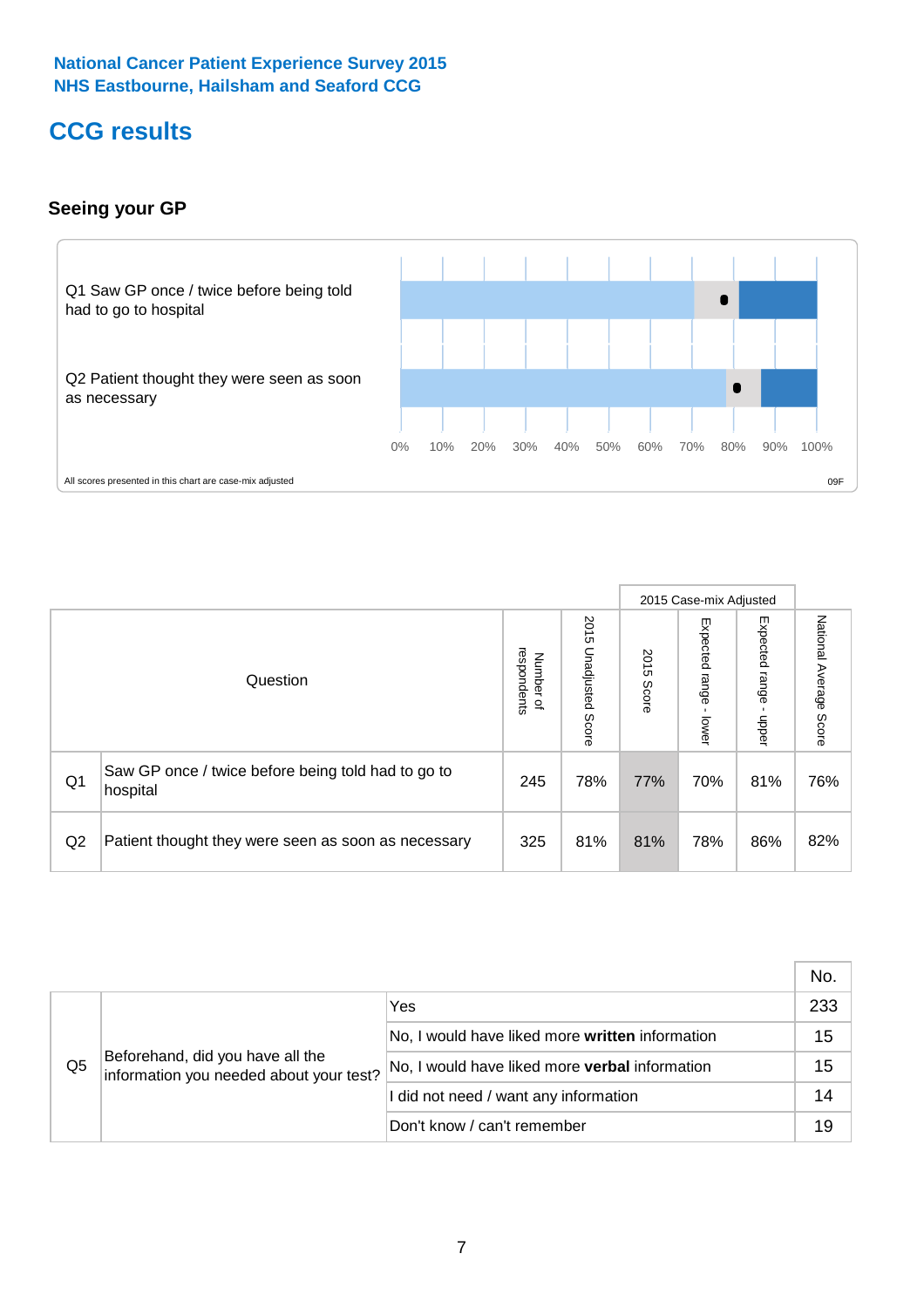# **CCG results**

### **Seeing your GP**



|    |                                                                |                                         |                             |               | 2015 Case-mix Adjusted     |                            |                           |
|----|----------------------------------------------------------------|-----------------------------------------|-----------------------------|---------------|----------------------------|----------------------------|---------------------------|
|    | Question                                                       | respondents<br>Number<br>$\overline{a}$ | 2015<br>Unadjusted<br>Score | 2015<br>Score | Expected<br>range<br>lower | Expected<br>range<br>nbber | National Average<br>Score |
| Q1 | Saw GP once / twice before being told had to go to<br>hospital | 245                                     | 78%                         | 77%           | 70%                        | 81%                        | 76%                       |
| Q2 | Patient thought they were seen as soon as necessary            | 325                                     | 81%                         | 81%           | 78%                        | 86%                        | 82%                       |

|    |                                                                             |                                                 | No. |
|----|-----------------------------------------------------------------------------|-------------------------------------------------|-----|
|    | Beforehand, did you have all the<br>information you needed about your test? | Yes                                             | 233 |
|    |                                                                             | No, I would have liked more written information | 15  |
| Q5 |                                                                             | No, I would have liked more verbal information  | 15  |
|    |                                                                             | I did not need / want any information           | 14  |
|    |                                                                             | Don't know / can't remember                     | 19  |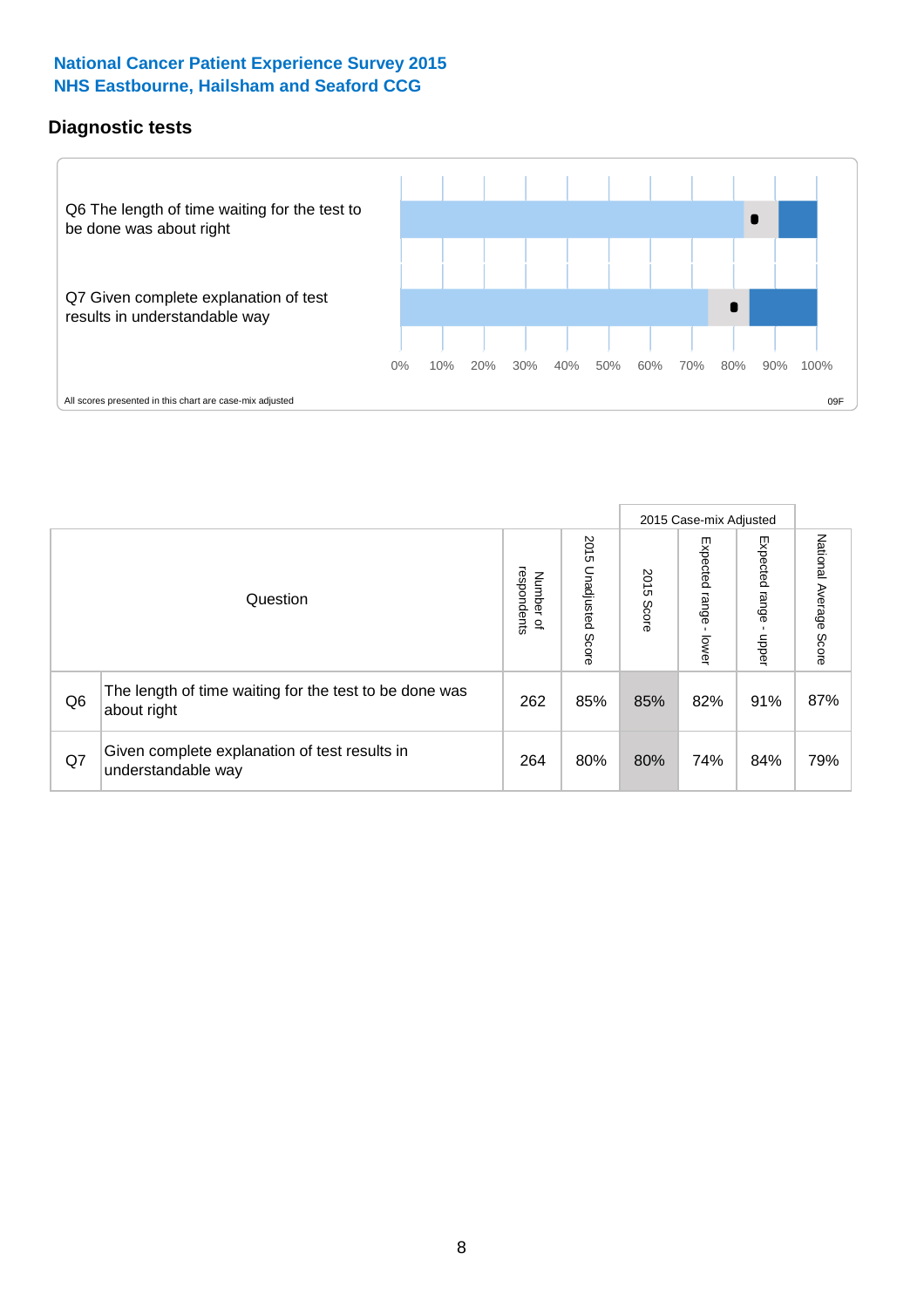### **Diagnostic tests**



|                |                                                                       |                                   |                             |               | 2015 Case-mix Adjusted  |                         |                           |
|----------------|-----------------------------------------------------------------------|-----------------------------------|-----------------------------|---------------|-------------------------|-------------------------|---------------------------|
|                | Question                                                              | respondents<br>Number<br>$\Omega$ | 2015<br>Unadjusted<br>Score | 2015<br>Score | Expected range<br>lower | Expected range<br>nbber | National Average<br>Score |
| Q <sub>6</sub> | The length of time waiting for the test to be done was<br>about right | 262                               | 85%                         | 85%           | 82%                     | 91%                     | 87%                       |
| Q7             | Given complete explanation of test results in<br>understandable way   | 264                               | 80%                         | 80%           | 74%                     | 84%                     | 79%                       |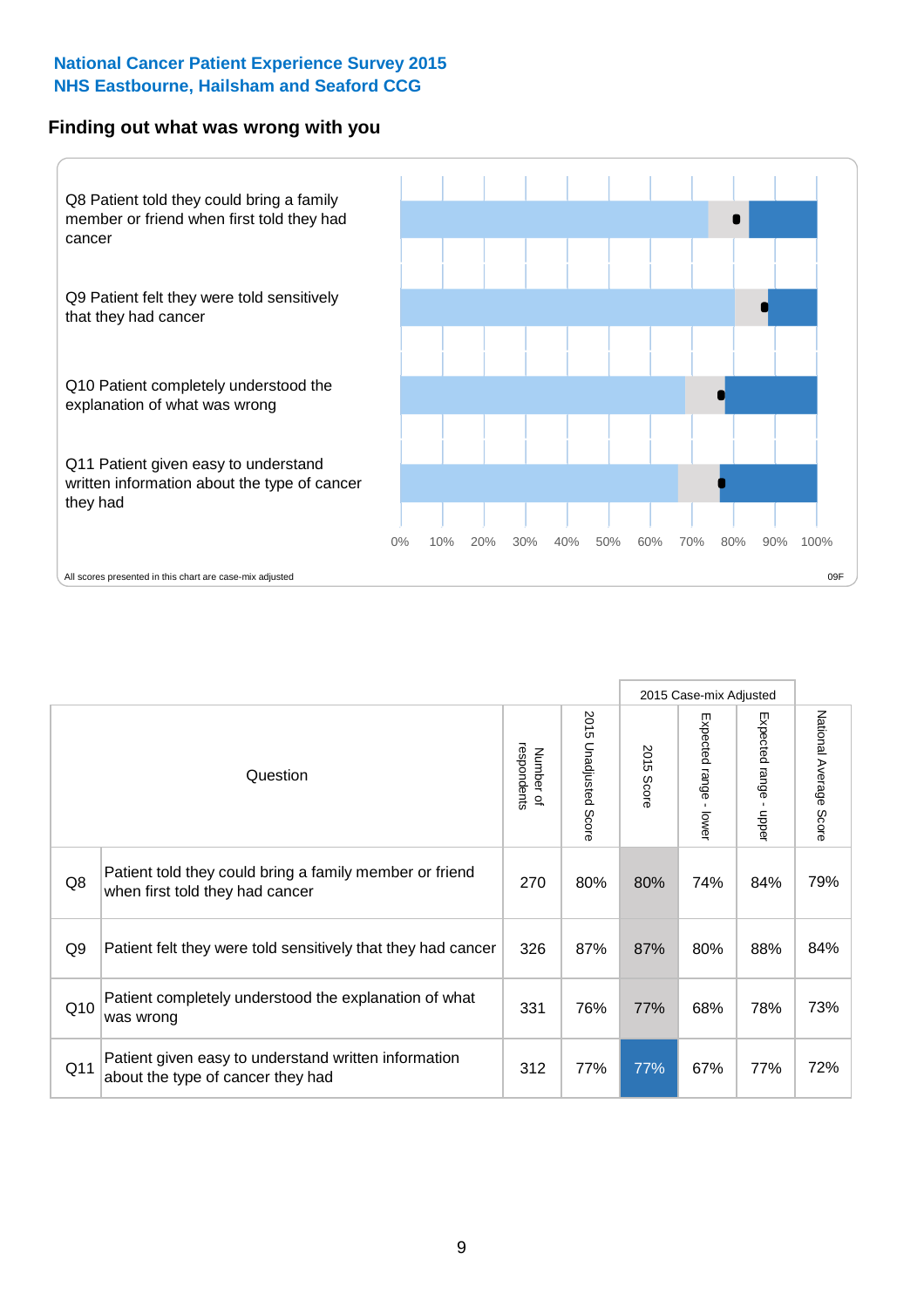#### **Finding out what was wrong with you**



|                 |                                                                                            |                          |                                      |               | 2015 Case-mix Adjusted                    |                        |                        |
|-----------------|--------------------------------------------------------------------------------------------|--------------------------|--------------------------------------|---------------|-------------------------------------------|------------------------|------------------------|
|                 | Question                                                                                   | respondents<br>Number of | 201<br>Cη<br><b>Unadjusted Score</b> | 2015<br>Score | Expected range<br>$\blacksquare$<br>lower | Expected range - upper | National Average Score |
| Q8              | Patient told they could bring a family member or friend<br>when first told they had cancer | 270                      | 80%                                  | 80%           | 74%                                       | 84%                    | 79%                    |
| Q <sub>9</sub>  | Patient felt they were told sensitively that they had cancer                               | 326                      | 87%                                  | 87%           | 80%                                       | 88%                    | 84%                    |
| Q10             | Patient completely understood the explanation of what<br>was wrong                         | 331                      | 76%                                  | 77%           | 68%                                       | 78%                    | 73%                    |
| Q <sub>11</sub> | Patient given easy to understand written information<br>about the type of cancer they had  | 312                      | 77%                                  | 77%           | 67%                                       | 77%                    | 72%                    |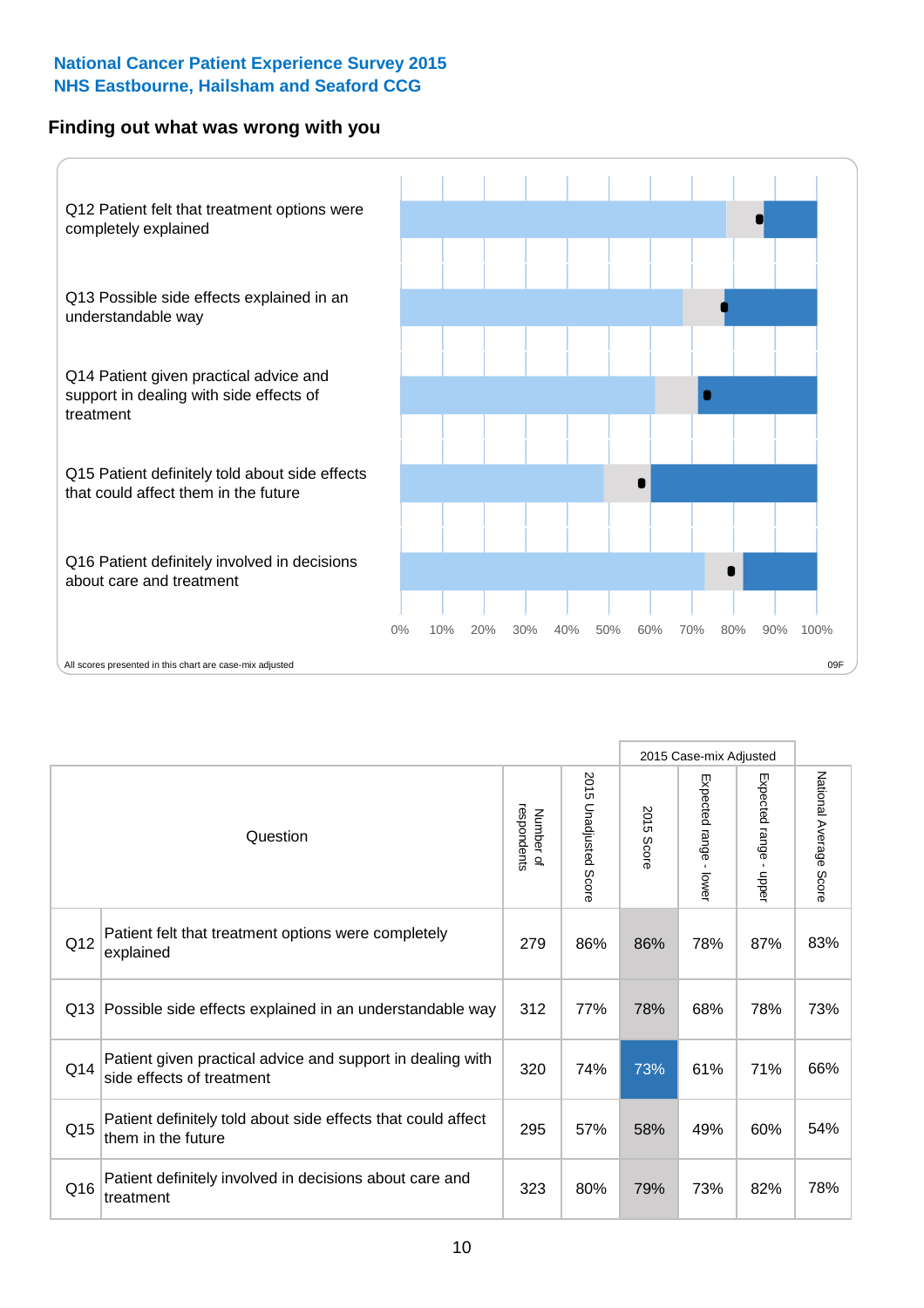### **Finding out what was wrong with you**



|                 |                                                                                         |                          |                                 |               | 2015 Case-mix Adjusted                  |                        |                        |
|-----------------|-----------------------------------------------------------------------------------------|--------------------------|---------------------------------|---------------|-----------------------------------------|------------------------|------------------------|
|                 | Question                                                                                | respondents<br>Number of | 2015<br><b>Unadjusted Score</b> | 2015<br>Score | Expected range<br>$\mathbf{r}$<br>lower | Expected range - upper | National Average Score |
| Q12             | Patient felt that treatment options were completely<br>explained                        | 279                      | 86%                             | 86%           | 78%                                     | 87%                    | 83%                    |
| Q13             | Possible side effects explained in an understandable way                                | 312                      | 77%                             | 78%           | 68%                                     | 78%                    | 73%                    |
| Q14             | Patient given practical advice and support in dealing with<br>side effects of treatment | 320                      | 74%                             | 73%           | 61%                                     | 71%                    | 66%                    |
| Q <sub>15</sub> | Patient definitely told about side effects that could affect<br>them in the future      | 295                      | 57%                             | 58%           | 49%                                     | 60%                    | 54%                    |
| Q16             | Patient definitely involved in decisions about care and<br>treatment                    | 323                      | 80%                             | 79%           | 73%                                     | 82%                    | 78%                    |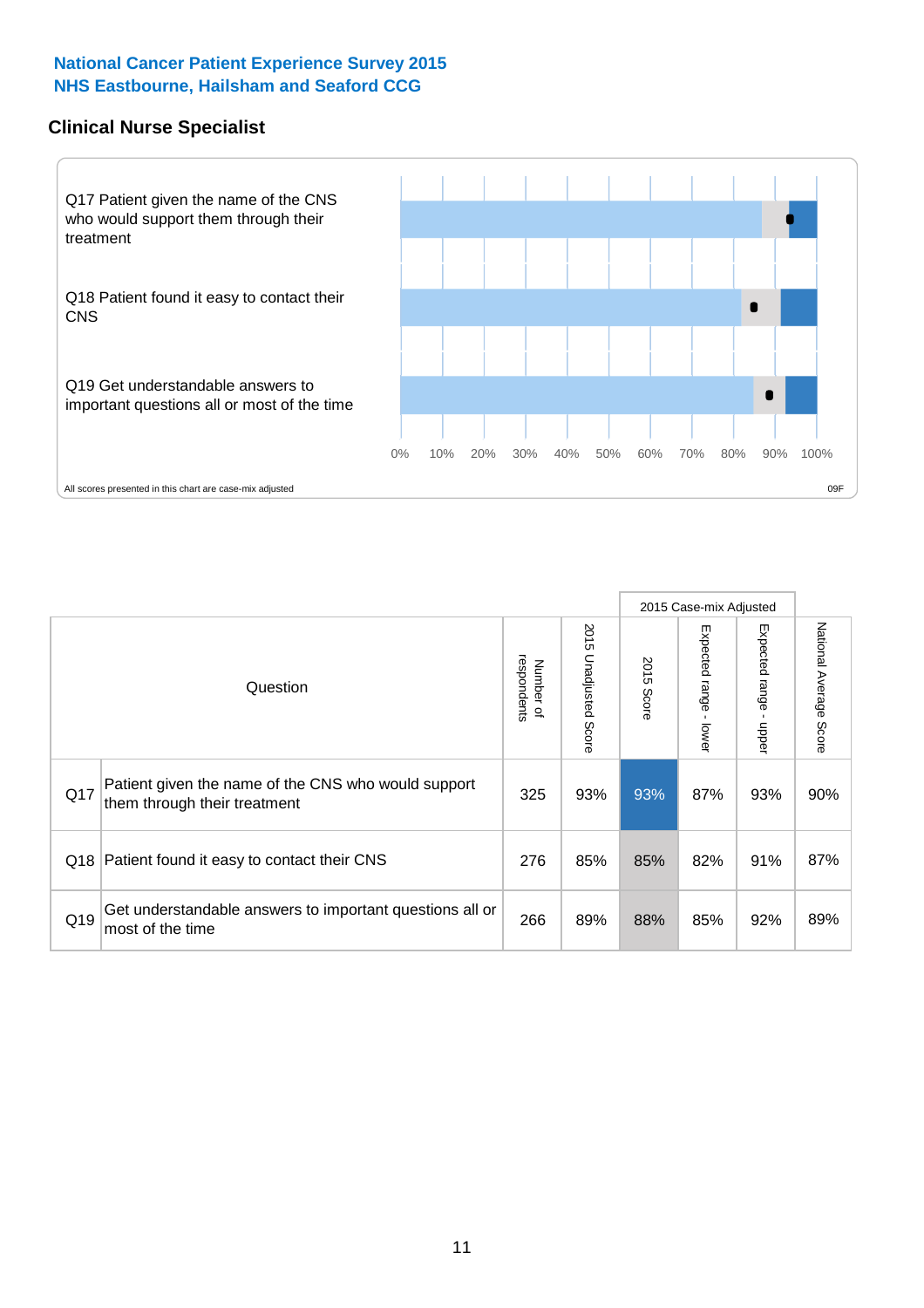### **Clinical Nurse Specialist**



|     |                                                                                     |                          |                       |               | 2015 Case-mix Adjusted  |                         |                                  |
|-----|-------------------------------------------------------------------------------------|--------------------------|-----------------------|---------------|-------------------------|-------------------------|----------------------------------|
|     | Question                                                                            | Number of<br>respondents | 2015 Unadjusted Score | 2015<br>Score | Expected range<br>lower | Expected range<br>nbber | National Average<br><b>Score</b> |
| Q17 | Patient given the name of the CNS who would support<br>them through their treatment | 325                      | 93%                   | 93%           | 87%                     | 93%                     | 90%                              |
| Q18 | Patient found it easy to contact their CNS                                          | 276                      | 85%                   | 85%           | 82%                     | 91%                     | 87%                              |
| Q19 | Get understandable answers to important questions all or<br>most of the time        | 266                      | 89%                   | 88%           | 85%                     | 92%                     | 89%                              |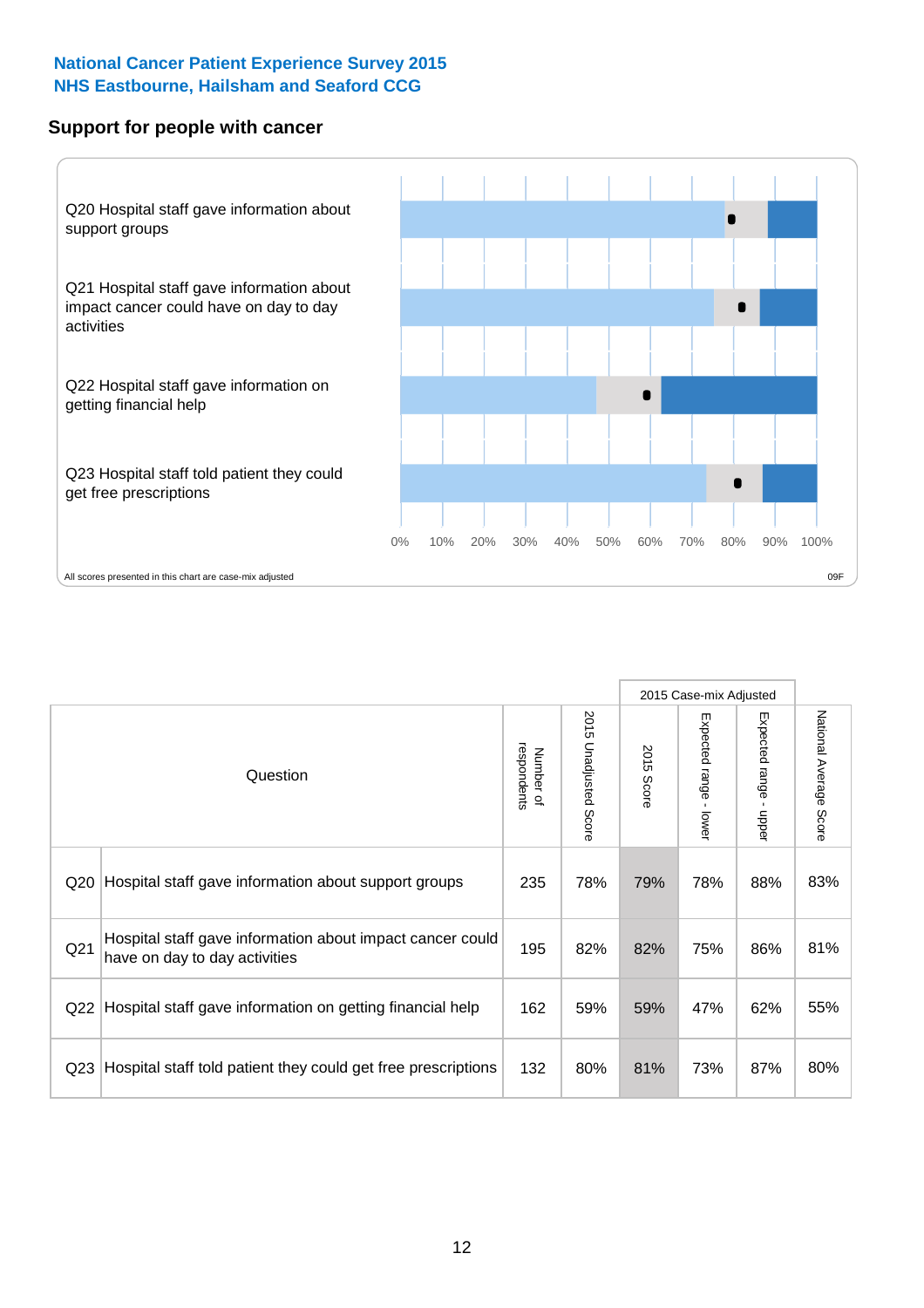#### **Support for people with cancer**



|                 |                                                                                            |                          |                                 |               | 2015 Case-mix Adjusted  |                                           |                        |
|-----------------|--------------------------------------------------------------------------------------------|--------------------------|---------------------------------|---------------|-------------------------|-------------------------------------------|------------------------|
|                 | Question                                                                                   | respondents<br>Number of | 2015<br><b>Unadjusted Score</b> | 2015<br>Score | Expected range<br>lower | Expected range<br>$\blacksquare$<br>nbber | National Average Score |
| Q <sub>20</sub> | Hospital staff gave information about support groups                                       | 235                      | 78%                             | 79%           | 78%                     | 88%                                       | 83%                    |
| Q <sub>21</sub> | Hospital staff gave information about impact cancer could<br>have on day to day activities | 195                      | 82%                             | 82%           | 75%                     | 86%                                       | 81%                    |
| Q <sub>22</sub> | Hospital staff gave information on getting financial help                                  | 162                      | 59%                             | 59%           | 47%                     | 62%                                       | 55%                    |
| Q <sub>23</sub> | Hospital staff told patient they could get free prescriptions                              | 132                      | 80%                             | 81%           | 73%                     | 87%                                       | 80%                    |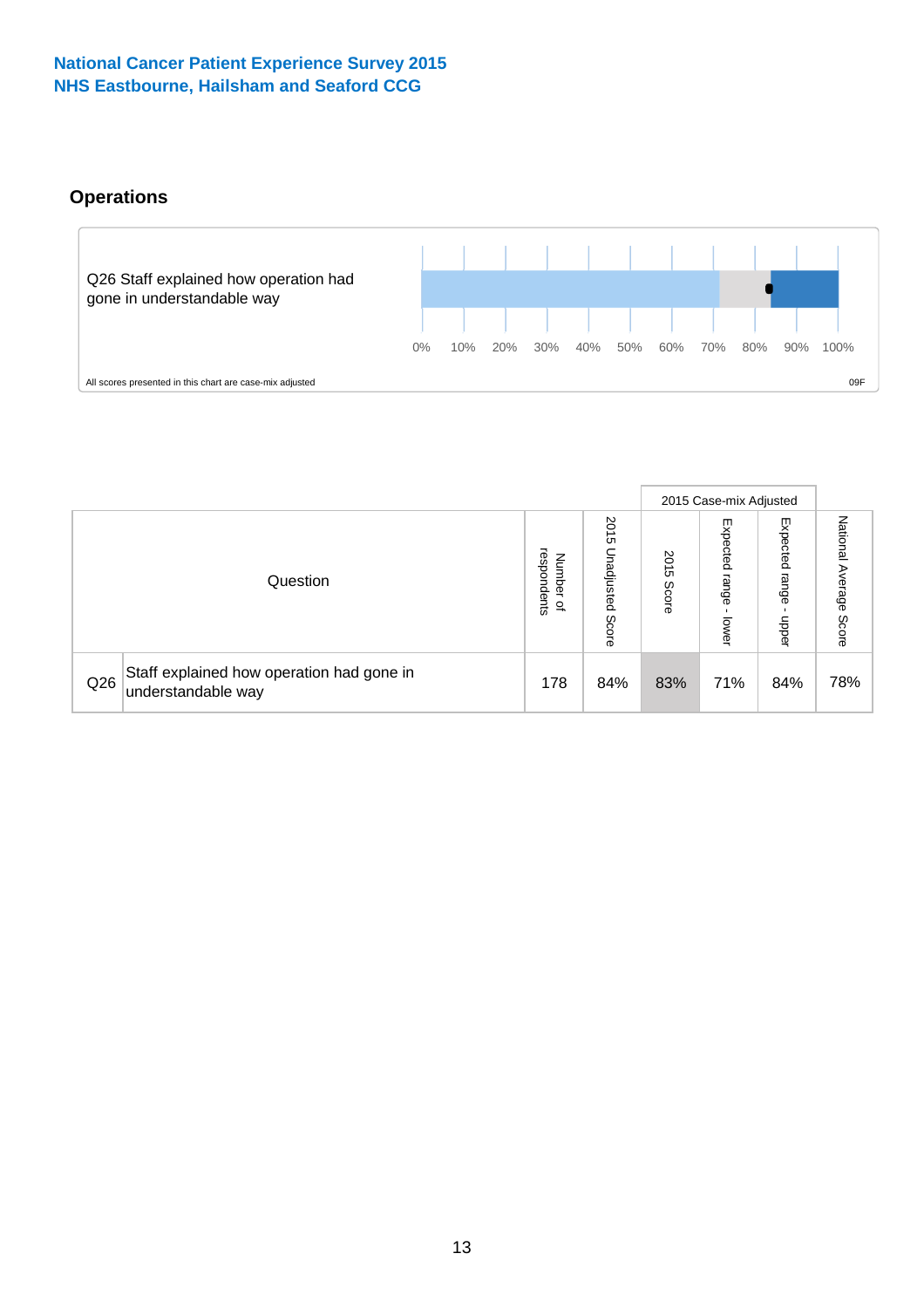## **Operations**



|     |                                                                 |                                              |                             |               | 2015 Case-mix Adjusted     |                           |                              |
|-----|-----------------------------------------------------------------|----------------------------------------------|-----------------------------|---------------|----------------------------|---------------------------|------------------------------|
|     | Question                                                        | respondents<br>Number<br>$\overline{\sigma}$ | 2015<br>Unadjusted<br>Score | 2015<br>Score | Expected<br>range<br>lower | Expected<br>range<br>dddn | National<br>Average<br>Score |
| Q26 | Staff explained how operation had gone in<br>understandable way | 178                                          | 84%                         | 83%           | 71%                        | 84%                       | 78%                          |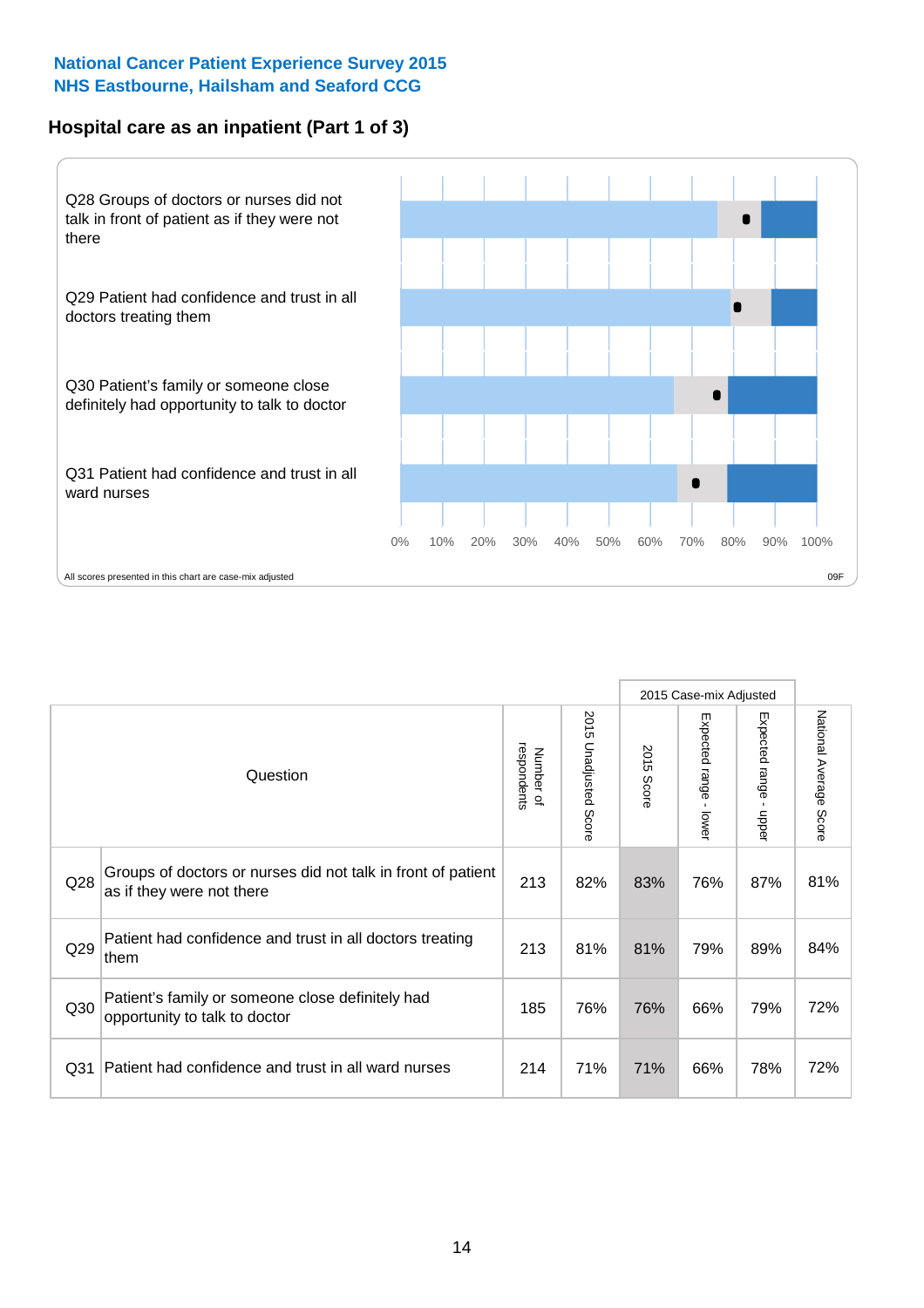### **Hospital care as an inpatient (Part 1 of 3)**



All scores presented in this chart are case-mix adjusted  $09F$ 

|                 |                                                                                           |                          |                       |                      | 2015 Case-mix Adjusted                  |                           |                        |
|-----------------|-------------------------------------------------------------------------------------------|--------------------------|-----------------------|----------------------|-----------------------------------------|---------------------------|------------------------|
|                 | Question                                                                                  | respondents<br>Number of | 2015 Unadjusted Score | 2015<br><b>Score</b> | Expected range<br>$\mathbf{r}$<br>lower | Expected range<br>- nbbeu | National Average Score |
| Q28             | Groups of doctors or nurses did not talk in front of patient<br>as if they were not there | 213                      | 82%                   | 83%                  | 76%                                     | 87%                       | 81%                    |
| Q29             | Patient had confidence and trust in all doctors treating<br>them                          | 213                      | 81%                   | 81%                  | 79%                                     | 89%                       | 84%                    |
| Q30             | Patient's family or someone close definitely had<br>opportunity to talk to doctor         | 185                      | 76%                   | 76%                  | 66%                                     | 79%                       | 72%                    |
| Q <sub>31</sub> | Patient had confidence and trust in all ward nurses                                       | 214                      | 71%                   | 71%                  | 66%                                     | 78%                       | 72%                    |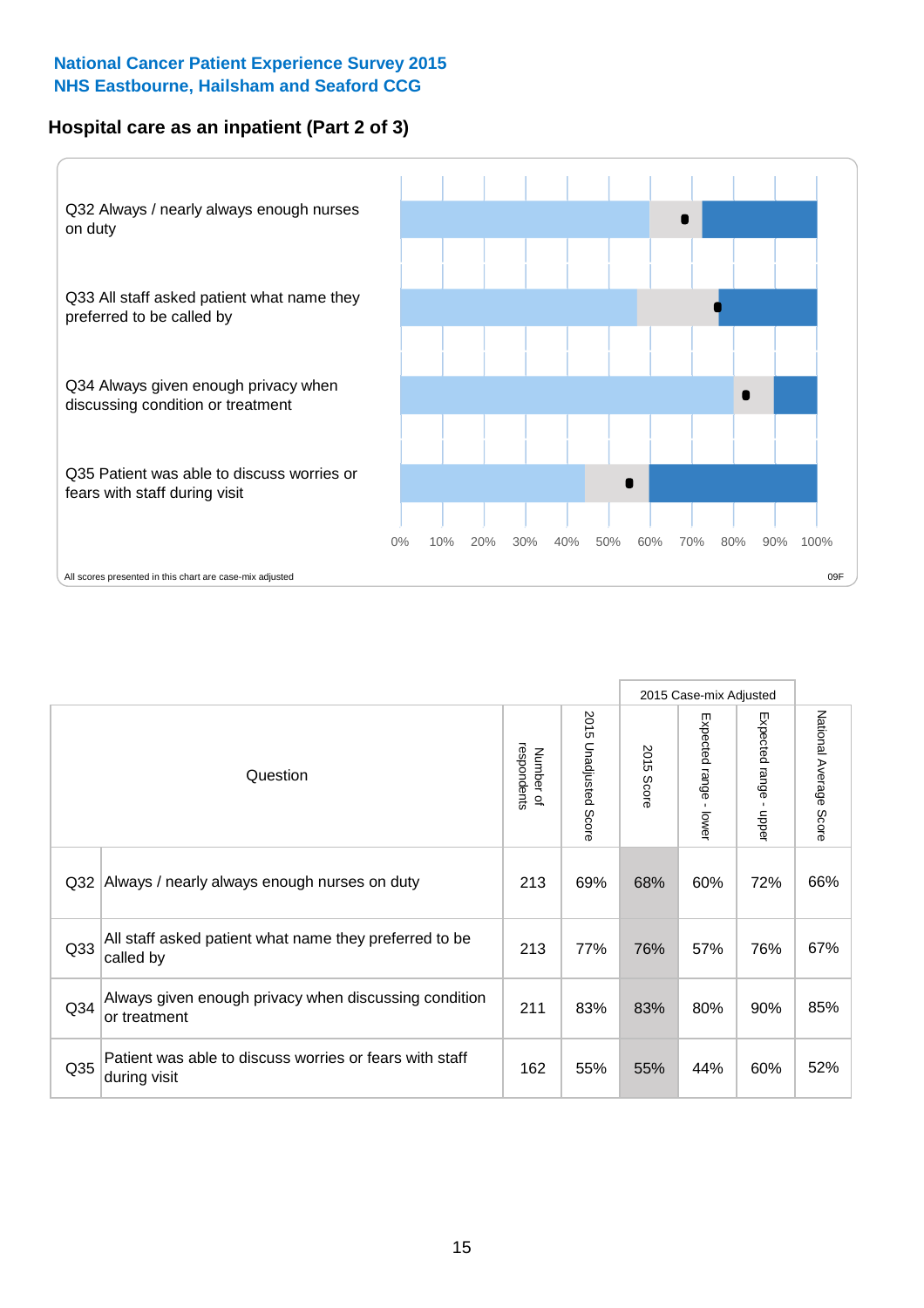### **Hospital care as an inpatient (Part 2 of 3)**



|                 |                                                                         |                          |                          |               | 2015 Case-mix Adjusted |                        |                           |
|-----------------|-------------------------------------------------------------------------|--------------------------|--------------------------|---------------|------------------------|------------------------|---------------------------|
|                 | Question                                                                | respondents<br>Number of | 2015<br>Unadjusted Score | 2015<br>Score | Expected range - lower | Expected range - upper | National Average<br>Score |
| Q <sub>32</sub> | Always / nearly always enough nurses on duty                            | 213                      | 69%                      | 68%           | 60%                    | 72%                    | 66%                       |
| Q <sub>33</sub> | All staff asked patient what name they preferred to be<br>called by     | 213                      | 77%                      | 76%           | 57%                    | 76%                    | 67%                       |
| Q <sub>34</sub> | Always given enough privacy when discussing condition<br>or treatment   | 211                      | 83%                      | 83%           | 80%                    | 90%                    | 85%                       |
| Q <sub>35</sub> | Patient was able to discuss worries or fears with staff<br>during visit | 162                      | 55%                      | 55%           | 44%                    | 60%                    | 52%                       |
|                 |                                                                         |                          |                          |               |                        |                        |                           |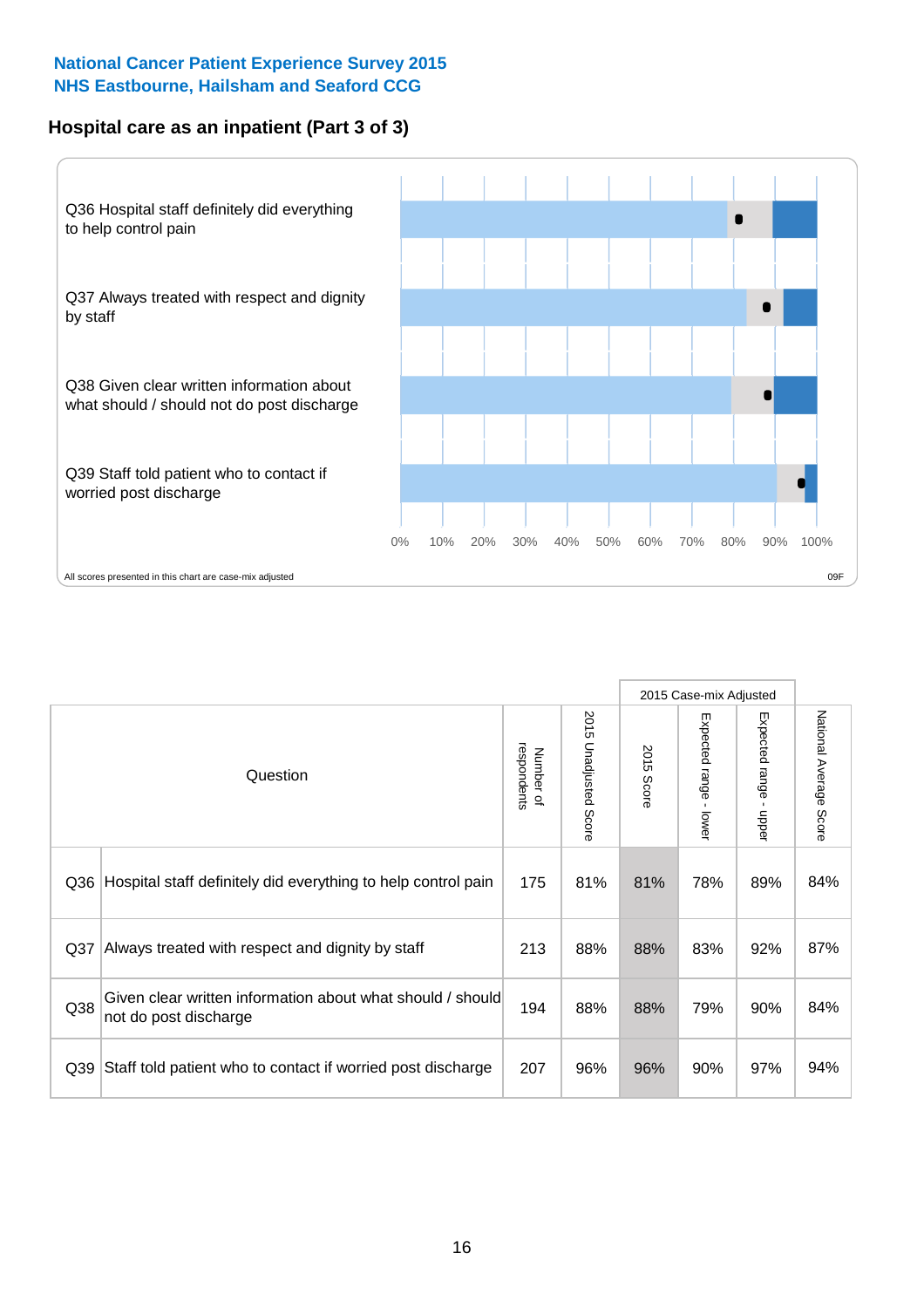### **Hospital care as an inpatient (Part 3 of 3)**



|     |                                                                                     |                          |                                 |               | 2015 Case-mix Adjusted                    |                           |                        |
|-----|-------------------------------------------------------------------------------------|--------------------------|---------------------------------|---------------|-------------------------------------------|---------------------------|------------------------|
|     | Question                                                                            | respondents<br>Number of | 2015<br><b>Unadjusted Score</b> | 2015<br>Score | Expected range<br>$\blacksquare$<br>lower | Expected range<br>- nbbeu | National Average Score |
| Q36 | Hospital staff definitely did everything to help control pain                       | 175                      | 81%                             | 81%           | 78%                                       | 89%                       | 84%                    |
| Q37 | Always treated with respect and dignity by staff                                    | 213                      | 88%                             | 88%           | 83%                                       | 92%                       | 87%                    |
| Q38 | Given clear written information about what should / should<br>not do post discharge | 194                      | 88%                             | 88%           | 79%                                       | 90%                       | 84%                    |
| Q39 | Staff told patient who to contact if worried post discharge                         | 207                      | 96%                             | 96%           | 90%                                       | 97%                       | 94%                    |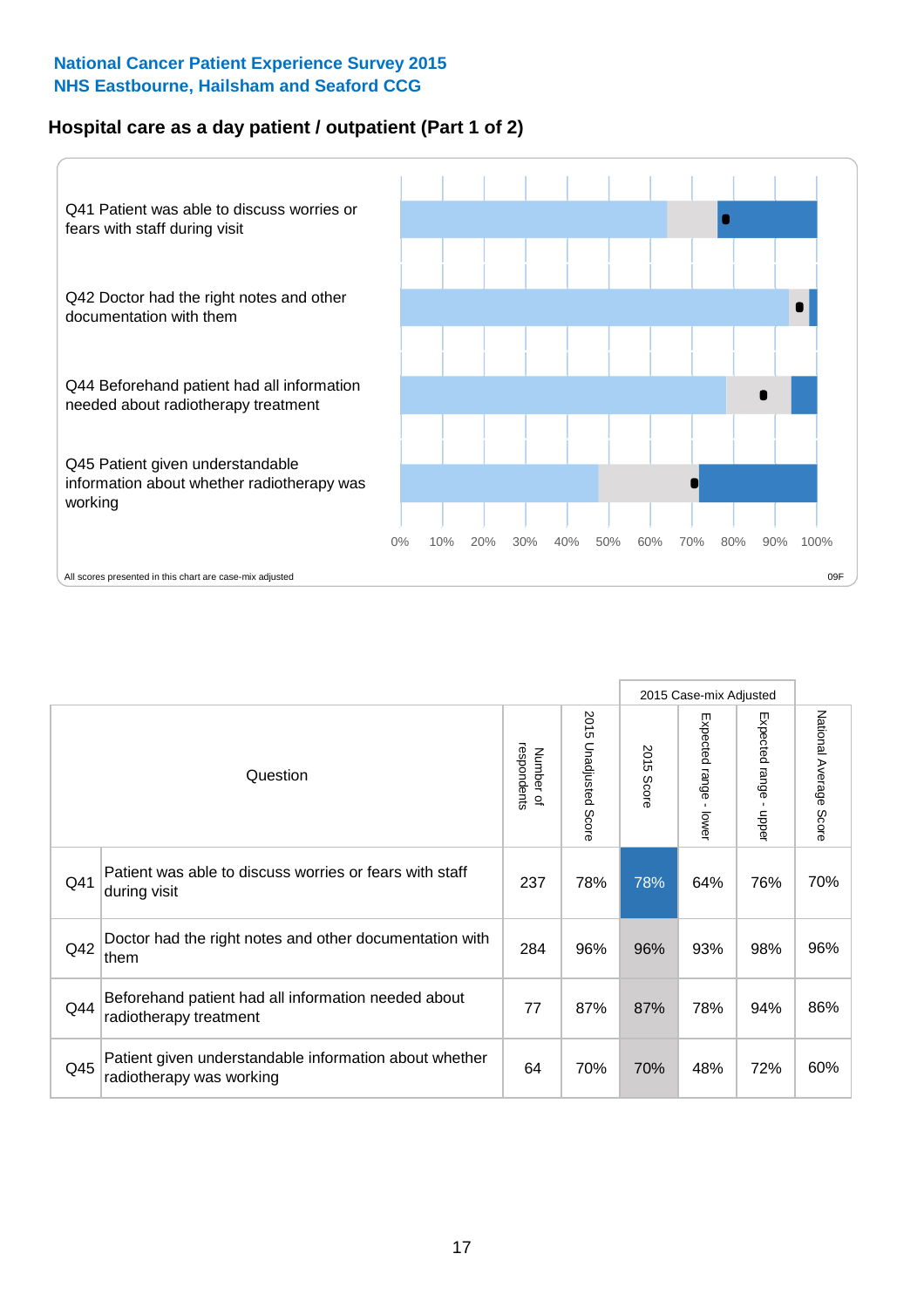### **Hospital care as a day patient / outpatient (Part 1 of 2)**



|     |                                                                                    |                          |                                 |               | 2015 Case-mix Adjusted                  |                                           |                        |
|-----|------------------------------------------------------------------------------------|--------------------------|---------------------------------|---------------|-----------------------------------------|-------------------------------------------|------------------------|
|     | Question                                                                           | respondents<br>Number of | 2015<br><b>Unadjusted Score</b> | 2015<br>Score | Expected range<br>$\mathbf{r}$<br>lower | Expected range<br>$\blacksquare$<br>nbber | National Average Score |
| Q41 | Patient was able to discuss worries or fears with staff<br>during visit            | 237                      | 78%                             | 78%           | 64%                                     | 76%                                       | 70%                    |
| Q42 | Doctor had the right notes and other documentation with<br>∣them                   | 284                      | 96%                             | 96%           | 93%                                     | 98%                                       | 96%                    |
| Q44 | Beforehand patient had all information needed about<br>radiotherapy treatment      | 77                       | 87%                             | 87%           | 78%                                     | 94%                                       | 86%                    |
| Q45 | Patient given understandable information about whether<br>radiotherapy was working | 64                       | 70%                             | 70%           | 48%                                     | 72%                                       | 60%                    |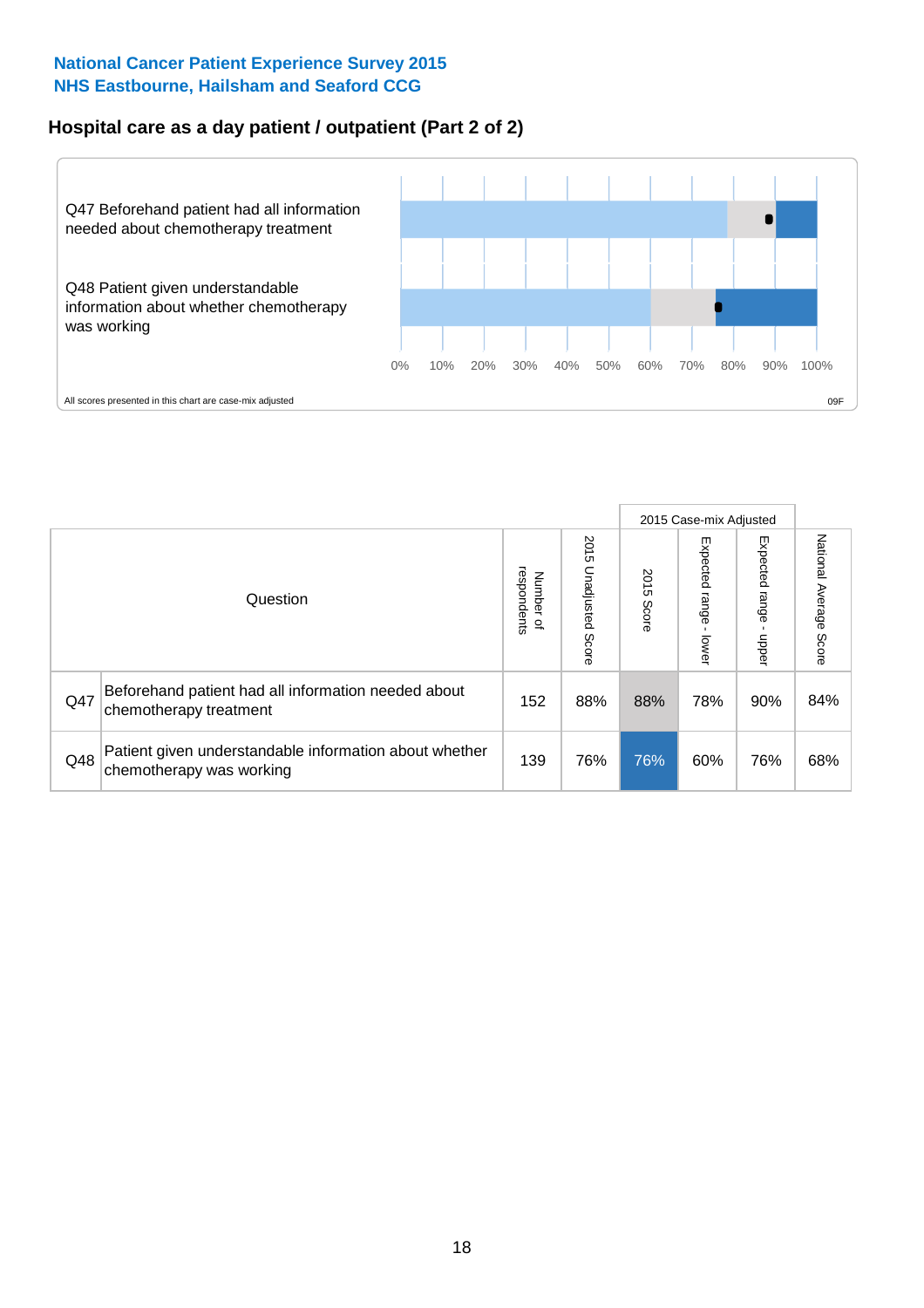# **Hospital care as a day patient / outpatient (Part 2 of 2)**



|     |                                                                                    |                                       |                             |               | 2015 Case-mix Adjusted      |                         |                           |
|-----|------------------------------------------------------------------------------------|---------------------------------------|-----------------------------|---------------|-----------------------------|-------------------------|---------------------------|
|     | Question                                                                           | respondents<br>Number<br>$\mathbf{Q}$ | 2015<br>Unadjusted<br>Score | 2015<br>Score | Expected<br>Irange<br>lower | Expected range<br>doper | National Average<br>Score |
| Q47 | Beforehand patient had all information needed about<br>chemotherapy treatment      | 152                                   | 88%                         | 88%           | 78%                         | 90%                     | 84%                       |
| Q48 | Patient given understandable information about whether<br>chemotherapy was working | 139                                   | 76%                         | 76%           | 60%                         | 76%                     | 68%                       |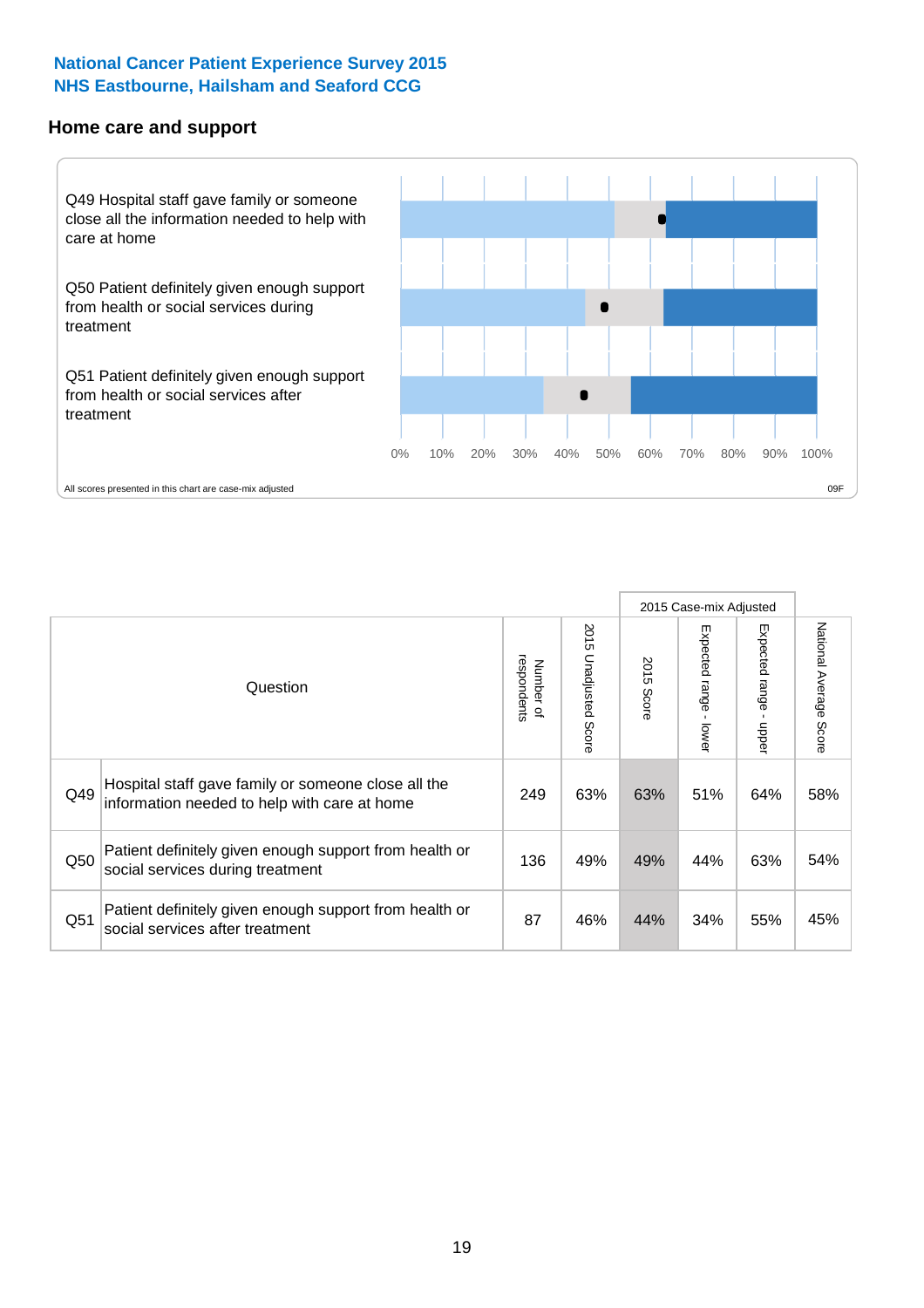#### **Home care and support**



2015 Case-mix Adjusted 2015 Unadjusted Score Expected range - upper National Average Score 2015 Unadjusted Score Expected range - lower National Average Score Expected range - lower Expected range - upper Number of<br>respondents respondents 2015 Score 2015 Score Number of Question Hospital staff gave family or someone close all the  $Q49$  information needed to help with care at home  $Q49$  | 63% 63% 51% 64% 58% Patient definitely given enough support from health or Q50 social services during treatment 136 | 49% 49% 44% 63% 54% Patient definitely given enough support from health or  $\frac{34\%}{34\%}$  social services after treatment  $\frac{34\%}{34\%}$  34%  $\frac{34\%}{55\%}$  45%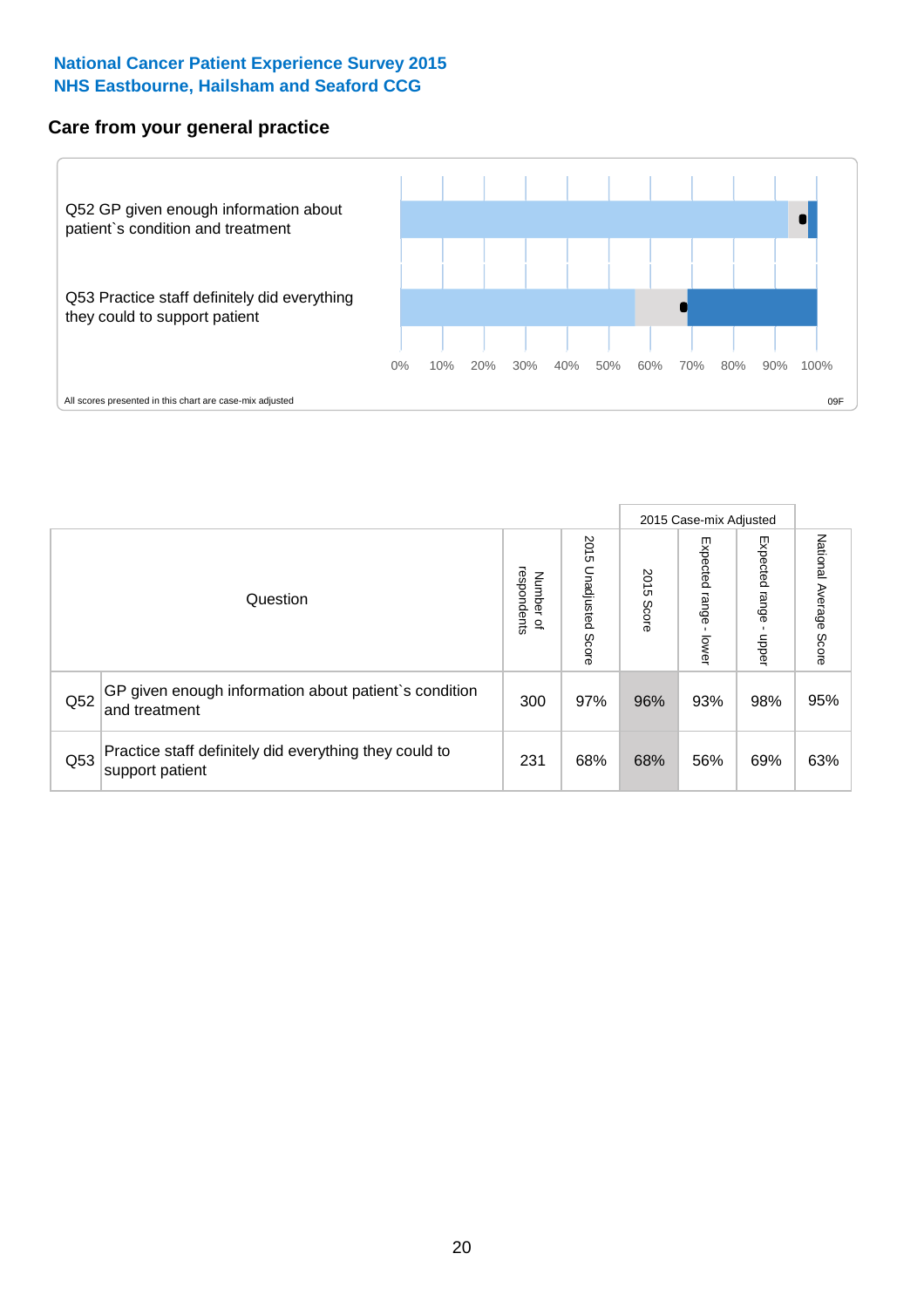### **Care from your general practice**



|     |                                                                           |                                       |                             |               |                                   | 2015 Case-mix Adjusted     |                           |
|-----|---------------------------------------------------------------------------|---------------------------------------|-----------------------------|---------------|-----------------------------------|----------------------------|---------------------------|
|     | Question                                                                  | respondents<br>Number<br>$\mathbf{Q}$ | 2015<br>Unadjusted<br>Score | 2015<br>Score | Expected<br><b>Lange</b><br>lower | Expected<br>range<br>doper | National Average<br>Score |
| Q52 | GP given enough information about patient's condition<br>and treatment    | 300                                   | 97%                         | 96%           | 93%                               | 98%                        | 95%                       |
| Q53 | Practice staff definitely did everything they could to<br>support patient | 231                                   | 68%                         | 68%           | 56%                               | 69%                        | 63%                       |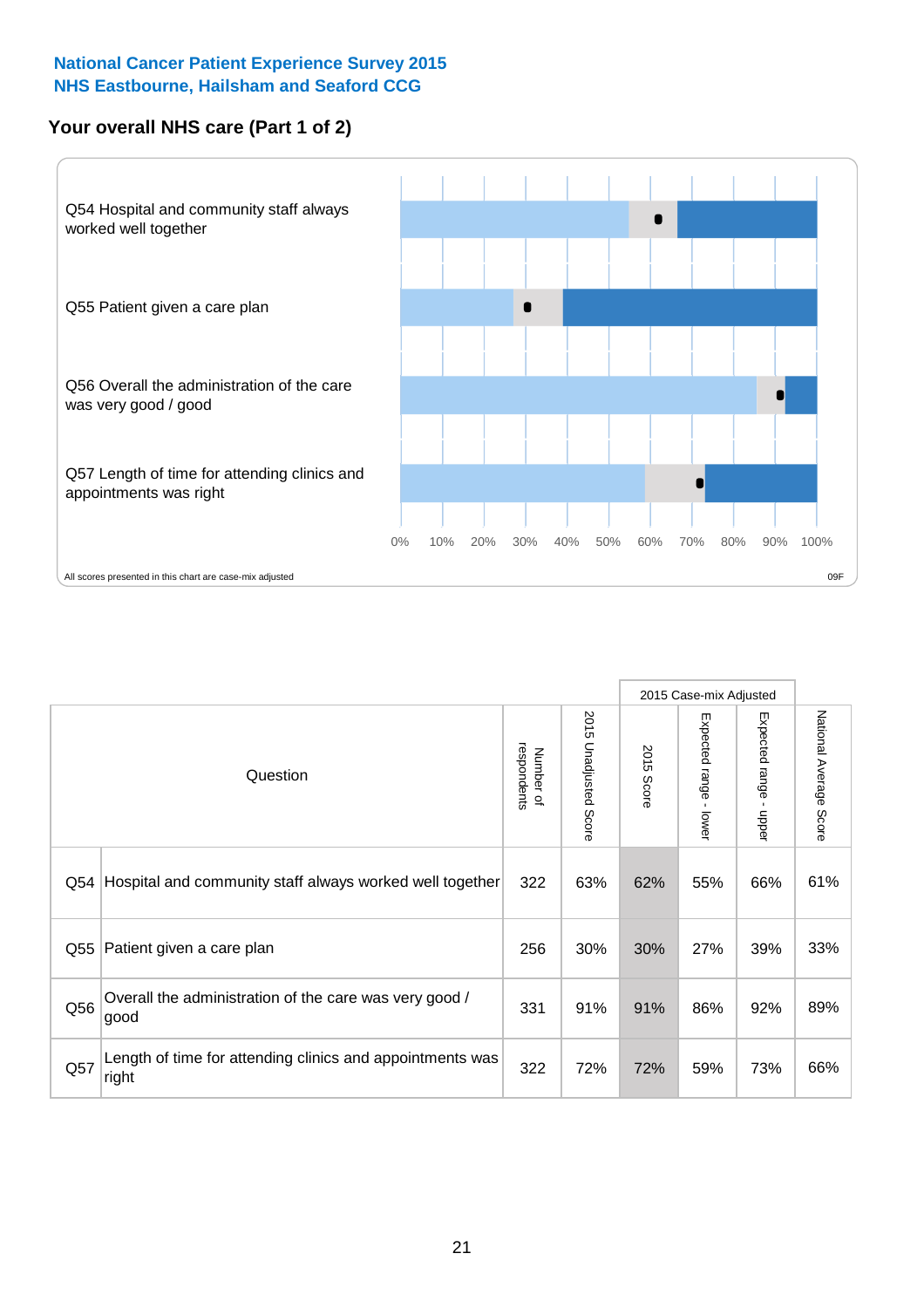### **Your overall NHS care (Part 1 of 2)**



|     |                                                                    |                          |                             |               | 2015 Case-mix Adjusted                    |                        |                        |
|-----|--------------------------------------------------------------------|--------------------------|-----------------------------|---------------|-------------------------------------------|------------------------|------------------------|
|     | Question                                                           | respondents<br>Number of | 2015<br>Unadjusted<br>Score | 2015<br>Score | Expected range<br>$\blacksquare$<br>lower | Expected range - upper | National Average Score |
| Q54 | Hospital and community staff always worked well together           | 322                      | 63%                         | 62%           | 55%                                       | 66%                    | 61%                    |
| Q55 | Patient given a care plan                                          | 256                      | 30%                         | 30%           | 27%                                       | 39%                    | 33%                    |
| Q56 | Overall the administration of the care was very good /<br>good     | 331                      | 91%                         | 91%           | 86%                                       | 92%                    | 89%                    |
| Q57 | Length of time for attending clinics and appointments was<br>right | 322                      | 72%                         | 72%           | 59%                                       | 73%                    | 66%                    |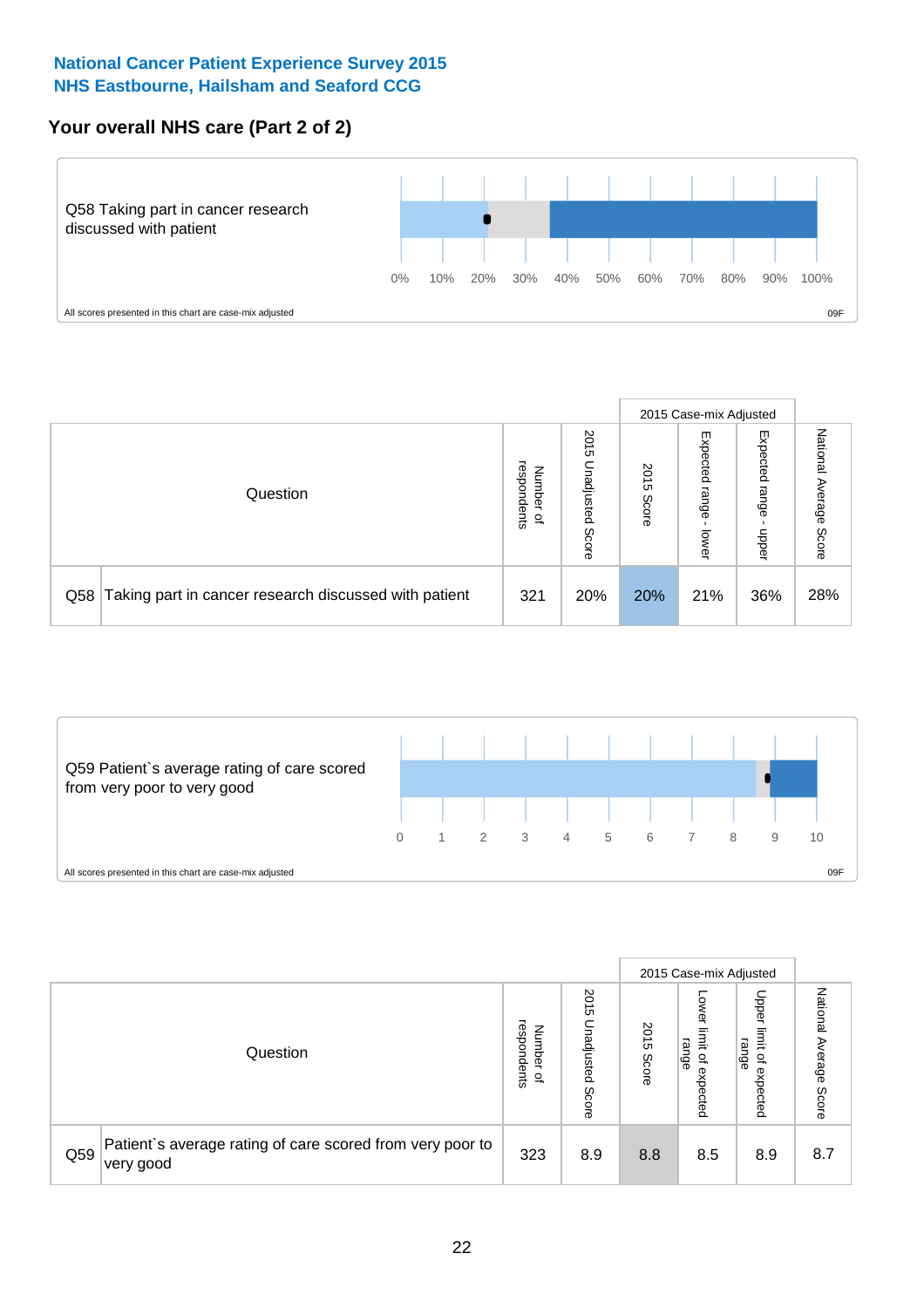# **Your overall NHS care (Part 2 of 2)**



|     |                                                       |                                   |                             |               |                            | 2015 Case-mix Adjusted     |                           |
|-----|-------------------------------------------------------|-----------------------------------|-----------------------------|---------------|----------------------------|----------------------------|---------------------------|
|     | Question                                              | respondents<br>Number<br>$\Omega$ | 2015<br>Unadjusted<br>Score | 2015<br>Score | Expected<br>range<br>lower | Expected<br>range<br>doper | National<br>Average Score |
| Q58 | Taking part in cancer research discussed with patient | 321                               | 20%                         | 20%           | 21%                        | 36%                        | 28%                       |



|     |                                                                        |                                              |                             |               |                                         | 2015 Case-mix Adjusted                                |                              |
|-----|------------------------------------------------------------------------|----------------------------------------------|-----------------------------|---------------|-----------------------------------------|-------------------------------------------------------|------------------------------|
|     | Question                                                               | respondents<br>Number<br>$\overline{\sigma}$ | 2015<br>Jnadjusted<br>Score | 2015<br>Score | OWer<br>limit<br>range<br>٩<br>expected | Upper<br>limit<br>range<br>$\overline{a}$<br>expected | National<br>Average<br>Score |
| Q59 | Patient's average rating of care scored from very poor to<br>very good | 323                                          | 8.9                         | 8.8           | 8.5                                     | 8.9                                                   | 8.7                          |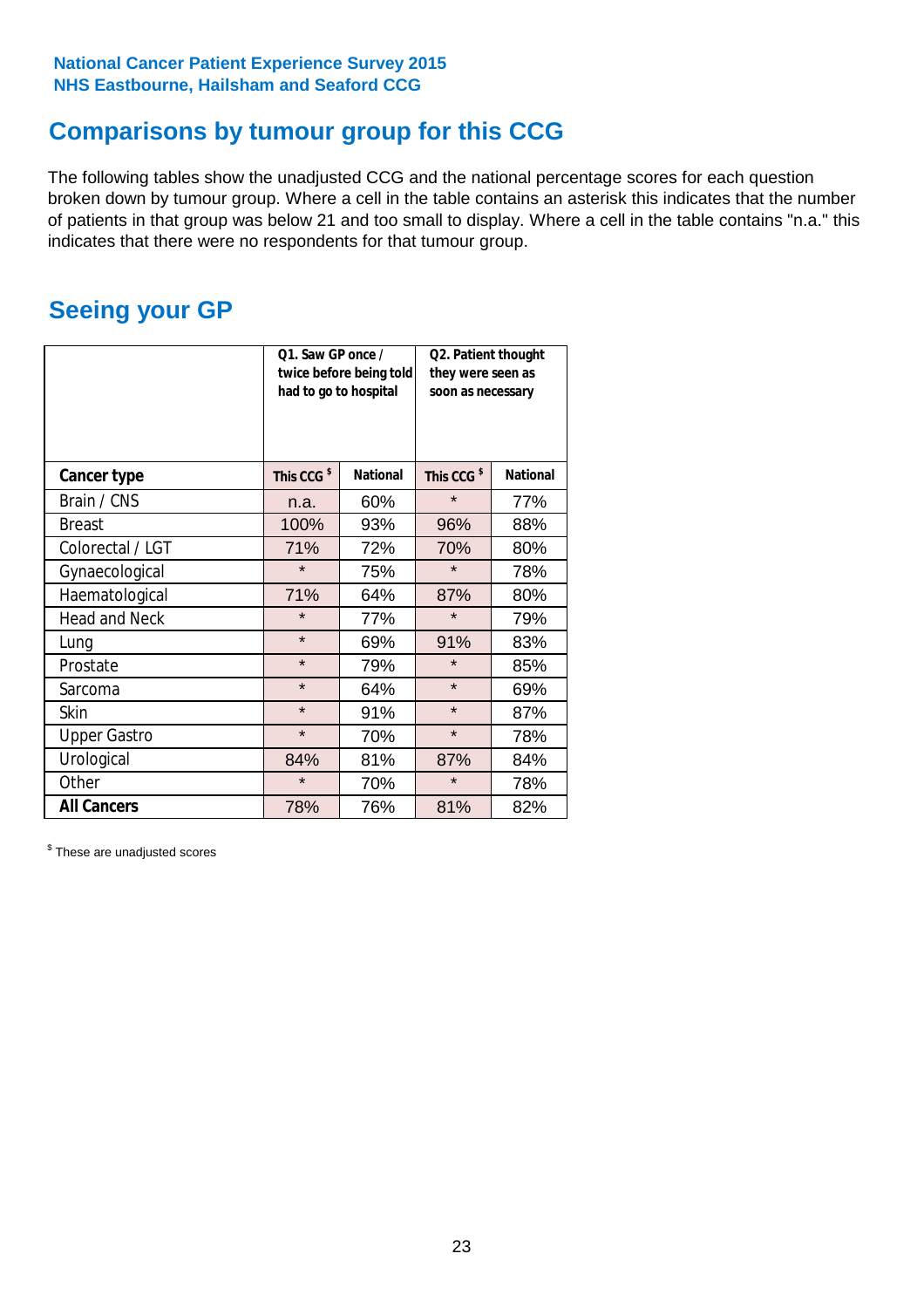# **Comparisons by tumour group for this CCG**

The following tables show the unadjusted CCG and the national percentage scores for each question broken down by tumour group. Where a cell in the table contains an asterisk this indicates that the number of patients in that group was below 21 and too small to display. Where a cell in the table contains "n.a." this indicates that there were no respondents for that tumour group.

# **Seeing your GP**

|                      | Q1. Saw GP once /<br>had to go to hospital | twice before being told | Q2. Patient thought<br>they were seen as<br>soon as necessary |                 |  |
|----------------------|--------------------------------------------|-------------------------|---------------------------------------------------------------|-----------------|--|
| <b>Cancer type</b>   | This CCG <sup>\$</sup>                     | <b>National</b>         | This CCG <sup>\$</sup>                                        | <b>National</b> |  |
| Brain / CNS          | n.a.                                       | 60%                     | $\star$                                                       | 77%             |  |
| <b>Breast</b>        | 100%                                       | 93%                     | 96%                                                           | 88%             |  |
| Colorectal / LGT     | 71%                                        | 72%                     | 70%                                                           | 80%             |  |
| Gynaecological       | $\star$                                    | 75%                     | $\star$                                                       | 78%             |  |
| Haematological       | 71%                                        | 64%                     | 87%                                                           | 80%             |  |
| <b>Head and Neck</b> | $\star$                                    | 77%                     | $\star$                                                       | 79%             |  |
| Lung                 | $\star$                                    | 69%                     | 91%                                                           | 83%             |  |
| Prostate             | $\star$                                    | 79%                     | $\star$                                                       | 85%             |  |
| Sarcoma              | $\star$                                    | 64%                     | $\star$                                                       | 69%             |  |
| <b>Skin</b>          | $\star$                                    | 91%                     | $\star$                                                       | 87%             |  |
| <b>Upper Gastro</b>  | $\star$                                    | 70%                     | $\star$                                                       | 78%             |  |
| Urological           | 84%                                        | 81%                     | 87%                                                           | 84%             |  |
| Other                | $\star$                                    | 70%                     | $\star$                                                       | 78%             |  |
| <b>All Cancers</b>   | 78%                                        | 76%                     | 81%                                                           | 82%             |  |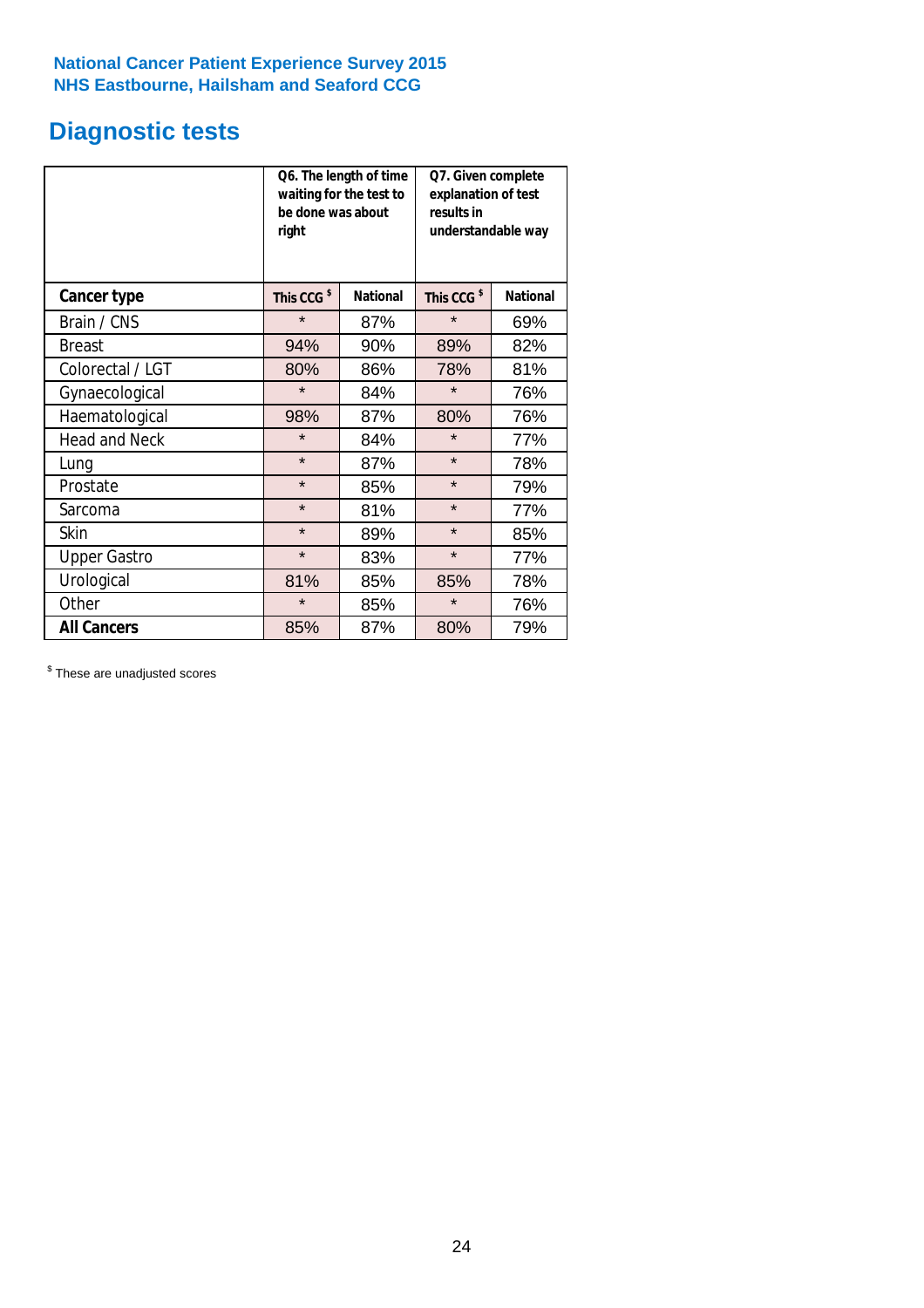# **Diagnostic tests**

|                      | be done was about<br>right | Q6. The length of time<br>waiting for the test to | Q7. Given complete<br>explanation of test<br>results in<br>understandable way |                 |
|----------------------|----------------------------|---------------------------------------------------|-------------------------------------------------------------------------------|-----------------|
| <b>Cancer type</b>   | This CCG <sup>\$</sup>     | <b>National</b>                                   | This CCG <sup>\$</sup>                                                        | <b>National</b> |
| Brain / CNS          | $\star$                    | 87%                                               | $\star$                                                                       | 69%             |
| <b>Breast</b>        | 94%                        | 90%                                               | 89%                                                                           | 82%             |
| Colorectal / LGT     | 80%                        | 86%                                               | 78%                                                                           | 81%             |
| Gynaecological       | $\star$                    | 84%                                               | $\star$                                                                       | 76%             |
| Haematological       | 98%                        | 87%                                               | 80%                                                                           | 76%             |
| <b>Head and Neck</b> | $\star$                    | 84%                                               | $\star$                                                                       | 77%             |
| Lung                 | $\star$                    | 87%                                               | $\star$                                                                       | 78%             |
| Prostate             | $\star$                    | 85%                                               | $\star$                                                                       | 79%             |
| Sarcoma              | $\star$                    | 81%                                               | $\star$                                                                       | 77%             |
| <b>Skin</b>          | $\star$                    | 89%                                               | $\star$                                                                       | 85%             |
| <b>Upper Gastro</b>  | $\star$                    | 83%                                               | $\star$                                                                       | 77%             |
| Urological           | 81%                        | 85%                                               | 85%                                                                           | 78%             |
| Other                | $\star$                    | 85%                                               | $\star$                                                                       | 76%             |
| <b>All Cancers</b>   | 85%                        | 87%                                               | 80%                                                                           | 79%             |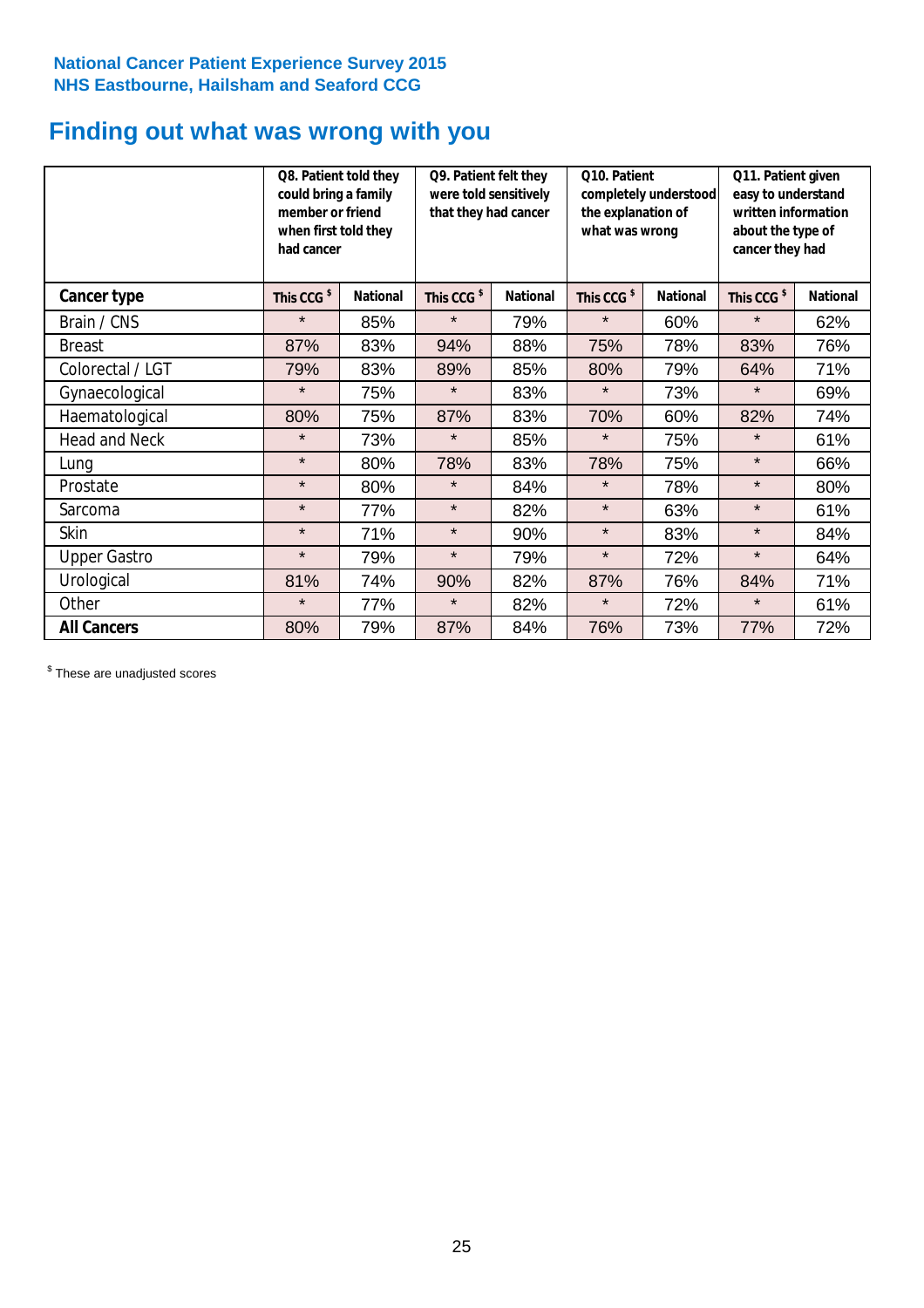# **Finding out what was wrong with you**

|                      | Q8. Patient told they<br>could bring a family<br>member or friend<br>when first told they<br>had cancer |                 | Q9. Patient felt they<br>were told sensitively<br>that they had cancer |                 | Q10. Patient<br>completely understood<br>the explanation of<br>what was wrong |                 | Q11. Patient given<br>easy to understand<br>written information<br>about the type of<br>cancer they had |                 |
|----------------------|---------------------------------------------------------------------------------------------------------|-----------------|------------------------------------------------------------------------|-----------------|-------------------------------------------------------------------------------|-----------------|---------------------------------------------------------------------------------------------------------|-----------------|
| Cancer type          | This CCG <sup>\$</sup>                                                                                  | <b>National</b> | This CCG <sup>\$</sup>                                                 | <b>National</b> | This CCG <sup>\$</sup>                                                        | <b>National</b> | This CCG <sup>\$</sup>                                                                                  | <b>National</b> |
| Brain / CNS          | $\star$                                                                                                 | 85%             | $\star$                                                                | 79%             | $\star$                                                                       | 60%             | $\star$                                                                                                 | 62%             |
| <b>Breast</b>        | 87%                                                                                                     | 83%             | 94%                                                                    | 88%             | 75%                                                                           | 78%             | 83%                                                                                                     | 76%             |
| Colorectal / LGT     | 79%                                                                                                     | 83%             | 89%                                                                    | 85%             | 80%                                                                           | 79%             | 64%                                                                                                     | 71%             |
| Gynaecological       | $\star$                                                                                                 | 75%             | $\star$                                                                | 83%             | $\star$                                                                       | 73%             | $\star$                                                                                                 | 69%             |
| Haematological       | 80%                                                                                                     | 75%             | 87%                                                                    | 83%             | 70%                                                                           | 60%             | 82%                                                                                                     | 74%             |
| <b>Head and Neck</b> | $\star$                                                                                                 | 73%             | $\star$                                                                | 85%             | $\star$                                                                       | 75%             | $\star$                                                                                                 | 61%             |
| Lung                 | $\star$                                                                                                 | 80%             | 78%                                                                    | 83%             | 78%                                                                           | 75%             | $\star$                                                                                                 | 66%             |
| Prostate             | $\star$                                                                                                 | 80%             | $\star$                                                                | 84%             | $\star$                                                                       | 78%             | $\star$                                                                                                 | 80%             |
| Sarcoma              | $\star$                                                                                                 | 77%             | $\star$                                                                | 82%             | $\star$                                                                       | 63%             | $\star$                                                                                                 | 61%             |
| Skin                 | $\star$                                                                                                 | 71%             | $\star$                                                                | 90%             | $\star$                                                                       | 83%             | $\star$                                                                                                 | 84%             |
| <b>Upper Gastro</b>  | $\star$                                                                                                 | 79%             | $\star$                                                                | 79%             | $\star$                                                                       | 72%             | $\star$                                                                                                 | 64%             |
| Urological           | 81%                                                                                                     | 74%             | 90%                                                                    | 82%             | 87%                                                                           | 76%             | 84%                                                                                                     | 71%             |
| Other                | $\star$                                                                                                 | 77%             | $\star$                                                                | 82%             | $\star$                                                                       | 72%             | $\star$                                                                                                 | 61%             |
| <b>All Cancers</b>   | 80%                                                                                                     | 79%             | 87%                                                                    | 84%             | 76%                                                                           | 73%             | 77%                                                                                                     | 72%             |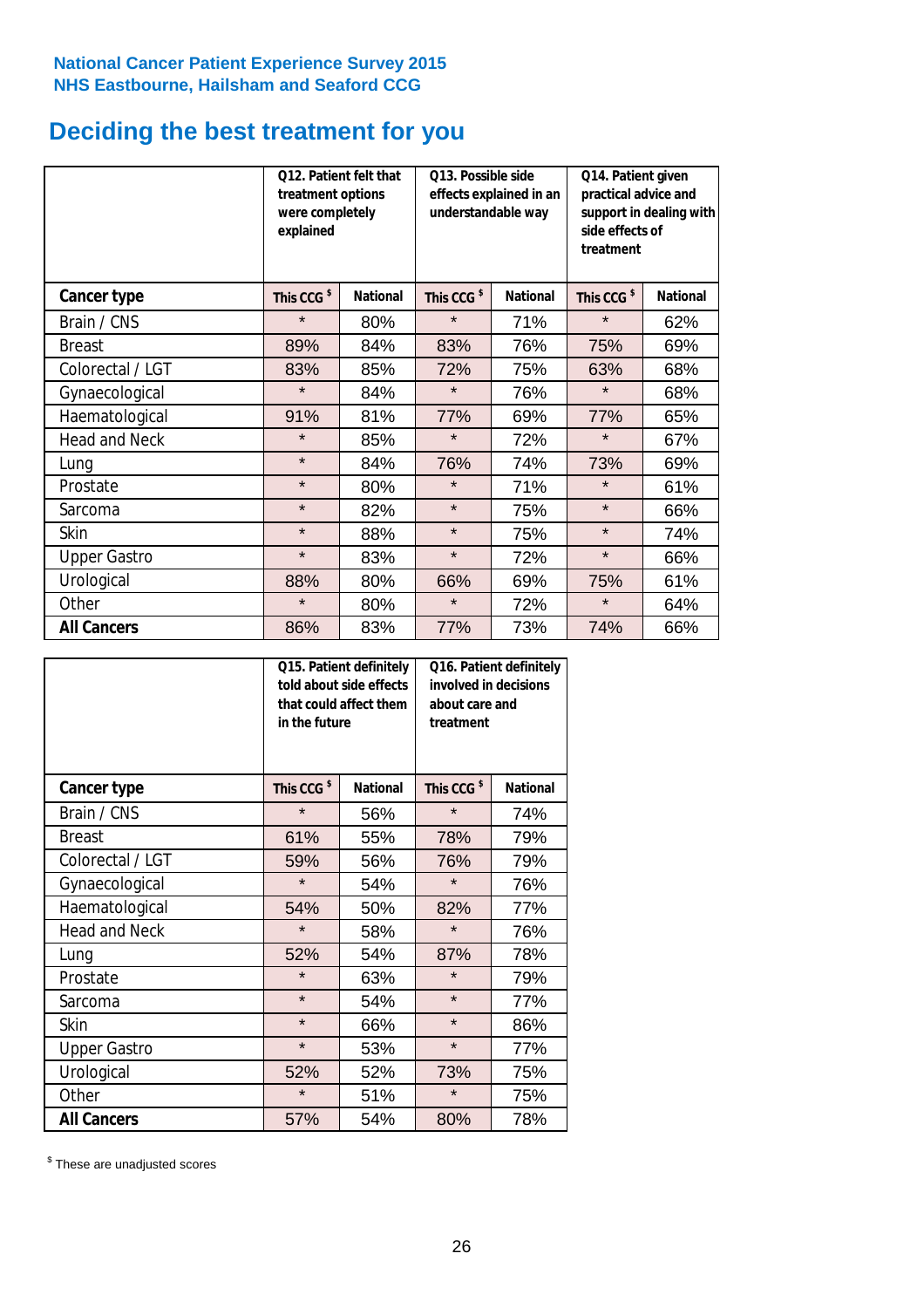# **Deciding the best treatment for you**

|                      | treatment options<br>were completely<br>explained | Q12. Patient felt that | Q13. Possible side<br>understandable way | effects explained in an | Q14. Patient given<br>practical advice and<br>support in dealing with<br>side effects of<br>treatment |                 |  |
|----------------------|---------------------------------------------------|------------------------|------------------------------------------|-------------------------|-------------------------------------------------------------------------------------------------------|-----------------|--|
| <b>Cancer type</b>   | This CCG <sup>\$</sup>                            | <b>National</b>        | This CCG <sup>\$</sup>                   | <b>National</b>         | This CCG <sup>\$</sup>                                                                                | <b>National</b> |  |
| Brain / CNS          | $\star$                                           | 80%                    | $\star$                                  | 71%                     | $\star$                                                                                               | 62%             |  |
| <b>Breast</b>        | 89%                                               | 84%                    | 83%                                      | 76%                     | 75%                                                                                                   | 69%             |  |
| Colorectal / LGT     | 83%                                               | 85%                    | 72%                                      | 75%                     | 63%                                                                                                   | 68%             |  |
| Gynaecological       | $\star$                                           | 84%                    | $\star$                                  | 76%                     | $\star$                                                                                               | 68%             |  |
| Haematological       | 91%                                               | 81%                    | 77%                                      | 69%                     | 77%                                                                                                   | 65%             |  |
| <b>Head and Neck</b> | $\star$                                           | 85%                    | $\star$                                  | 72%                     | $\star$                                                                                               | 67%             |  |
| Lung                 | $\star$                                           | 84%                    | 76%                                      | 74%                     | 73%                                                                                                   | 69%             |  |
| Prostate             | $\star$                                           | 80%                    | $\star$                                  | 71%                     | $\star$                                                                                               | 61%             |  |
| Sarcoma              | $\star$                                           | 82%                    | $\star$                                  | 75%                     | $\star$                                                                                               | 66%             |  |
| Skin                 | $\star$                                           | 88%                    | $\star$                                  | 75%                     | $\star$                                                                                               | 74%             |  |
| <b>Upper Gastro</b>  | $\star$                                           | 83%                    | $\star$                                  | 72%                     | $\star$                                                                                               | 66%             |  |
| Urological           | 88%                                               | 80%                    | 66%                                      | 69%                     | 75%                                                                                                   | 61%             |  |
| Other                | $\star$                                           | 80%                    | $\star$                                  | 72%                     | $\star$                                                                                               | 64%             |  |
| <b>All Cancers</b>   | 86%                                               | 83%                    | 77%                                      | 73%                     | 74%                                                                                                   | 66%             |  |

|                      | in the future          | Q15. Patient definitely<br>told about side effects<br>that could affect them | Q16. Patient definitely<br>involved in decisions<br>about care and<br>treatment |                 |  |
|----------------------|------------------------|------------------------------------------------------------------------------|---------------------------------------------------------------------------------|-----------------|--|
| <b>Cancer type</b>   | This CCG <sup>\$</sup> | <b>National</b>                                                              | This CCG <sup>\$</sup>                                                          | <b>National</b> |  |
| Brain / CNS          | $\star$                | 56%                                                                          | $\star$                                                                         | 74%             |  |
| <b>Breast</b>        | 61%                    | 55%                                                                          | 78%                                                                             | 79%             |  |
| Colorectal / LGT     | 59%                    | 56%                                                                          | 76%                                                                             | 79%             |  |
| Gynaecological       | $\star$                | 54%                                                                          | $\star$                                                                         | 76%             |  |
| Haematological       | 54%                    | 50%                                                                          | 82%                                                                             | 77%             |  |
| <b>Head and Neck</b> | $\star$                | 58%                                                                          | $\star$                                                                         | 76%             |  |
| Lung                 | 52%                    | 54%                                                                          | 87%                                                                             | 78%             |  |
| Prostate             | $\star$                | 63%                                                                          | $\star$                                                                         | 79%             |  |
| Sarcoma              | $\star$                | 54%                                                                          | $\star$                                                                         | 77%             |  |
| <b>Skin</b>          | $\star$                | 66%                                                                          | $\star$                                                                         | 86%             |  |
| <b>Upper Gastro</b>  | $\star$                | 53%                                                                          | $\star$                                                                         | 77%             |  |
| Urological           | 52%                    | 52%                                                                          | 73%                                                                             | 75%             |  |
| Other                | $\star$                | 51%                                                                          | $\star$                                                                         | 75%             |  |
| <b>All Cancers</b>   | 57%                    | 54%                                                                          | 80%                                                                             | 78%             |  |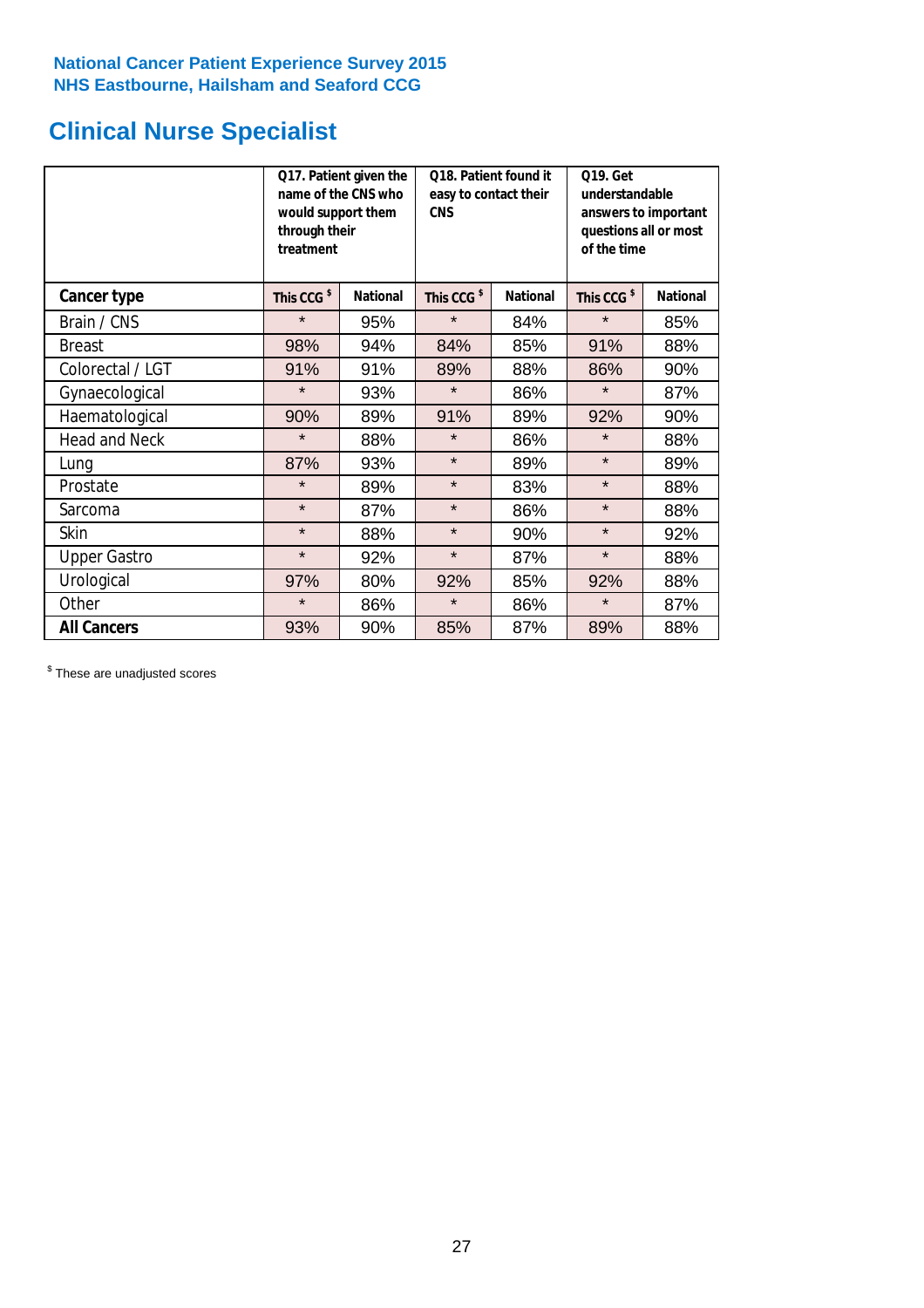# **Clinical Nurse Specialist**

|                      | would support them<br>through their<br>treatment | Q17. Patient given the<br>name of the CNS who | Q18. Patient found it<br>easy to contact their<br><b>CNS</b> |                 | <b>Q19. Get</b><br>understandable<br>answers to important<br>questions all or most<br>of the time |                 |  |
|----------------------|--------------------------------------------------|-----------------------------------------------|--------------------------------------------------------------|-----------------|---------------------------------------------------------------------------------------------------|-----------------|--|
| <b>Cancer type</b>   | This CCG <sup>\$</sup>                           | <b>National</b>                               | This CCG <sup>\$</sup>                                       | <b>National</b> | This CCG <sup>\$</sup>                                                                            | <b>National</b> |  |
| Brain / CNS          | $\star$                                          | 95%                                           | $\star$                                                      | 84%             | $\star$                                                                                           | 85%             |  |
| <b>Breast</b>        | 98%                                              | 94%                                           | 84%                                                          | 85%             | 91%                                                                                               | 88%             |  |
| Colorectal / LGT     | 91%                                              | 91%                                           | 89%                                                          | 88%             | 86%                                                                                               | 90%             |  |
| Gynaecological       | $\star$                                          | 93%                                           | $\star$                                                      | 86%             | $\star$                                                                                           | 87%             |  |
| Haematological       | 90%                                              | 89%                                           | 91%                                                          | 89%             | 92%                                                                                               | 90%             |  |
| <b>Head and Neck</b> | $\star$                                          | 88%                                           | $\star$                                                      | 86%             | $\star$                                                                                           | 88%             |  |
| Lung                 | 87%                                              | 93%                                           | $\star$                                                      | 89%             | $\star$                                                                                           | 89%             |  |
| Prostate             | $\star$                                          | 89%                                           | $\star$                                                      | 83%             | $\star$                                                                                           | 88%             |  |
| Sarcoma              | $\star$                                          | 87%                                           | $\star$                                                      | 86%             | $\star$                                                                                           | 88%             |  |
| Skin                 | $\star$                                          | 88%                                           | $\star$                                                      | 90%             | $\star$                                                                                           | 92%             |  |
| <b>Upper Gastro</b>  | $\star$                                          | 92%                                           | $\star$                                                      | 87%             | $\star$                                                                                           | 88%             |  |
| Urological           | 97%                                              | 80%                                           | 92%                                                          | 85%             | 92%                                                                                               | 88%             |  |
| Other                | $\star$                                          | 86%                                           | $\star$                                                      | 86%             | $\star$                                                                                           | 87%             |  |
| <b>All Cancers</b>   | 93%                                              | 90%                                           | 85%                                                          | 87%             | 89%                                                                                               | 88%             |  |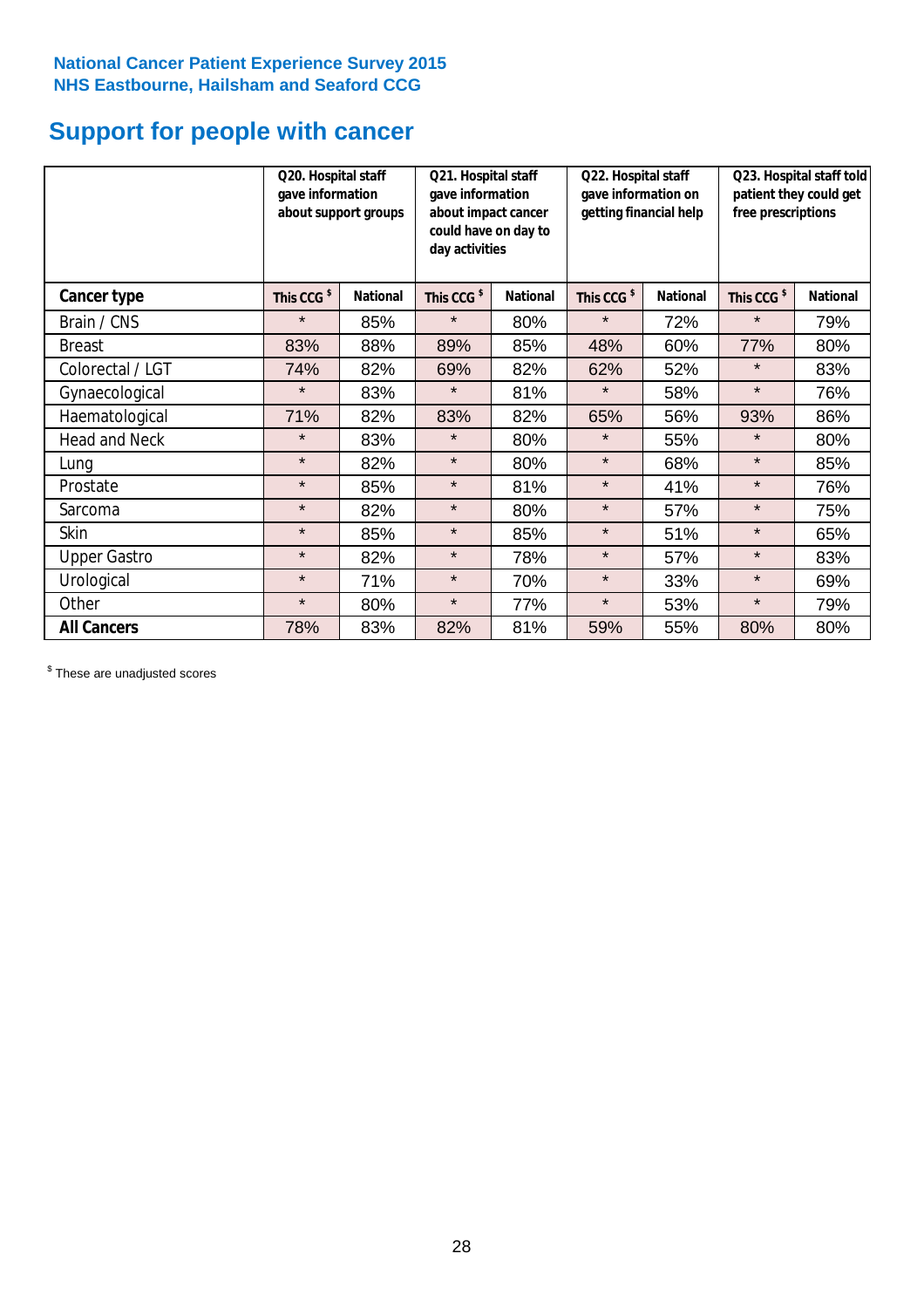# **Support for people with cancer**

|                      | Q20. Hospital staff<br>gave information | about support groups | Q21. Hospital staff<br>gave information<br>about impact cancer<br>could have on day to<br>day activities |                 | Q22. Hospital staff<br>gave information on<br>getting financial help |                 | Q23. Hospital staff told<br>patient they could get<br>free prescriptions |                 |
|----------------------|-----------------------------------------|----------------------|----------------------------------------------------------------------------------------------------------|-----------------|----------------------------------------------------------------------|-----------------|--------------------------------------------------------------------------|-----------------|
| <b>Cancer type</b>   | This CCG <sup>\$</sup>                  | <b>National</b>      | This CCG <sup>\$</sup>                                                                                   | <b>National</b> | This CCG <sup>\$</sup>                                               | <b>National</b> | This CCG <sup>\$</sup>                                                   | <b>National</b> |
| Brain / CNS          | $\star$                                 | 85%                  | $\star$                                                                                                  | 80%             | $\star$                                                              | 72%             | $\star$                                                                  | 79%             |
| <b>Breast</b>        | 83%                                     | 88%                  | 89%                                                                                                      | 85%             | 48%                                                                  | 60%             | 77%                                                                      | 80%             |
| Colorectal / LGT     | 74%                                     | 82%                  | 69%                                                                                                      | 82%             | 62%                                                                  | 52%             | $\star$                                                                  | 83%             |
| Gynaecological       | $\star$                                 | 83%                  | $\star$                                                                                                  | 81%             | $\star$                                                              | 58%             | $\star$                                                                  | 76%             |
| Haematological       | 71%                                     | 82%                  | 83%                                                                                                      | 82%             | 65%                                                                  | 56%             | 93%                                                                      | 86%             |
| <b>Head and Neck</b> | $\star$                                 | 83%                  | $\star$                                                                                                  | 80%             | $\star$                                                              | 55%             | $\star$                                                                  | 80%             |
| Lung                 | $\star$                                 | 82%                  | $\star$                                                                                                  | 80%             | $\star$                                                              | 68%             | $\star$                                                                  | 85%             |
| Prostate             | $\star$                                 | 85%                  | $\star$                                                                                                  | 81%             | $\star$                                                              | 41%             | $\star$                                                                  | 76%             |
| Sarcoma              | $\star$                                 | 82%                  | $\star$                                                                                                  | 80%             | $\star$                                                              | 57%             | $\star$                                                                  | 75%             |
| Skin                 | $\star$                                 | 85%                  | $\star$                                                                                                  | 85%             | $\star$                                                              | 51%             | $\star$                                                                  | 65%             |
| <b>Upper Gastro</b>  | $\star$                                 | 82%                  | $\star$                                                                                                  | 78%             | $\star$                                                              | 57%             | $\star$                                                                  | 83%             |
| Urological           | $\star$                                 | 71%                  | $\star$                                                                                                  | 70%             | $\star$                                                              | 33%             | $\star$                                                                  | 69%             |
| Other                | $\star$                                 | 80%                  | $\star$                                                                                                  | 77%             | $\star$                                                              | 53%             | $\star$                                                                  | 79%             |
| <b>All Cancers</b>   | 78%                                     | 83%                  | 82%                                                                                                      | 81%             | 59%                                                                  | 55%             | 80%                                                                      | 80%             |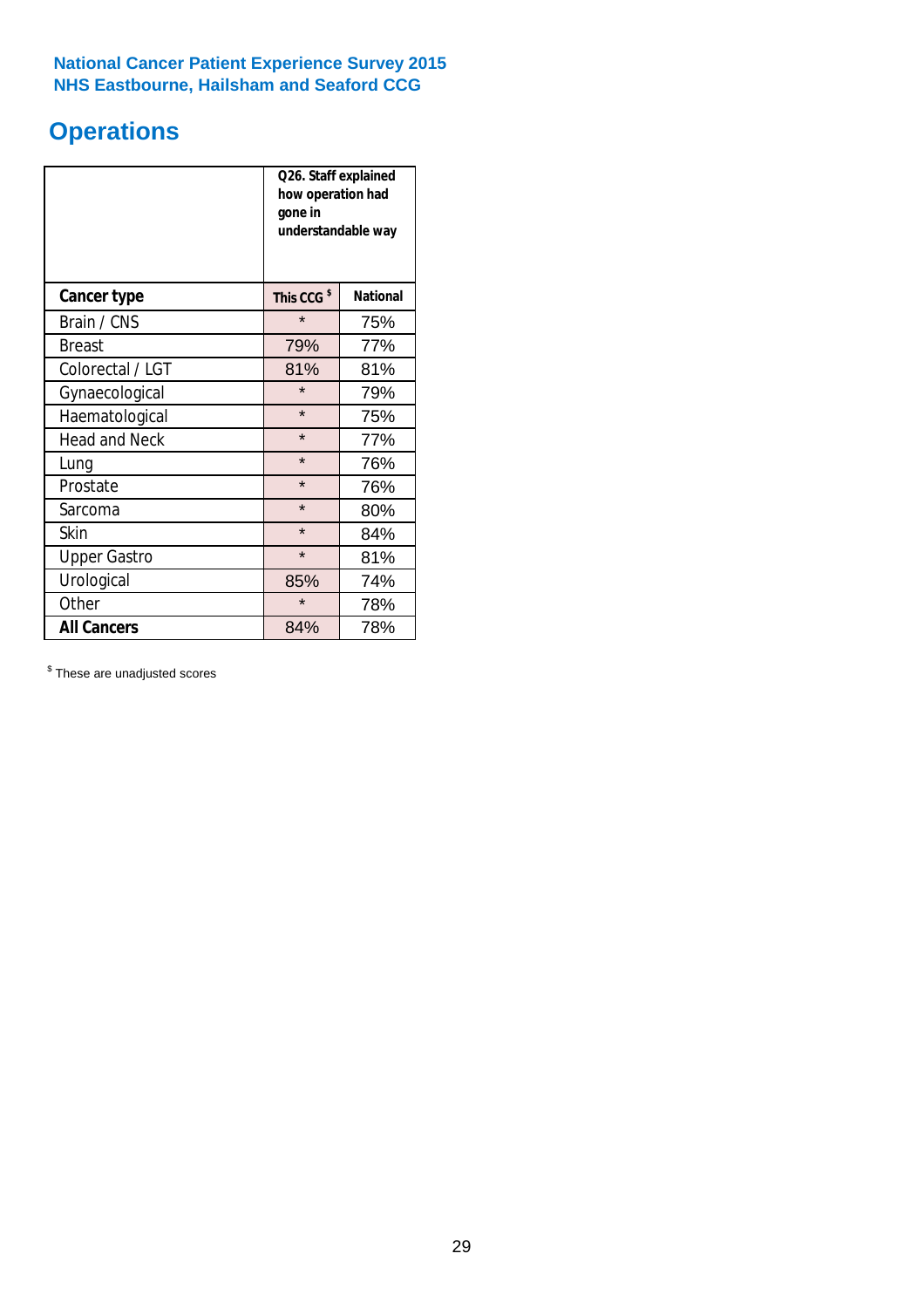# **Operations**

|                      | Q26. Staff explained<br>how operation had<br>gone in<br>understandable way |                 |  |  |  |
|----------------------|----------------------------------------------------------------------------|-----------------|--|--|--|
| <b>Cancer type</b>   | This CCG <sup>\$</sup>                                                     | <b>National</b> |  |  |  |
| Brain / CNS          | $\star$                                                                    | 75%             |  |  |  |
| <b>Breast</b>        | 79%                                                                        | 77%             |  |  |  |
| Colorectal / LGT     | 81%                                                                        | 81%             |  |  |  |
| Gynaecological       | $\star$                                                                    | 79%             |  |  |  |
| Haematological       | $\star$                                                                    | 75%             |  |  |  |
| <b>Head and Neck</b> | $\star$                                                                    | 77%             |  |  |  |
| Lung                 | $\star$                                                                    | 76%             |  |  |  |
| Prostate             | $\star$                                                                    | 76%             |  |  |  |
| Sarcoma              | $\star$                                                                    | 80%             |  |  |  |
| Skin                 | $\star$                                                                    | 84%             |  |  |  |
| <b>Upper Gastro</b>  | $\star$                                                                    | 81%             |  |  |  |
| Urological           | 85%                                                                        | 74%             |  |  |  |
| Other                | $\star$                                                                    | 78%             |  |  |  |
| <b>All Cancers</b>   | 84%                                                                        | 78%             |  |  |  |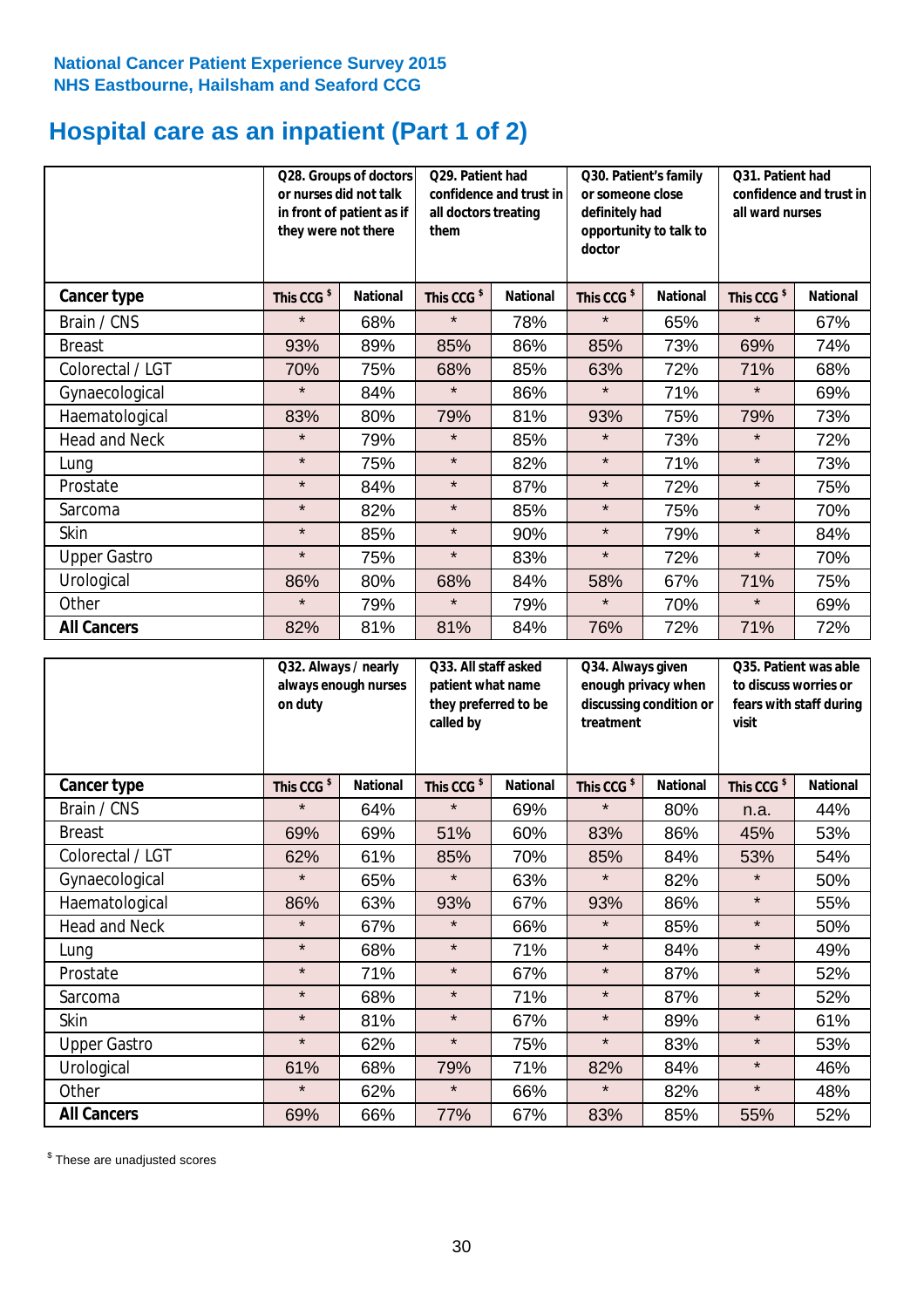# **Hospital care as an inpatient (Part 1 of 2)**

|                      | or nurses did not talk<br>they were not there | Q28. Groups of doctors<br>in front of patient as if | Q29. Patient had<br>confidence and trust in<br>all doctors treating<br>them |                 | Q30. Patient's family<br>or someone close<br>definitely had<br>opportunity to talk to<br>doctor |                 | Q31. Patient had<br>confidence and trust in I<br>all ward nurses |                 |
|----------------------|-----------------------------------------------|-----------------------------------------------------|-----------------------------------------------------------------------------|-----------------|-------------------------------------------------------------------------------------------------|-----------------|------------------------------------------------------------------|-----------------|
| Cancer type          | This CCG <sup>\$</sup>                        | <b>National</b>                                     | This CCG <sup>\$</sup>                                                      | <b>National</b> | This CCG <sup>\$</sup>                                                                          | <b>National</b> | This CCG <sup>\$</sup>                                           | <b>National</b> |
| Brain / CNS          | $\star$                                       | 68%                                                 | $\star$                                                                     | 78%             | $\star$                                                                                         | 65%             | $\star$                                                          | 67%             |
| <b>Breast</b>        | 93%                                           | 89%                                                 | 85%                                                                         | 86%             | 85%                                                                                             | 73%             | 69%                                                              | 74%             |
| Colorectal / LGT     | 70%                                           | 75%                                                 | 68%                                                                         | 85%             | 63%                                                                                             | 72%             | 71%                                                              | 68%             |
| Gynaecological       | $\star$                                       | 84%                                                 | $\star$                                                                     | 86%             | $\star$                                                                                         | 71%             | $\star$                                                          | 69%             |
| Haematological       | 83%                                           | 80%                                                 | 79%                                                                         | 81%             | 93%                                                                                             | 75%             | 79%                                                              | 73%             |
| <b>Head and Neck</b> | $\star$                                       | 79%                                                 | $\star$                                                                     | 85%             | $\star$                                                                                         | 73%             | $\star$                                                          | 72%             |
| Lung                 | $\star$                                       | 75%                                                 | $\star$                                                                     | 82%             | $\star$                                                                                         | 71%             | $\star$                                                          | 73%             |
| Prostate             | $\star$                                       | 84%                                                 | $\star$                                                                     | 87%             | $\star$                                                                                         | 72%             | $\star$                                                          | 75%             |
| Sarcoma              | $\star$                                       | 82%                                                 | $\star$                                                                     | 85%             | $\star$                                                                                         | 75%             | $\star$                                                          | 70%             |
| Skin                 | $\star$                                       | 85%                                                 | $\star$                                                                     | 90%             | $\star$                                                                                         | 79%             | $\star$                                                          | 84%             |
| <b>Upper Gastro</b>  | $\star$                                       | 75%                                                 | $\star$                                                                     | 83%             | $\star$                                                                                         | 72%             | $\star$                                                          | 70%             |
| Urological           | 86%                                           | 80%                                                 | 68%                                                                         | 84%             | 58%                                                                                             | 67%             | 71%                                                              | 75%             |
| Other                | $\star$                                       | 79%                                                 | $\star$                                                                     | 79%             | $\star$                                                                                         | 70%             | $\star$                                                          | 69%             |
| <b>All Cancers</b>   | 82%                                           | 81%                                                 | 81%                                                                         | 84%             | 76%                                                                                             | 72%             | 71%                                                              | 72%             |

|                      | Q32. Always / nearly<br>always enough nurses<br>on duty |                 | Q33. All staff asked<br>patient what name<br>they preferred to be<br>called by |                 | Q34. Always given<br>enough privacy when<br>discussing condition or<br>treatment |                 | Q35. Patient was able<br>to discuss worries or<br>fears with staff during<br>visit |                 |
|----------------------|---------------------------------------------------------|-----------------|--------------------------------------------------------------------------------|-----------------|----------------------------------------------------------------------------------|-----------------|------------------------------------------------------------------------------------|-----------------|
| <b>Cancer type</b>   | This CCG <sup>\$</sup>                                  | <b>National</b> | This CCG <sup>\$</sup>                                                         | <b>National</b> | This CCG <sup>\$</sup>                                                           | <b>National</b> | This CCG <sup>\$</sup>                                                             | <b>National</b> |
| Brain / CNS          | $\star$                                                 | 64%             | $\star$                                                                        | 69%             | $\star$                                                                          | 80%             | n.a.                                                                               | 44%             |
| <b>Breast</b>        | 69%                                                     | 69%             | 51%                                                                            | 60%             | 83%                                                                              | 86%             | 45%                                                                                | 53%             |
| Colorectal / LGT     | 62%                                                     | 61%             | 85%                                                                            | 70%             | 85%                                                                              | 84%             | 53%                                                                                | 54%             |
| Gynaecological       | $\star$                                                 | 65%             | $\star$                                                                        | 63%             | $\star$                                                                          | 82%             | $\star$                                                                            | 50%             |
| Haematological       | 86%                                                     | 63%             | 93%                                                                            | 67%             | 93%                                                                              | 86%             | $\star$                                                                            | 55%             |
| <b>Head and Neck</b> | $\star$                                                 | 67%             | $\star$                                                                        | 66%             | $\star$                                                                          | 85%             | $\star$                                                                            | 50%             |
| Lung                 | $\star$                                                 | 68%             | $\star$                                                                        | 71%             | $\star$                                                                          | 84%             | $\star$                                                                            | 49%             |
| Prostate             | $\star$                                                 | 71%             | $\star$                                                                        | 67%             | $\star$                                                                          | 87%             | $\star$                                                                            | 52%             |
| Sarcoma              | $\star$                                                 | 68%             | $\star$                                                                        | 71%             | $\star$                                                                          | 87%             | $\star$                                                                            | 52%             |
| Skin                 | $\star$                                                 | 81%             | $\star$                                                                        | 67%             | $\star$                                                                          | 89%             | $\star$                                                                            | 61%             |
| <b>Upper Gastro</b>  | $\star$                                                 | 62%             | $\star$                                                                        | 75%             | $\star$                                                                          | 83%             | $\star$                                                                            | 53%             |
| Urological           | 61%                                                     | 68%             | 79%                                                                            | 71%             | 82%                                                                              | 84%             | $\star$                                                                            | 46%             |
| Other                | $\star$                                                 | 62%             | $\star$                                                                        | 66%             | $\star$                                                                          | 82%             | $\star$                                                                            | 48%             |
| <b>All Cancers</b>   | 69%                                                     | 66%             | 77%                                                                            | 67%             | 83%                                                                              | 85%             | 55%                                                                                | 52%             |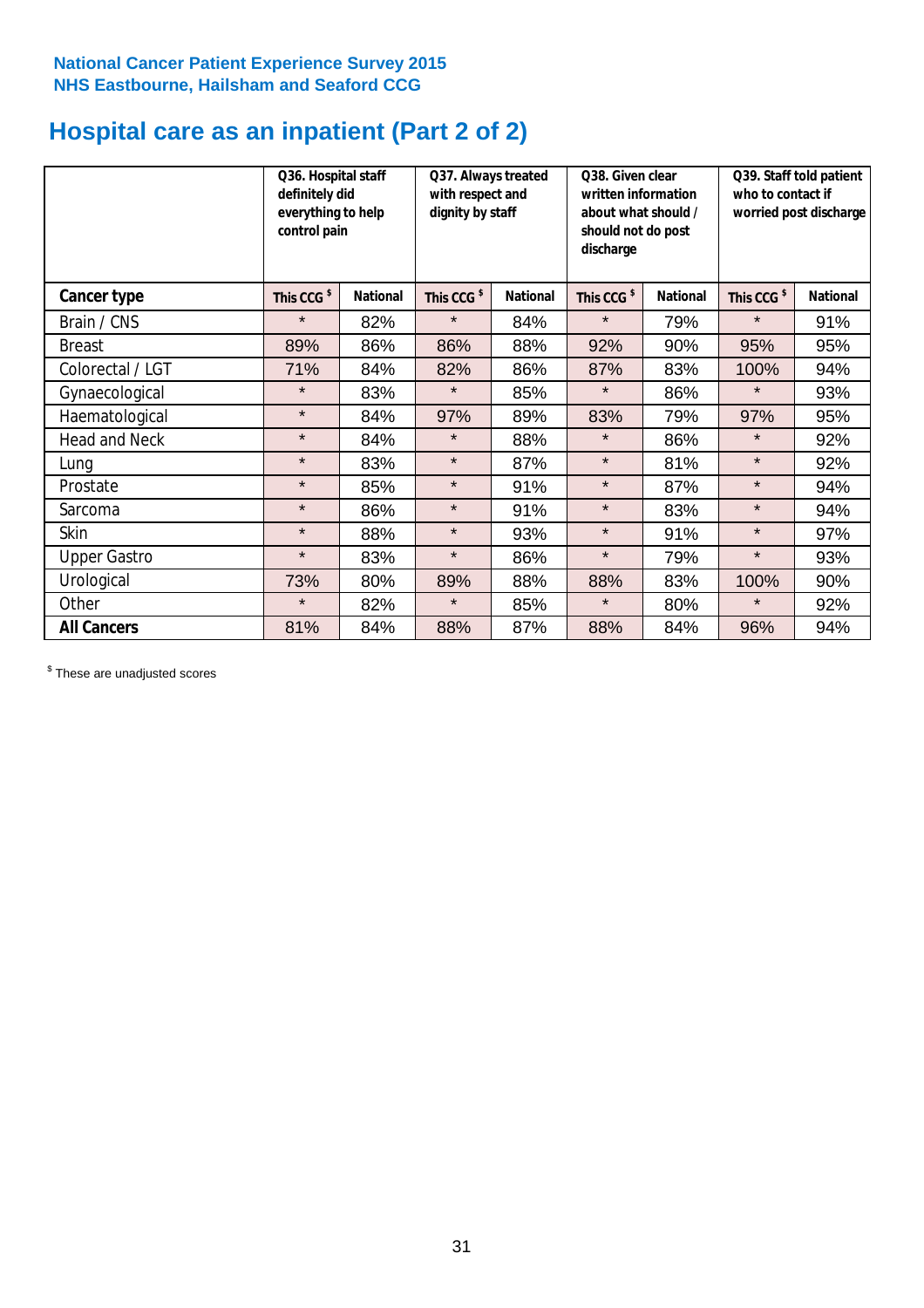# **Hospital care as an inpatient (Part 2 of 2)**

|                      | Q36. Hospital staff<br>definitely did<br>everything to help<br>control pain |                 | Q37. Always treated<br>with respect and<br>dignity by staff |                 | Q38. Given clear<br>written information<br>about what should /<br>should not do post<br>discharge |                 | Q39. Staff told patient<br>who to contact if<br>worried post discharge |                 |
|----------------------|-----------------------------------------------------------------------------|-----------------|-------------------------------------------------------------|-----------------|---------------------------------------------------------------------------------------------------|-----------------|------------------------------------------------------------------------|-----------------|
| Cancer type          | This CCG <sup>\$</sup>                                                      | <b>National</b> | This CCG <sup>\$</sup>                                      | <b>National</b> | This CCG <sup>\$</sup>                                                                            | <b>National</b> | This CCG <sup>\$</sup>                                                 | <b>National</b> |
| Brain / CNS          | $\star$                                                                     | 82%             | $\star$                                                     | 84%             | $\star$                                                                                           | 79%             | $\star$                                                                | 91%             |
| <b>Breast</b>        | 89%                                                                         | 86%             | 86%                                                         | 88%             | 92%                                                                                               | 90%             | 95%                                                                    | 95%             |
| Colorectal / LGT     | 71%                                                                         | 84%             | 82%                                                         | 86%             | 87%                                                                                               | 83%             | 100%                                                                   | 94%             |
| Gynaecological       | $\star$                                                                     | 83%             | $\star$                                                     | 85%             | $\star$                                                                                           | 86%             | $\star$                                                                | 93%             |
| Haematological       | $\star$                                                                     | 84%             | 97%                                                         | 89%             | 83%                                                                                               | 79%             | 97%                                                                    | 95%             |
| <b>Head and Neck</b> | $\star$                                                                     | 84%             | $\star$                                                     | 88%             | $\star$                                                                                           | 86%             | $\star$                                                                | 92%             |
| Lung                 | $\star$                                                                     | 83%             | $\star$                                                     | 87%             | $\star$                                                                                           | 81%             | $\star$                                                                | 92%             |
| Prostate             | $\star$                                                                     | 85%             | $\star$                                                     | 91%             | $\star$                                                                                           | 87%             | $\star$                                                                | 94%             |
| Sarcoma              | $\star$                                                                     | 86%             | $\star$                                                     | 91%             | $\star$                                                                                           | 83%             | $\star$                                                                | 94%             |
| Skin                 | $\star$                                                                     | 88%             | $\star$                                                     | 93%             | $\star$                                                                                           | 91%             | $\star$                                                                | 97%             |
| <b>Upper Gastro</b>  | $\star$                                                                     | 83%             | $\star$                                                     | 86%             | $\star$                                                                                           | 79%             | $\star$                                                                | 93%             |
| Urological           | 73%                                                                         | 80%             | 89%                                                         | 88%             | 88%                                                                                               | 83%             | 100%                                                                   | 90%             |
| Other                | $\star$                                                                     | 82%             | $\star$                                                     | 85%             | $\star$                                                                                           | 80%             | $\star$                                                                | 92%             |
| <b>All Cancers</b>   | 81%                                                                         | 84%             | 88%                                                         | 87%             | 88%                                                                                               | 84%             | 96%                                                                    | 94%             |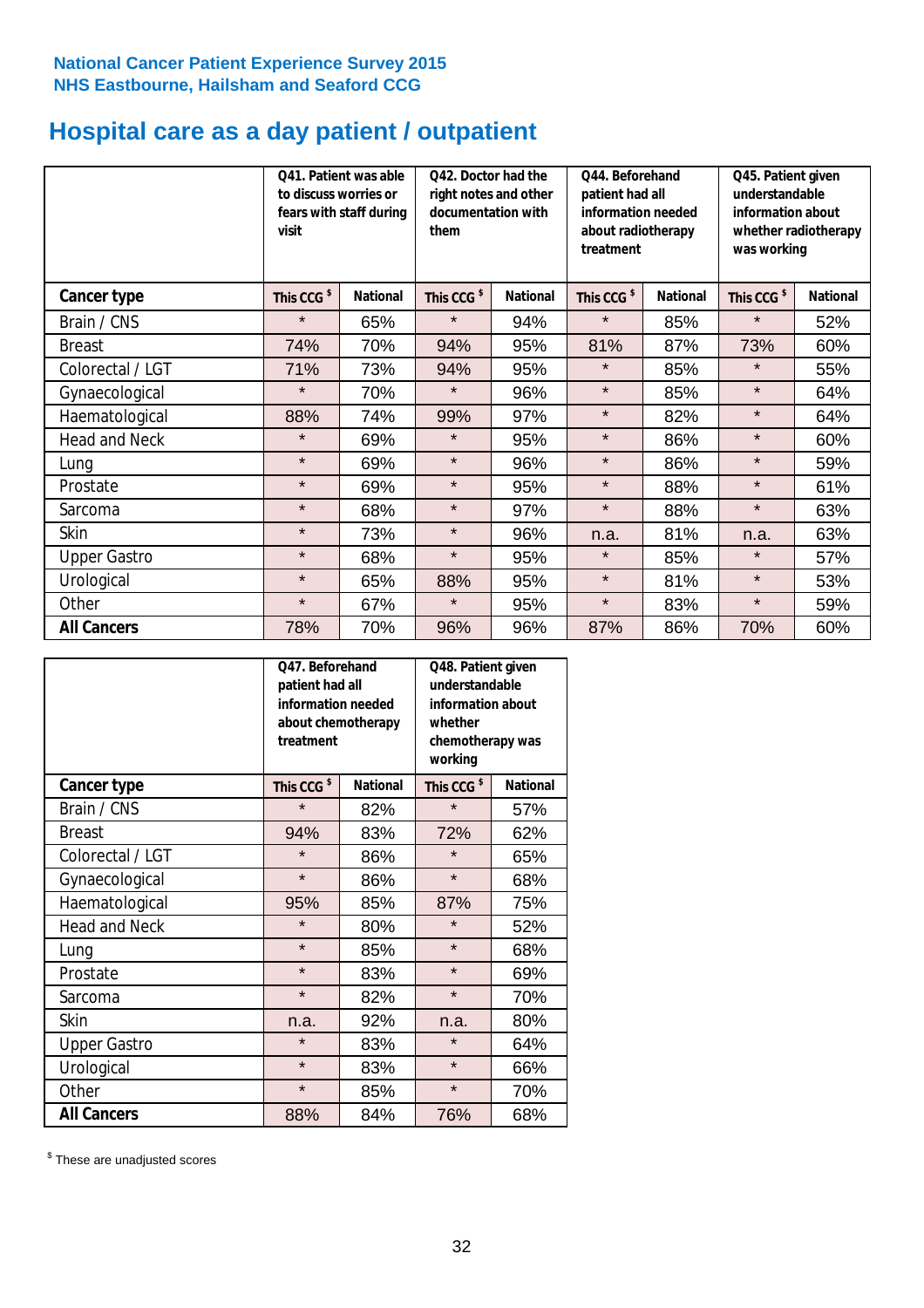# **Hospital care as a day patient / outpatient**

|                      | to discuss worries or<br>visit | 041. Patient was able<br>fears with staff during | Q42. Doctor had the<br>right notes and other<br>documentation with<br>them |                 | Q44. Beforehand<br>patient had all<br>information needed<br>about radiotherapy<br>treatment |                 | Q45. Patient given<br>understandable<br>information about<br>whether radiotherapy<br>was working |                 |
|----------------------|--------------------------------|--------------------------------------------------|----------------------------------------------------------------------------|-----------------|---------------------------------------------------------------------------------------------|-----------------|--------------------------------------------------------------------------------------------------|-----------------|
| Cancer type          | This CCG <sup>\$</sup>         | <b>National</b>                                  | This CCG <sup>\$</sup>                                                     | <b>National</b> | This CCG <sup>\$</sup>                                                                      | <b>National</b> | This CCG <sup>\$</sup>                                                                           | <b>National</b> |
| Brain / CNS          | $\star$                        | 65%                                              | $\star$                                                                    | 94%             | $\star$                                                                                     | 85%             | $\star$                                                                                          | 52%             |
| <b>Breast</b>        | 74%                            | 70%                                              | 94%                                                                        | 95%             | 81%                                                                                         | 87%             | 73%                                                                                              | 60%             |
| Colorectal / LGT     | 71%                            | 73%                                              | 94%                                                                        | 95%             | $\star$                                                                                     | 85%             | $\star$                                                                                          | 55%             |
| Gynaecological       | $\star$                        | 70%                                              | $\star$                                                                    | 96%             | $\star$                                                                                     | 85%             | $\star$                                                                                          | 64%             |
| Haematological       | 88%                            | 74%                                              | 99%                                                                        | 97%             | $\star$                                                                                     | 82%             | $\star$                                                                                          | 64%             |
| <b>Head and Neck</b> | $\star$                        | 69%                                              | $\star$                                                                    | 95%             | $\star$                                                                                     | 86%             | $\star$                                                                                          | 60%             |
| Lung                 | $\star$                        | 69%                                              | $\star$                                                                    | 96%             | $\star$                                                                                     | 86%             | $\star$                                                                                          | 59%             |
| Prostate             | $\star$                        | 69%                                              | $\star$                                                                    | 95%             | $\star$                                                                                     | 88%             | $\star$                                                                                          | 61%             |
| Sarcoma              | $\star$                        | 68%                                              | $\star$                                                                    | 97%             | $\star$                                                                                     | 88%             | $\star$                                                                                          | 63%             |
| Skin                 | $\star$                        | 73%                                              | $\star$                                                                    | 96%             | n.a.                                                                                        | 81%             | n.a.                                                                                             | 63%             |
| <b>Upper Gastro</b>  | $\star$                        | 68%                                              | $\star$                                                                    | 95%             | $\star$                                                                                     | 85%             | $\star$                                                                                          | 57%             |
| Urological           | $\star$                        | 65%                                              | 88%                                                                        | 95%             | $\star$                                                                                     | 81%             | $\star$                                                                                          | 53%             |
| Other                | $\star$                        | 67%                                              | $\star$                                                                    | 95%             | $\star$                                                                                     | 83%             | $\star$                                                                                          | 59%             |
| <b>All Cancers</b>   | 78%                            | 70%                                              | 96%                                                                        | 96%             | 87%                                                                                         | 86%             | 70%                                                                                              | 60%             |

|                      | O47. Beforehand<br>patient had all<br>information needed<br>about chemotherapy<br>treatment |                 | Q48. Patient given<br>understandable<br>information about<br>whether<br>chemotherapy was<br>working |                 |  |
|----------------------|---------------------------------------------------------------------------------------------|-----------------|-----------------------------------------------------------------------------------------------------|-----------------|--|
| <b>Cancer type</b>   | This CCG <sup>\$</sup>                                                                      | <b>National</b> | This CCG <sup>\$</sup>                                                                              | <b>National</b> |  |
| Brain / CNS          | $\star$                                                                                     | 82%             | $\star$                                                                                             | 57%             |  |
| <b>Breast</b>        | 94%                                                                                         | 83%             | 72%                                                                                                 | 62%             |  |
| Colorectal / LGT     | $\star$                                                                                     | 86%             | $\star$                                                                                             | 65%             |  |
| Gynaecological       | $\star$                                                                                     | 86%             | $\star$                                                                                             | 68%             |  |
| Haematological       | 95%                                                                                         | 85%             | 87%                                                                                                 | 75%             |  |
| <b>Head and Neck</b> | $\star$                                                                                     | 80%             | $\star$                                                                                             | 52%             |  |
| Lung                 | $\star$                                                                                     | 85%             | $\star$                                                                                             | 68%             |  |
| Prostate             | $\star$                                                                                     | 83%             | $\star$                                                                                             | 69%             |  |
| Sarcoma              | $\star$                                                                                     | 82%             | $\star$                                                                                             | 70%             |  |
| Skin                 | n.a.                                                                                        | 92%             | n.a.                                                                                                | 80%             |  |
| <b>Upper Gastro</b>  | $\star$                                                                                     | 83%             | $\star$                                                                                             | 64%             |  |
| Urological           | $\star$                                                                                     | 83%             | $\star$                                                                                             | 66%             |  |
| Other                | $\star$                                                                                     | 85%             | $\star$                                                                                             | 70%             |  |
| <b>All Cancers</b>   | 88%                                                                                         | 84%             | 76%                                                                                                 | 68%             |  |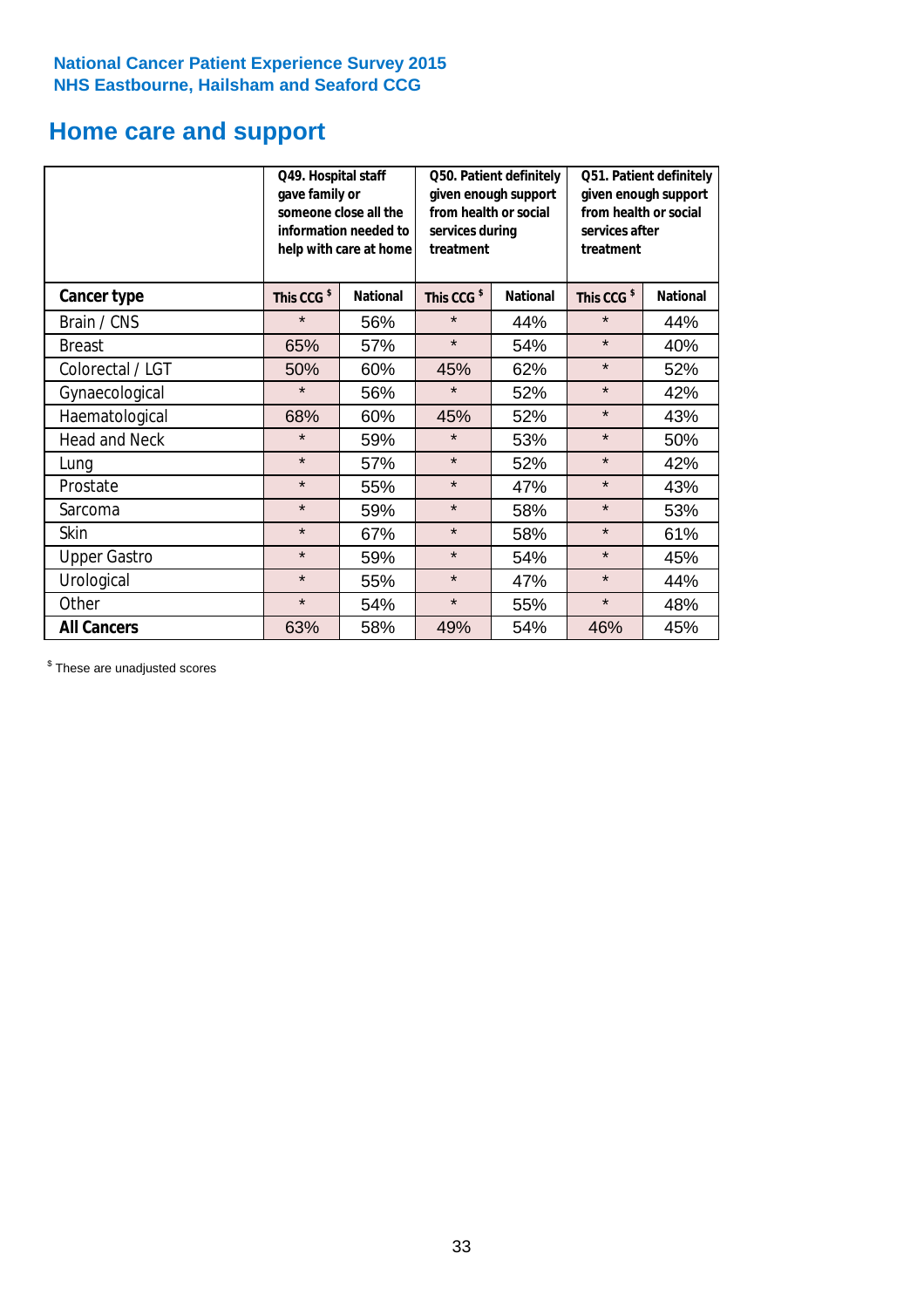# **Home care and support**

|                      | Q49. Hospital staff<br>gave family or                                                  | someone close all the<br>information needed to<br>help with care at home | Q50. Patient definitely<br>given enough support<br>from health or social<br>services during<br>treatment |                 | Q51. Patient definitely<br>given enough support<br>from health or social<br>services after<br>treatment |     |
|----------------------|----------------------------------------------------------------------------------------|--------------------------------------------------------------------------|----------------------------------------------------------------------------------------------------------|-----------------|---------------------------------------------------------------------------------------------------------|-----|
| <b>Cancer type</b>   | This CCG <sup>\$</sup><br><b>National</b><br>This CCG <sup>\$</sup><br><b>National</b> |                                                                          | This CCG <sup>\$</sup>                                                                                   | <b>National</b> |                                                                                                         |     |
| Brain / CNS          | $\star$                                                                                | 56%                                                                      | $\star$                                                                                                  | 44%             | $\star$                                                                                                 | 44% |
| <b>Breast</b>        | 65%                                                                                    | 57%                                                                      | $\star$                                                                                                  | 54%             | $\star$                                                                                                 | 40% |
| Colorectal / LGT     | 50%                                                                                    | 60%                                                                      | 45%                                                                                                      | 62%             | $\star$                                                                                                 | 52% |
| Gynaecological       | $\star$                                                                                | 56%                                                                      | $\star$                                                                                                  | 52%             | $\star$                                                                                                 | 42% |
| Haematological       | 68%                                                                                    | 60%                                                                      | 45%                                                                                                      | 52%             | $\star$                                                                                                 | 43% |
| <b>Head and Neck</b> | $\star$                                                                                | 59%                                                                      | $\star$                                                                                                  | 53%             | $\star$                                                                                                 | 50% |
| Lung                 | $\star$                                                                                | 57%                                                                      | $\star$                                                                                                  | 52%             | $\star$                                                                                                 | 42% |
| Prostate             | $\star$                                                                                | 55%                                                                      | $\star$                                                                                                  | 47%             | $\star$                                                                                                 | 43% |
| Sarcoma              | $\star$                                                                                | 59%                                                                      | $\star$                                                                                                  | 58%             | $\star$                                                                                                 | 53% |
| Skin                 | $\star$                                                                                | 67%                                                                      | $\star$                                                                                                  | 58%             | $\star$                                                                                                 | 61% |
| <b>Upper Gastro</b>  | $\star$                                                                                | 59%                                                                      | $\star$                                                                                                  | 54%             | $\star$                                                                                                 | 45% |
| Urological           | $\star$                                                                                | 55%                                                                      | $\star$                                                                                                  | 47%             | $\star$                                                                                                 | 44% |
| Other                | $\star$                                                                                | 54%                                                                      | $\star$                                                                                                  | 55%             | $\star$                                                                                                 | 48% |
| <b>All Cancers</b>   | 63%                                                                                    | 58%                                                                      | 49%                                                                                                      | 54%             | 46%                                                                                                     | 45% |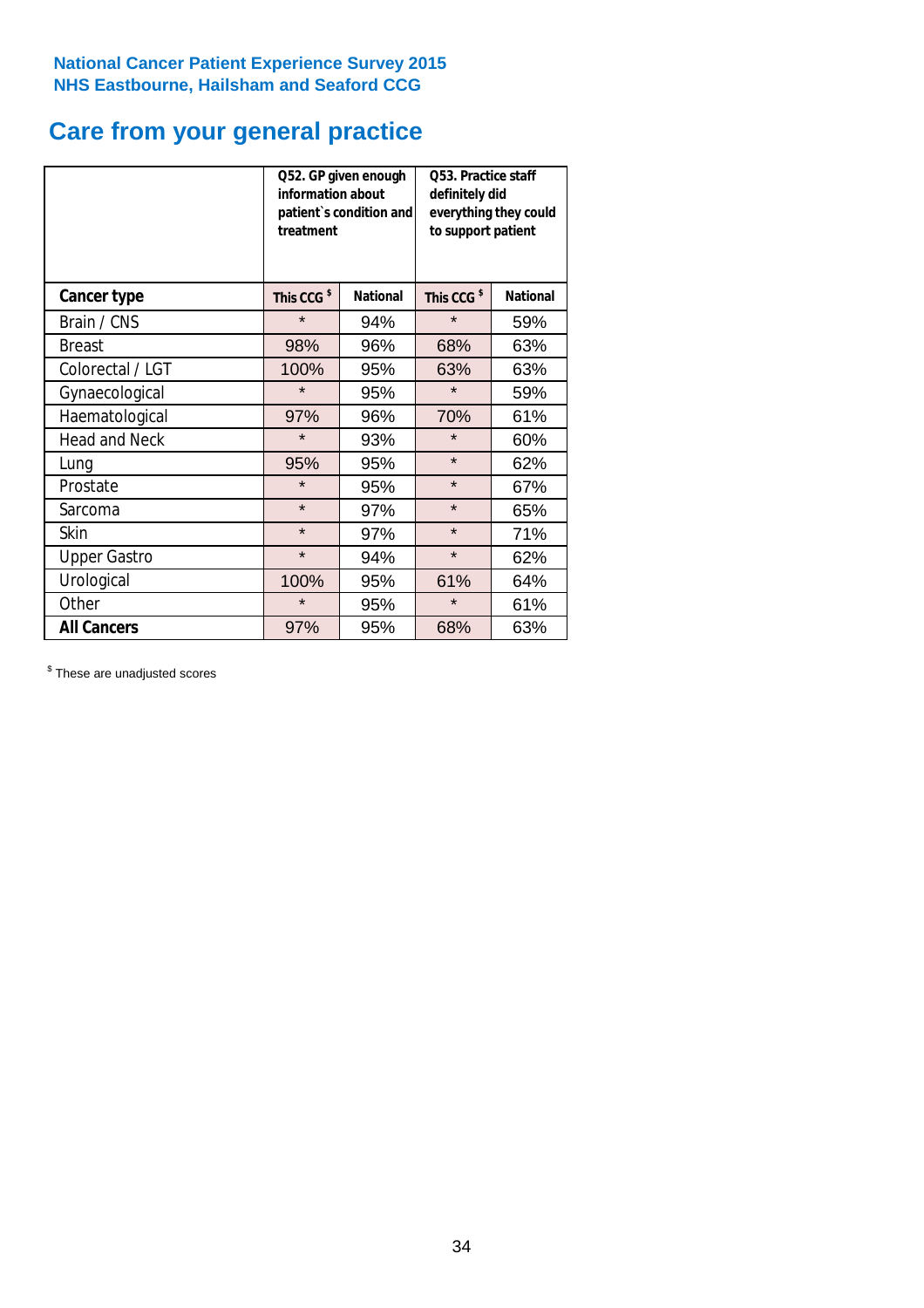# **Care from your general practice**

|                      | information about<br>treatment | Q52. GP given enough<br>patient's condition and | O53. Practice staff<br>definitely did<br>everything they could<br>to support patient |                 |  |
|----------------------|--------------------------------|-------------------------------------------------|--------------------------------------------------------------------------------------|-----------------|--|
| <b>Cancer type</b>   | This CCG <sup>\$</sup>         | <b>National</b>                                 | This CCG <sup>\$</sup>                                                               | <b>National</b> |  |
| Brain / CNS          | $\star$                        | 94%                                             | $\star$                                                                              | 59%             |  |
| <b>Breast</b>        | 98%                            | 96%                                             | 68%                                                                                  | 63%             |  |
| Colorectal / LGT     | 100%                           | 95%                                             | 63%                                                                                  | 63%             |  |
| Gynaecological       | $\star$                        | 95%                                             | $\star$                                                                              | 59%             |  |
| Haematological       | 97%                            | 96%                                             | 70%                                                                                  | 61%             |  |
| <b>Head and Neck</b> | $\star$                        | 93%                                             | $\star$                                                                              | 60%             |  |
| Lung                 | 95%                            | 95%                                             | $\star$                                                                              | 62%             |  |
| Prostate             | $\star$                        | 95%                                             | $\star$                                                                              | 67%             |  |
| Sarcoma              | $\star$                        | 97%                                             | $\star$                                                                              | 65%             |  |
| Skin                 | $\star$                        | 97%                                             | $\star$                                                                              | 71%             |  |
| <b>Upper Gastro</b>  | $\star$                        | 94%                                             | $\star$                                                                              | 62%             |  |
| Urological           | 100%                           | 95%                                             | 61%                                                                                  | 64%             |  |
| Other                | $\star$                        | 95%                                             | $\star$                                                                              | 61%             |  |
| <b>All Cancers</b>   | 97%                            | 95%                                             | 68%                                                                                  | 63%             |  |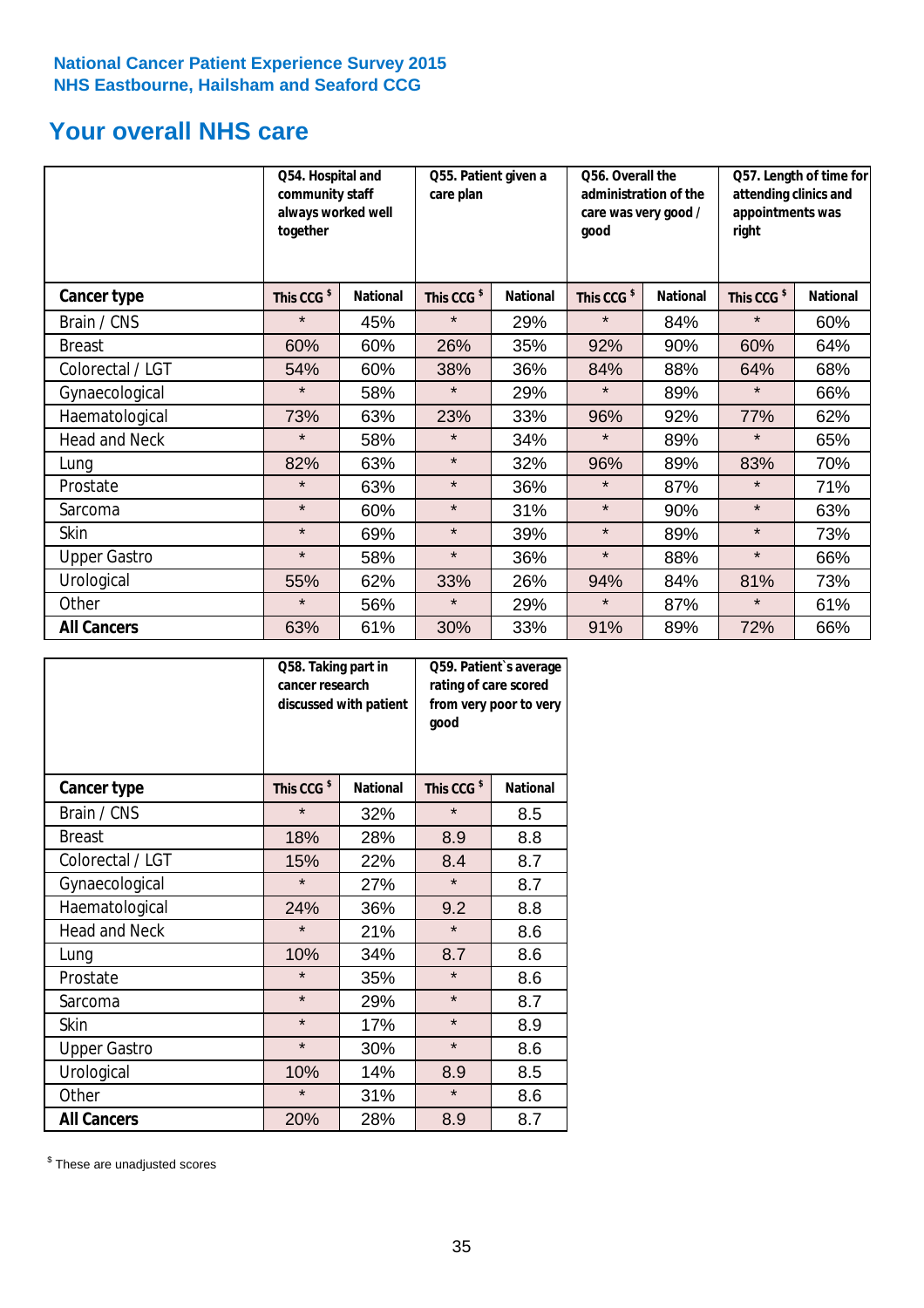# **Your overall NHS care**

|                      | Q54. Hospital and<br>community staff<br>always worked well<br>together |                 | Q55. Patient given a<br>care plan |                 | Q56. Overall the<br>administration of the<br>care was very good /<br>qood |                 | Q57. Length of time for<br>attending clinics and<br>appointments was<br>right |                 |
|----------------------|------------------------------------------------------------------------|-----------------|-----------------------------------|-----------------|---------------------------------------------------------------------------|-----------------|-------------------------------------------------------------------------------|-----------------|
| <b>Cancer type</b>   | This CCG <sup>\$</sup>                                                 | <b>National</b> | This CCG <sup>\$</sup>            | <b>National</b> | This CCG <sup>\$</sup>                                                    | <b>National</b> | This CCG <sup>\$</sup>                                                        | <b>National</b> |
| Brain / CNS          | $\star$                                                                | 45%             | $\star$                           | 29%             | $\star$                                                                   | 84%             | $\star$                                                                       | 60%             |
| <b>Breast</b>        | 60%                                                                    | 60%             | 26%                               | 35%             | 92%                                                                       | 90%             | 60%                                                                           | 64%             |
| Colorectal / LGT     | 54%                                                                    | 60%             | 38%                               | 36%             | 84%                                                                       | 88%             | 64%                                                                           | 68%             |
| Gynaecological       | $\star$                                                                | 58%             | $\star$                           | 29%             | $\star$                                                                   | 89%             | $\star$                                                                       | 66%             |
| Haematological       | 73%                                                                    | 63%             | 23%                               | 33%             | 96%                                                                       | 92%             | 77%                                                                           | 62%             |
| <b>Head and Neck</b> | $\star$                                                                | 58%             | $\star$                           | 34%             | $\star$                                                                   | 89%             | $\star$                                                                       | 65%             |
| Lung                 | 82%                                                                    | 63%             | $\star$                           | 32%             | 96%                                                                       | 89%             | 83%                                                                           | 70%             |
| Prostate             | $\star$                                                                | 63%             | $\star$                           | 36%             | $\star$                                                                   | 87%             | $\star$                                                                       | 71%             |
| Sarcoma              | $\star$                                                                | 60%             | $\star$                           | 31%             | $\star$                                                                   | 90%             | $\star$                                                                       | 63%             |
| Skin                 | $\star$                                                                | 69%             | $\star$                           | 39%             | $\star$                                                                   | 89%             | $\star$                                                                       | 73%             |
| <b>Upper Gastro</b>  | $\star$                                                                | 58%             | $\star$                           | 36%             | $\star$                                                                   | 88%             | $\star$                                                                       | 66%             |
| Urological           | 55%                                                                    | 62%             | 33%                               | 26%             | 94%                                                                       | 84%             | 81%                                                                           | 73%             |
| Other                | $\star$                                                                | 56%             | $\star$                           | 29%             | $\star$                                                                   | 87%             | $\star$                                                                       | 61%             |
| <b>All Cancers</b>   | 63%                                                                    | 61%             | 30%                               | 33%             | 91%                                                                       | 89%             | 72%                                                                           | 66%             |

|                      | Q58. Taking part in<br>cancer research | discussed with patient | Q59. Patient's average<br>rating of care scored<br>from very poor to very<br>good |                 |  |
|----------------------|----------------------------------------|------------------------|-----------------------------------------------------------------------------------|-----------------|--|
| <b>Cancer type</b>   | This CCG <sup>\$</sup>                 | <b>National</b>        | This CCG <sup>\$</sup>                                                            | <b>National</b> |  |
| Brain / CNS          | $\star$                                | 32%                    | $\star$                                                                           | 8.5             |  |
| <b>Breast</b>        | 18%                                    | 28%                    | 8.9                                                                               | 8.8             |  |
| Colorectal / LGT     | 15%                                    | 22%                    | 8.4                                                                               | 8.7             |  |
| Gynaecological       | $\star$                                | 27%                    | $\star$                                                                           | 8.7             |  |
| Haematological       | 24%                                    | 36%                    | 9.2                                                                               | 8.8             |  |
| <b>Head and Neck</b> | $\star$                                | 21%                    | $\star$                                                                           | 8.6             |  |
| Lung                 | 10%                                    | 34%                    | 8.7                                                                               | 8.6             |  |
| Prostate             | $\star$                                | 35%                    | $\star$                                                                           | 8.6             |  |
| Sarcoma              | $\star$                                | 29%                    | $\star$                                                                           | 8.7             |  |
| Skin                 | $\star$                                | 17%                    | $\star$                                                                           | 8.9             |  |
| <b>Upper Gastro</b>  | $\star$                                | 30%                    | $\star$                                                                           | 8.6             |  |
| Urological           | 10%                                    | 14%                    | 8.9                                                                               | 8.5             |  |
| Other                | $\star$                                | 31%                    | $\star$                                                                           | 8.6             |  |
| <b>All Cancers</b>   | 20%                                    | 28%                    | 8.9                                                                               | 8.7             |  |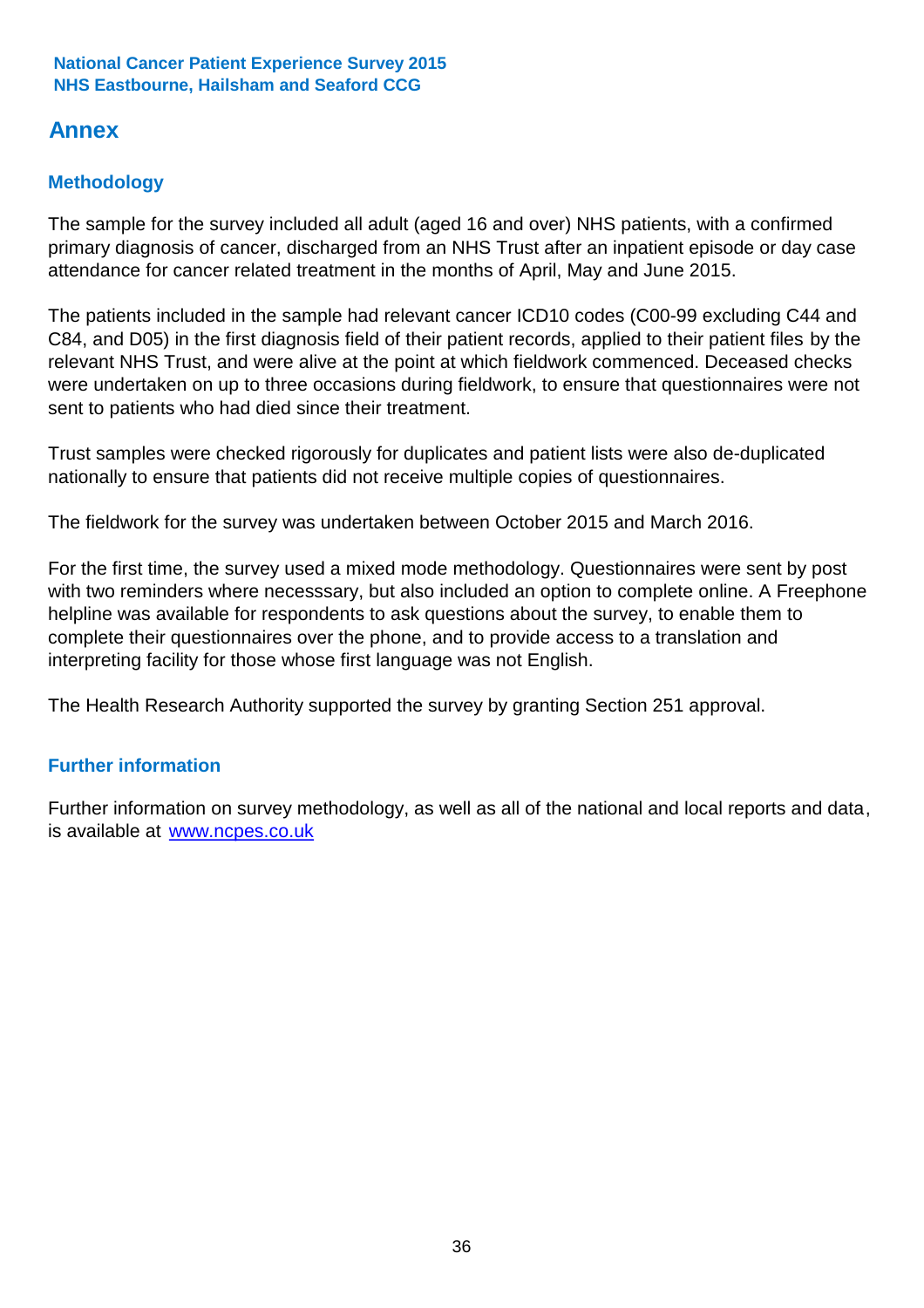# **Annex**

## **Methodology**

The sample for the survey included all adult (aged 16 and over) NHS patients, with a confirmed primary diagnosis of cancer, discharged from an NHS Trust after an inpatient episode or day case attendance for cancer related treatment in the months of April, May and June 2015.

The patients included in the sample had relevant cancer ICD10 codes (C00-99 excluding C44 and C84, and D05) in the first diagnosis field of their patient records, applied to their patient files by the relevant NHS Trust, and were alive at the point at which fieldwork commenced. Deceased checks were undertaken on up to three occasions during fieldwork, to ensure that questionnaires were not sent to patients who had died since their treatment.

Trust samples were checked rigorously for duplicates and patient lists were also de-duplicated nationally to ensure that patients did not receive multiple copies of questionnaires.

The fieldwork for the survey was undertaken between October 2015 and March 2016.

For the first time, the survey used a mixed mode methodology. Questionnaires were sent by post with two reminders where necesssary, but also included an option to complete online. A Freephone helpline was available for respondents to ask questions about the survey, to enable them to complete their questionnaires over the phone, and to provide access to a translation and interpreting facility for those whose first language was not English.

The Health Research Authority supported the survey by granting Section 251 approval.

### **Further information**

Further information on survey methodology, as well as all of the national and local reports and data, is available at www.ncpes.co.uk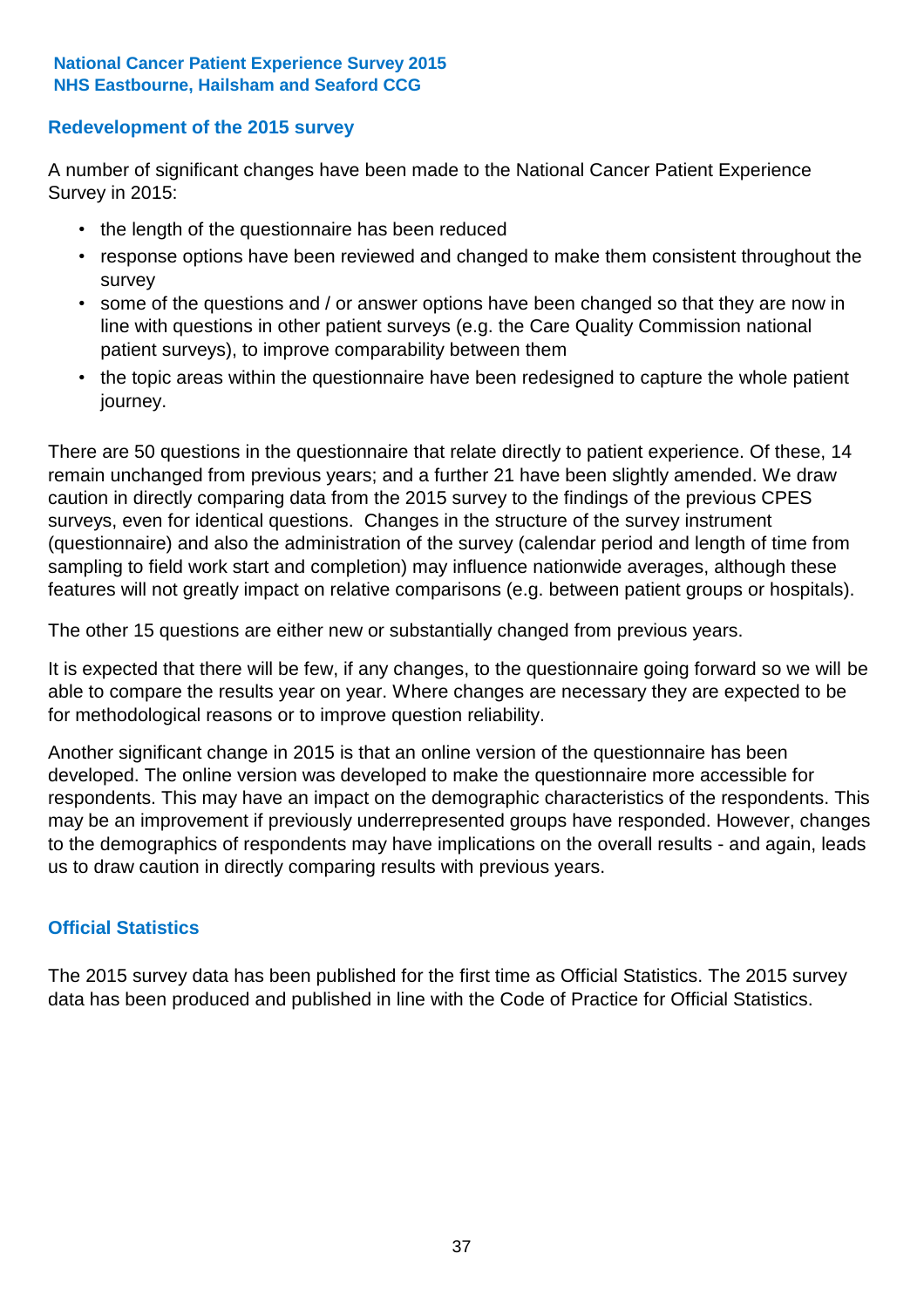### **Redevelopment of the 2015 survey**

A number of significant changes have been made to the National Cancer Patient Experience Survey in 2015:

- the length of the questionnaire has been reduced
- response options have been reviewed and changed to make them consistent throughout the survey
- some of the questions and / or answer options have been changed so that they are now in line with questions in other patient surveys (e.g. the Care Quality Commission national patient surveys), to improve comparability between them
- the topic areas within the questionnaire have been redesigned to capture the whole patient journey.

There are 50 questions in the questionnaire that relate directly to patient experience. Of these, 14 remain unchanged from previous years; and a further 21 have been slightly amended. We draw caution in directly comparing data from the 2015 survey to the findings of the previous CPES surveys, even for identical questions. Changes in the structure of the survey instrument (questionnaire) and also the administration of the survey (calendar period and length of time from sampling to field work start and completion) may influence nationwide averages, although these features will not greatly impact on relative comparisons (e.g. between patient groups or hospitals).

The other 15 questions are either new or substantially changed from previous years.

It is expected that there will be few, if any changes, to the questionnaire going forward so we will be able to compare the results year on year. Where changes are necessary they are expected to be for methodological reasons or to improve question reliability.

Another significant change in 2015 is that an online version of the questionnaire has been developed. The online version was developed to make the questionnaire more accessible for respondents. This may have an impact on the demographic characteristics of the respondents. This may be an improvement if previously underrepresented groups have responded. However, changes to the demographics of respondents may have implications on the overall results - and again, leads us to draw caution in directly comparing results with previous years.

### **Official Statistics**

The 2015 survey data has been published for the first time as Official Statistics. The 2015 survey data has been produced and published in line with the Code of Practice for Official Statistics.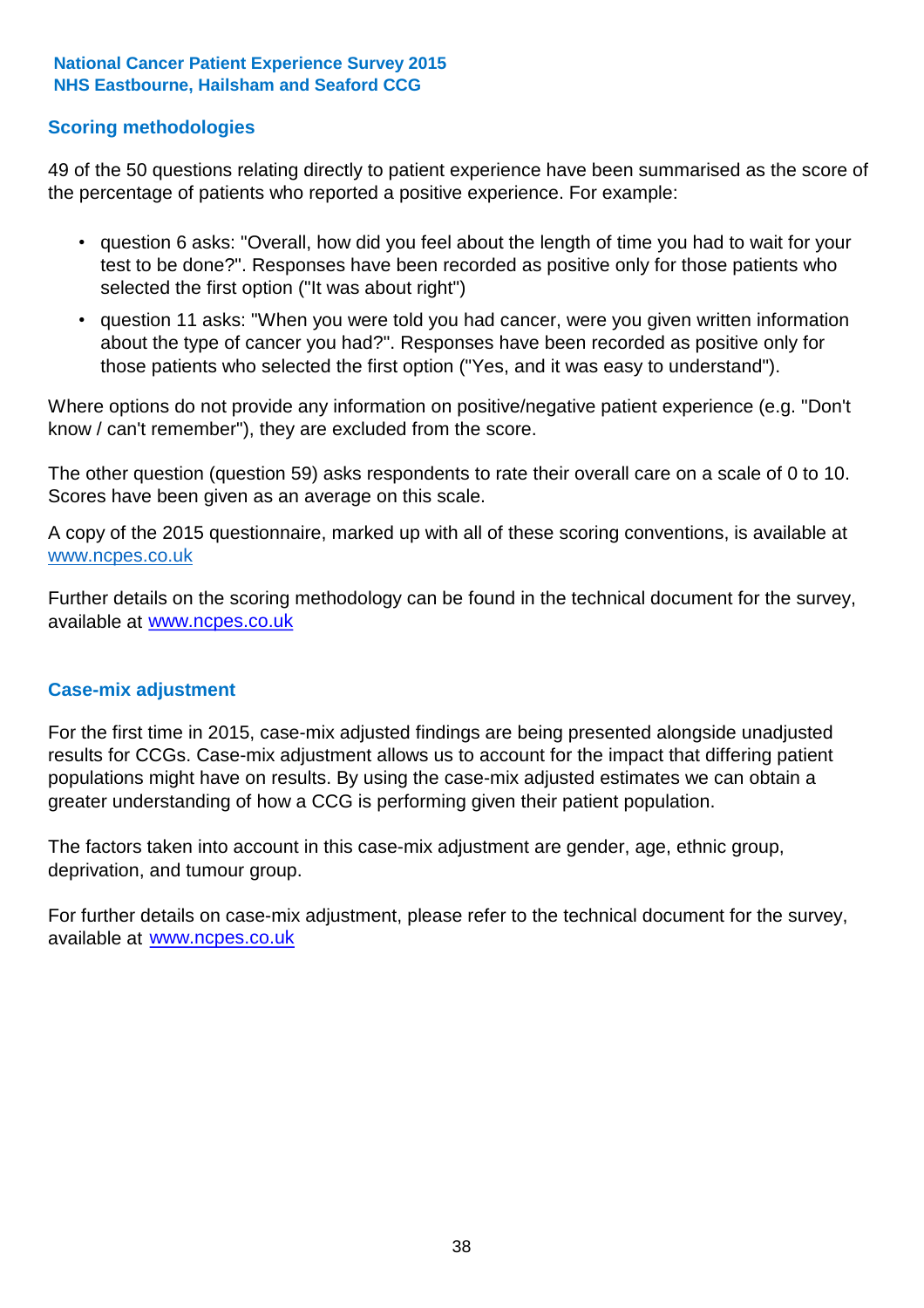### **Scoring methodologies**

49 of the 50 questions relating directly to patient experience have been summarised as the score of the percentage of patients who reported a positive experience. For example:

- question 6 asks: "Overall, how did you feel about the length of time you had to wait for your test to be done?". Responses have been recorded as positive only for those patients who selected the first option ("It was about right")
- question 11 asks: "When you were told you had cancer, were you given written information about the type of cancer you had?". Responses have been recorded as positive only for those patients who selected the first option ("Yes, and it was easy to understand").

Where options do not provide any information on positive/negative patient experience (e.g. "Don't know / can't remember"), they are excluded from the score.

The other question (question 59) asks respondents to rate their overall care on a scale of 0 to 10. Scores have been given as an average on this scale.

A copy of the 2015 questionnaire, marked up with all of these scoring conventions, is available at www.ncpes.co.uk

Further details on the scoring methodology can be found in the technical document for the survey, available at <u>www.ncpes.co.uk</u>

#### **Case-mix adjustment**

For the first time in 2015, case-mix adjusted findings are being presented alongside unadjusted results for CCGs. Case-mix adjustment allows us to account for the impact that differing patient populations might have on results. By using the case-mix adjusted estimates we can obtain a greater understanding of how a CCG is performing given their patient population.

The factors taken into account in this case-mix adjustment are gender, age, ethnic group, deprivation, and tumour group.

For further details on case-mix adjustment, please refer to the technical document for the survey, available at www.ncpes.co.uk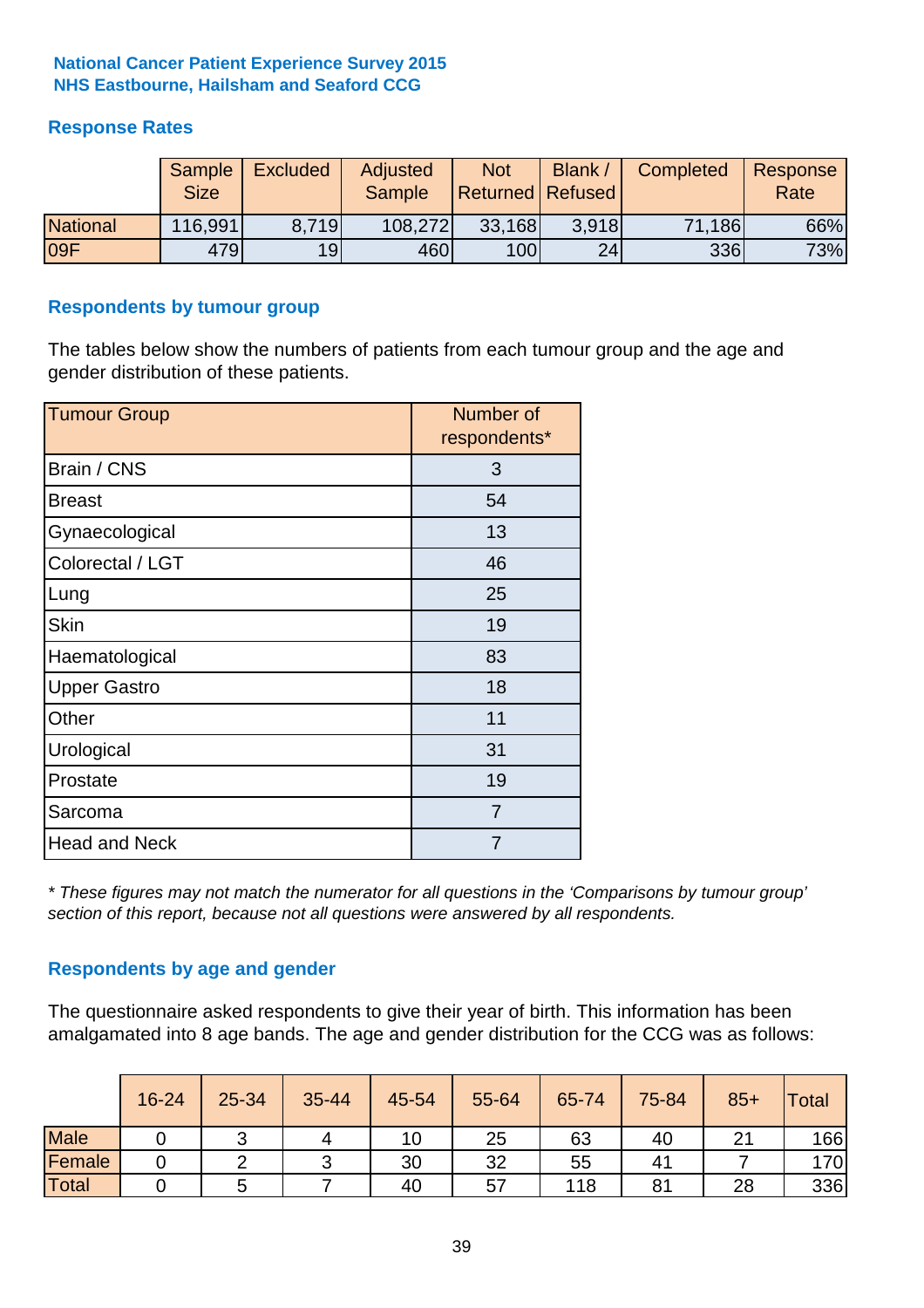### **Response Rates**

|                 | Sample<br><b>Size</b> | <b>Excluded</b> | Adjusted<br><b>Sample</b> | <b>Not</b><br>Returned   Refused | Blank | Completed | Response<br>Rate |
|-----------------|-----------------------|-----------------|---------------------------|----------------------------------|-------|-----------|------------------|
| <b>National</b> | 116,991               | 8.719           | 108,272                   | 33,168                           | 3.918 | 71,186    | 66%              |
| 09F             | 479                   | 19 <sub>l</sub> | 460                       | 100                              | 24    | 336       | 73%              |

#### **Respondents by tumour group**

The tables below show the numbers of patients from each tumour group and the age and gender distribution of these patients.

| <b>Tumour Group</b>  | Number of<br>respondents* |
|----------------------|---------------------------|
| Brain / CNS          | 3                         |
| <b>Breast</b>        | 54                        |
| Gynaecological       | 13                        |
| Colorectal / LGT     | 46                        |
| Lung                 | 25                        |
| <b>Skin</b>          | 19                        |
| Haematological       | 83                        |
| <b>Upper Gastro</b>  | 18                        |
| Other                | 11                        |
| Urological           | 31                        |
| Prostate             | 19                        |
| Sarcoma              | $\overline{7}$            |
| <b>Head and Neck</b> | 7                         |

*\* These figures may not match the numerator for all questions in the 'Comparisons by tumour group' section of this report, because not all questions were answered by all respondents.*

### **Respondents by age and gender**

The questionnaire asked respondents to give their year of birth. This information has been amalgamated into 8 age bands. The age and gender distribution for the CCG was as follows:

|             | 16-24 | 25-34 | 35-44 | 45-54 | 55-64 | 65-74 | 75-84 | $85+$        | Total |
|-------------|-------|-------|-------|-------|-------|-------|-------|--------------|-------|
| <b>Male</b> |       |       |       | 10    | 25    | 63    | 40    | $\mathbf{A}$ | 166   |
| Female      |       |       | ⌒     | 30    | 32    | 55    | 41    |              | 170   |
| Total       |       |       |       | 40    | 57    | 118   | 81    | 28           | 336   |